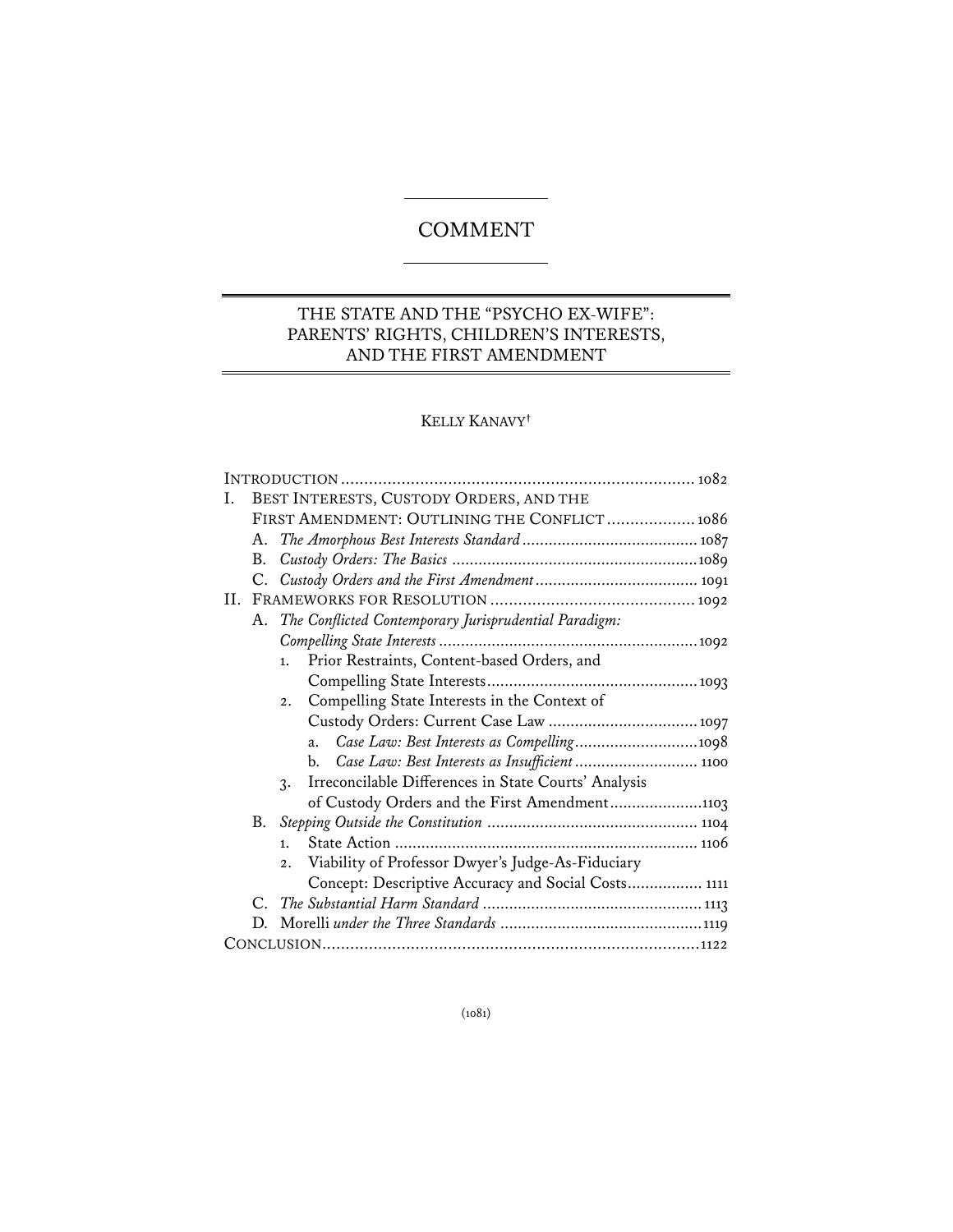# **COMMENT**

## THE STATE AND THE "PSYCHO EX-WIFE": PARENTS' RIGHTS, CHILDREN'S INTERESTS, AND THE FIRST AMENDMENT

## KELLY KANAVY**†**

| Ι. | BEST INTERESTS, CUSTODY ORDERS, AND THE      |                                                                         |  |
|----|----------------------------------------------|-------------------------------------------------------------------------|--|
|    | FIRST AMENDMENT: OUTLINING THE CONFLICT 1086 |                                                                         |  |
|    | A.                                           |                                                                         |  |
|    | В.                                           |                                                                         |  |
|    |                                              |                                                                         |  |
|    |                                              |                                                                         |  |
|    |                                              | A. The Conflicted Contemporary Jurisprudential Paradigm:                |  |
|    |                                              |                                                                         |  |
|    |                                              | Prior Restraints, Content-based Orders, and<br>1.                       |  |
|    |                                              |                                                                         |  |
|    |                                              | Compelling State Interests in the Context of<br>2.                      |  |
|    |                                              |                                                                         |  |
|    |                                              | Case Law: Best Interests as Compelling1098<br>a.                        |  |
|    |                                              | Case Law: Best Interests as Insufficient  1100<br>b.                    |  |
|    |                                              | Irreconcilable Differences in State Courts' Analysis<br>$\mathcal{R}$ . |  |
|    |                                              | of Custody Orders and the First Amendment1103                           |  |
|    |                                              |                                                                         |  |
|    |                                              | 1.                                                                      |  |
|    |                                              | Viability of Professor Dwyer's Judge-As-Fiduciary<br>2.                 |  |
|    |                                              | Concept: Descriptive Accuracy and Social Costs 1111                     |  |
|    |                                              |                                                                         |  |
|    | D.                                           |                                                                         |  |
|    |                                              |                                                                         |  |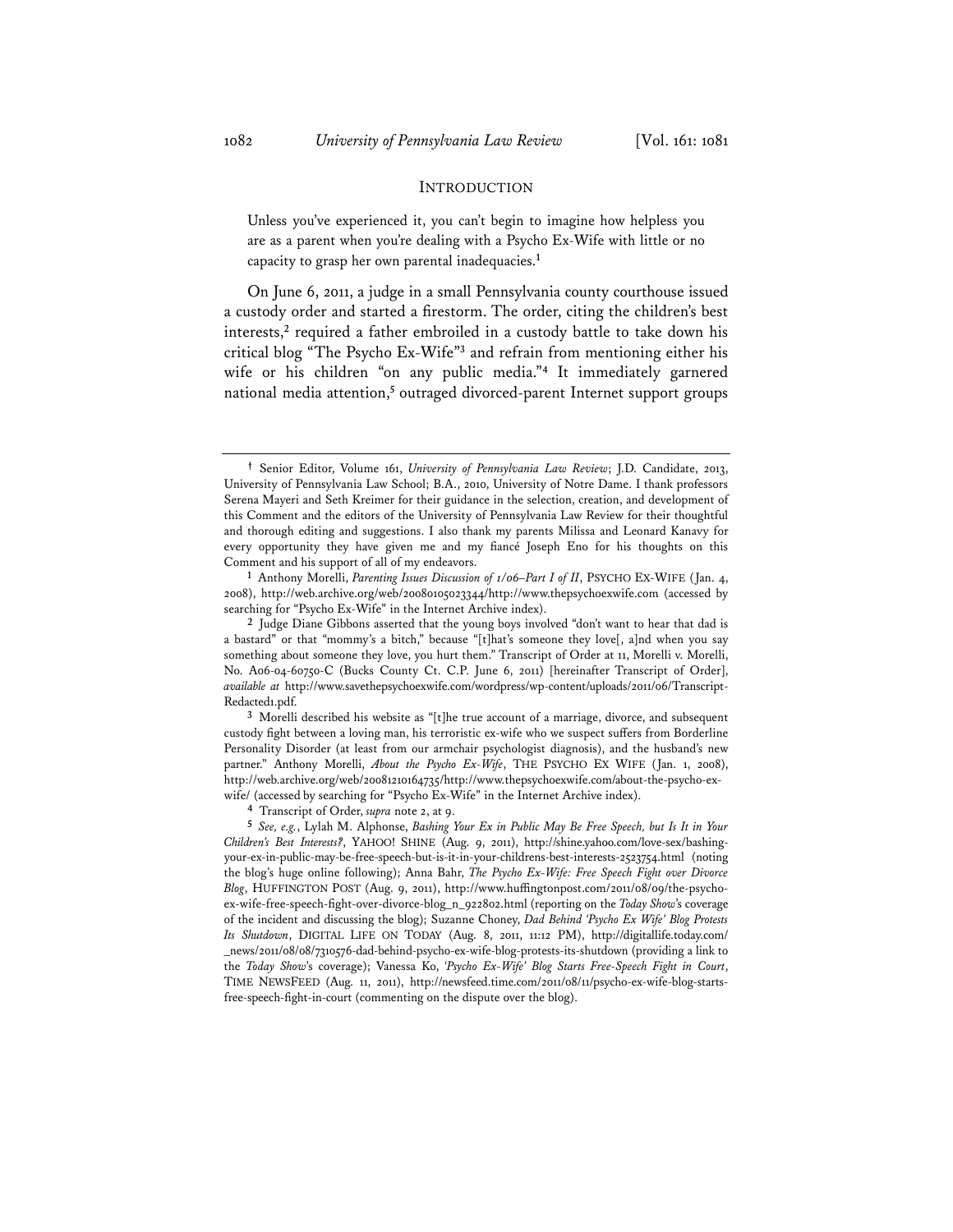#### INTRODUCTION

Unless you've experienced it, you can't begin to imagine how helpless you are as a parent when you're dealing with a Psycho Ex-Wife with little or no capacity to grasp her own parental inadequacies.**<sup>1</sup>**

On June 6, 2011, a judge in a small Pennsylvania county courthouse issued a custody order and started a firestorm. The order, citing the children's best interests,**<sup>2</sup>** required a father embroiled in a custody battle to take down his critical blog "The Psycho Ex-Wife"**<sup>3</sup>** and refrain from mentioning either his wife or his children "on any public media."**<sup>4</sup>** It immediately garnered national media attention,<sup>5</sup> outraged divorced-parent Internet support groups

Comment and his support of all of my endeavors. **1** Anthony Morelli, *Parenting Issues Discussion of 1/06–Part I of II*, PSYCHO EX-WIFE (Jan. 4, 2008), http://web.archive.org/web/20080105023344/http://www.thepsychoexwife.com (accessed by searching for "Psycho Ex-Wife" in the Internet Archive index).

**<sup>2</sup>** Judge Diane Gibbons asserted that the young boys involved "don't want to hear that dad is a bastard" or that "mommy's a bitch," because "[t]hat's someone they love[, a]nd when you say something about someone they love, you hurt them." Transcript of Order at 11, Morelli v. Morelli, No. A06-04-60750-C (Bucks County Ct. C.P. June 6, 2011) [hereinafter Transcript of Order], *available at* http://www.savethepsychoexwife.com/wordpress/wp-content/uploads/2011/06/Transcript-Redacted1.pdf.

**<sup>3</sup>** Morelli described his website as "[t]he true account of a marriage, divorce, and subsequent custody fight between a loving man, his terroristic ex-wife who we suspect suffers from Borderline Personality Disorder (at least from our armchair psychologist diagnosis), and the husband's new partner." Anthony Morelli, *About the Psycho Ex-Wife*, THE PSYCHO EX WIFE (Jan. 1, 2008), http://web.archive.org/web/20081210164735/http://www.thepsychoexwife.com/about-the-psycho-exwife/ (accessed by searching for "Psycho Ex-Wife" in the Internet Archive index). **4** Transcript of Order, *supra* note 2, at 9.

**<sup>5</sup>** *See, e.g.*, Lylah M. Alphonse, *Bashing Your Ex in Public May Be Free Speech, but Is It in Your Children's Best Interests?*, YAHOO! SHINE (Aug. 9, 2011), http://shine.yahoo.com/love-sex/bashingyour-ex-in-public-may-be-free-speech-but-is-it-in-your-childrens-best-interests-2523754.html (noting the blog's huge online following); Anna Bahr, *The Psycho Ex-Wife: Free Speech Fight over Divorce Blog*, HUFFINGTON POST (Aug. 9, 2011), http://www.huffingtonpost.com/2011/08/09/the-psychoex-wife-free-speech-fight-over-divorce-blog\_n\_922802.html (reporting on the *Today Show*'s coverage of the incident and discussing the blog); Suzanne Choney, *Dad Behind 'Psycho Ex Wife' Blog Protests Its Shutdown*, DIGITAL LIFE ON TODAY (Aug. 8, 2011, 11:12 PM), http://digitallife.today.com/ \_news/2011/08/08/7310576-dad-behind-psycho-ex-wife-blog-protests-its-shutdown (providing a link to the *Today Show*'s coverage); Vanessa Ko, *'Psycho Ex-Wife' Blog Starts Free-Speech Fight in Court*, TIME NEWSFEED (Aug. 11, 2011), http://newsfeed.time.com/2011/08/11/psycho-ex-wife-blog-startsfree-speech-fight-in-court (commenting on the dispute over the blog).

**<sup>†</sup>** Senior Editor, Volume 161, *University of Pennsylvania Law Review*; J.D. Candidate, 2013, University of Pennsylvania Law School; B.A., 2010, University of Notre Dame. I thank professors Serena Mayeri and Seth Kreimer for their guidance in the selection, creation, and development of this Comment and the editors of the University of Pennsylvania Law Review for their thoughtful and thorough editing and suggestions. I also thank my parents Milissa and Leonard Kanavy for every opportunity they have given me and my fiancé Joseph Eno for his thoughts on this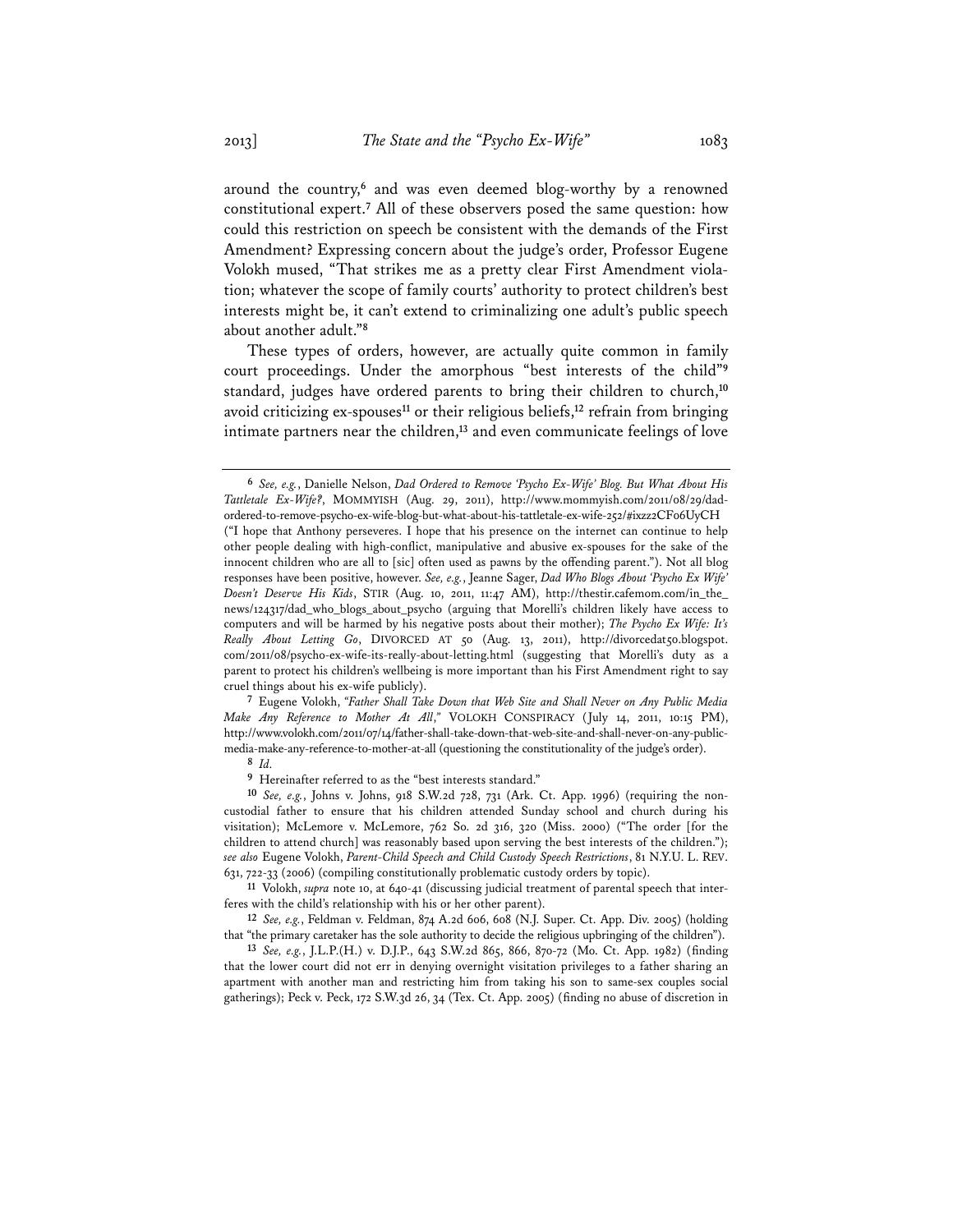around the country,**<sup>6</sup>** and was even deemed blog-worthy by a renowned constitutional expert.**<sup>7</sup>** All of these observers posed the same question: how could this restriction on speech be consistent with the demands of the First Amendment? Expressing concern about the judge's order, Professor Eugene Volokh mused, "That strikes me as a pretty clear First Amendment violation; whatever the scope of family courts' authority to protect children's best interests might be, it can't extend to criminalizing one adult's public speech about another adult."**<sup>8</sup>**

These types of orders, however, are actually quite common in family court proceedings. Under the amorphous "best interests of the child"**<sup>9</sup>** standard, judges have ordered parents to bring their children to church,**<sup>10</sup>** avoid criticizing ex-spouses**<sup>11</sup>** or their religious beliefs,**<sup>12</sup>** refrain from bringing intimate partners near the children,**<sup>13</sup>** and even communicate feelings of love

**<sup>7</sup>** Eugene Volokh, *"Father Shall Take Down that Web Site and Shall Never on Any Public Media Make Any Reference to Mother At All*,*"* VOLOKH CONSPIRACY (July 14, 2011, 10:15 PM), http://www.volokh.com/2011/07/14/father-shall-take-down-that-web-site-and-shall-never-on-any-publicmedia-make-any-reference-to-mother-at-all (questioning the constitutionality of the judge's order).

**<sup>8</sup>** *Id.*

**<sup>9</sup>** Hereinafter referred to as the "best interests standard."

feres with the child's relationship with his or her other parent).

**<sup>12</sup>** *See, e.g.*, Feldman v. Feldman, 874 A.2d 606, 608 (N.J. Super. Ct. App. Div. 2005) (holding that "the primary caretaker has the sole authority to decide the religious upbringing of the children").

**<sup>13</sup>** *See, e.g.*, J.L.P.(H.) v. D.J.P., 643 S.W.2d 865, 866, 870-72 (Mo. Ct. App. 1982) (finding that the lower court did not err in denying overnight visitation privileges to a father sharing an apartment with another man and restricting him from taking his son to same-sex couples social gatherings); Peck v. Peck, 172 S.W.3d 26, 34 (Tex. Ct. App. 2005) (finding no abuse of discretion in

**<sup>6</sup>** *See, e.g.*, Danielle Nelson, *Dad Ordered to Remove 'Psycho Ex-Wife' Blog. But What About His Tattletale Ex-Wife?*, MOMMYISH (Aug. 29, 2011), http://www.mommyish.com/2011/08/29/dadordered-to-remove-psycho-ex-wife-blog-but-what-about-his-tattletale-ex-wife-252/#ixzz2CF06UyCH ("I hope that Anthony perseveres. I hope that his presence on the internet can continue to help other people dealing with high-conflict, manipulative and abusive ex-spouses for the sake of the innocent children who are all to [sic] often used as pawns by the offending parent."). Not all blog responses have been positive, however. *See, e.g.*, Jeanne Sager, *Dad Who Blogs About 'Psycho Ex Wife' Doesn't Deserve His Kids*, STIR (Aug. 10, 2011, 11:47 AM), http://thestir.cafemom.com/in\_the\_ news/124317/dad\_who\_blogs\_about\_psycho (arguing that Morelli's children likely have access to computers and will be harmed by his negative posts about their mother); *The Psycho Ex Wife: It's*  Really About Letting Go, DIVORCED AT 50 (Aug. 13, 2011), http://divorcedat50.blogspot. com/2011/08/psycho-ex-wife-its-really-about-letting.html (suggesting that Morelli's duty as a parent to protect his children's wellbeing is more important than his First Amendment right to say cruel things about his ex-wife publicly).

**<sup>10</sup>** *See, e.g.*, Johns v. Johns, 918 S.W.2d 728, 731 (Ark. Ct. App. 1996) (requiring the noncustodial father to ensure that his children attended Sunday school and church during his visitation); McLemore v. McLemore, 762 So. 2d 316, 320 (Miss. 2000) ("The order [for the children to attend church] was reasonably based upon serving the best interests of the children."); *see also* Eugene Volokh, *Parent-Child Speech and Child Custody Speech Restrictions*, 81 N.Y.U. L. REV. 631, 722-33 (2006) (compiling constitutionally problematic custody orders by topic). **11** Volokh, *supra* note 10, at 640-41 (discussing judicial treatment of parental speech that inter-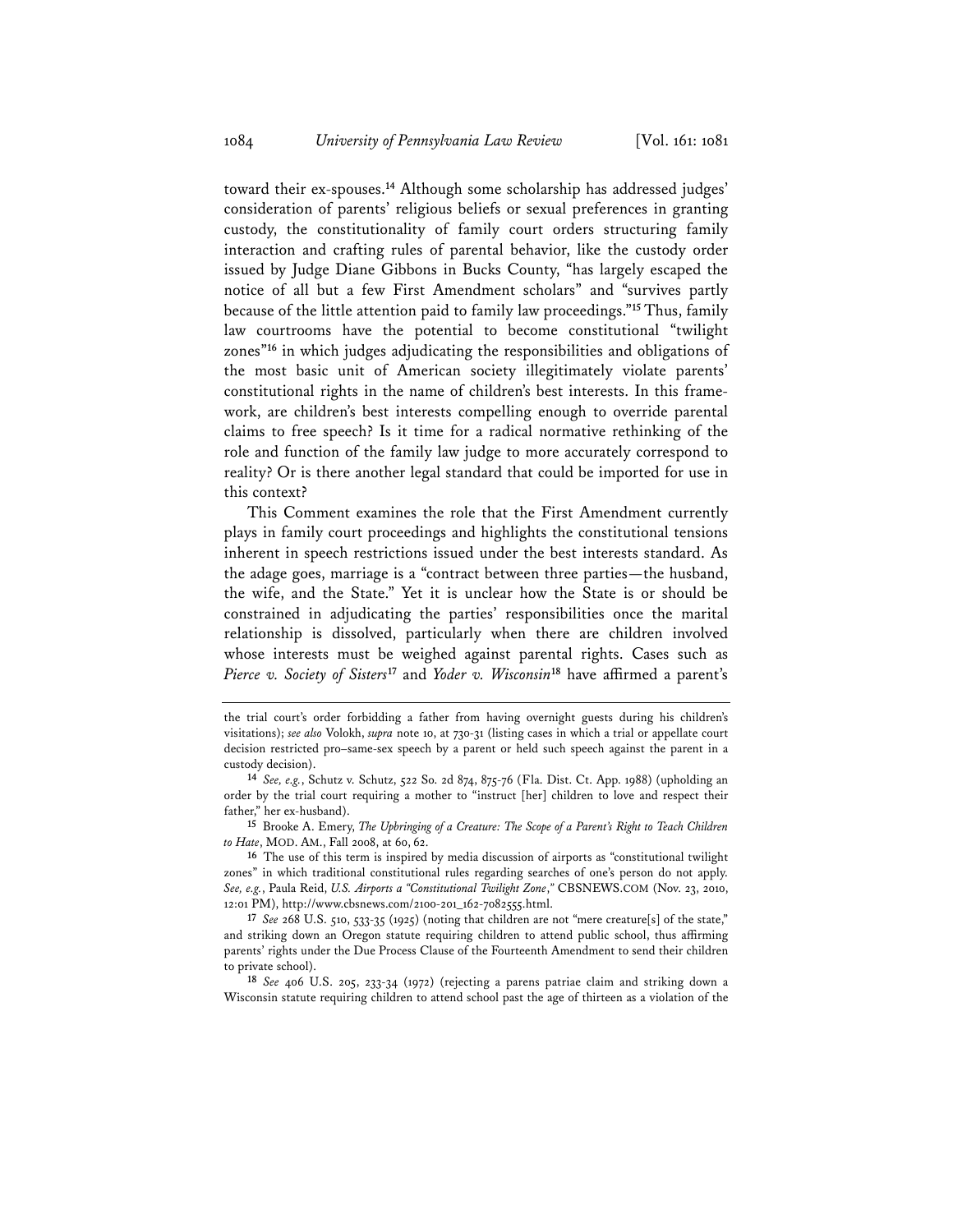toward their ex-spouses.**<sup>14</sup>** Although some scholarship has addressed judges' consideration of parents' religious beliefs or sexual preferences in granting custody, the constitutionality of family court orders structuring family interaction and crafting rules of parental behavior, like the custody order issued by Judge Diane Gibbons in Bucks County, "has largely escaped the notice of all but a few First Amendment scholars" and "survives partly because of the little attention paid to family law proceedings."**<sup>15</sup>** Thus, family law courtrooms have the potential to become constitutional "twilight zones"**<sup>16</sup>** in which judges adjudicating the responsibilities and obligations of the most basic unit of American society illegitimately violate parents' constitutional rights in the name of children's best interests. In this framework, are children's best interests compelling enough to override parental claims to free speech? Is it time for a radical normative rethinking of the role and function of the family law judge to more accurately correspond to reality? Or is there another legal standard that could be imported for use in this context?

This Comment examines the role that the First Amendment currently plays in family court proceedings and highlights the constitutional tensions inherent in speech restrictions issued under the best interests standard. As the adage goes, marriage is a "contract between three parties—the husband, the wife, and the State." Yet it is unclear how the State is or should be constrained in adjudicating the parties' responsibilities once the marital relationship is dissolved, particularly when there are children involved whose interests must be weighed against parental rights. Cases such as *Pierce v. Society of Sisters***<sup>17</sup>** and *Yoder v. Wisconsin***<sup>18</sup>** have affirmed a parent's

**<sup>15</sup>** Brooke A. Emery, *The Upbringing of a Creature: The Scope of a Parent's Right to Teach Children to Hate*, MOD. AM., Fall 2008, at 60, 62.

**<sup>16</sup>** The use of this term is inspired by media discussion of airports as "constitutional twilight zones" in which traditional constitutional rules regarding searches of one's person do not apply. *See, e.g.*, Paula Reid, *U.S. Airports a "Constitutional Twilight Zone*,*"* CBSNEWS.COM (Nov. 23, 2010, 12:01 PM), http://www.cbsnews.com/2100-201\_162-7082555.html.

**<sup>17</sup>** *See* 268 U.S. 510, 533-35 (1925) (noting that children are not "mere creature[s] of the state," and striking down an Oregon statute requiring children to attend public school, thus affirming parents' rights under the Due Process Clause of the Fourteenth Amendment to send their children to private school).

**<sup>18</sup>** *See* 406 U.S. 205, 233-34 (1972) (rejecting a parens patriae claim and striking down a Wisconsin statute requiring children to attend school past the age of thirteen as a violation of the

the trial court's order forbidding a father from having overnight guests during his children's visitations); *see also* Volokh, *supra* note 10, at 730-31 (listing cases in which a trial or appellate court decision restricted pro–same-sex speech by a parent or held such speech against the parent in a

custody decision). **<sup>14</sup>** *See, e.g.*, Schutz v. Schutz, 522 So. 2d 874, 875-76 (Fla. Dist. Ct. App. 1988) (upholding an order by the trial court requiring a mother to "instruct [her] children to love and respect their father," her ex-husband).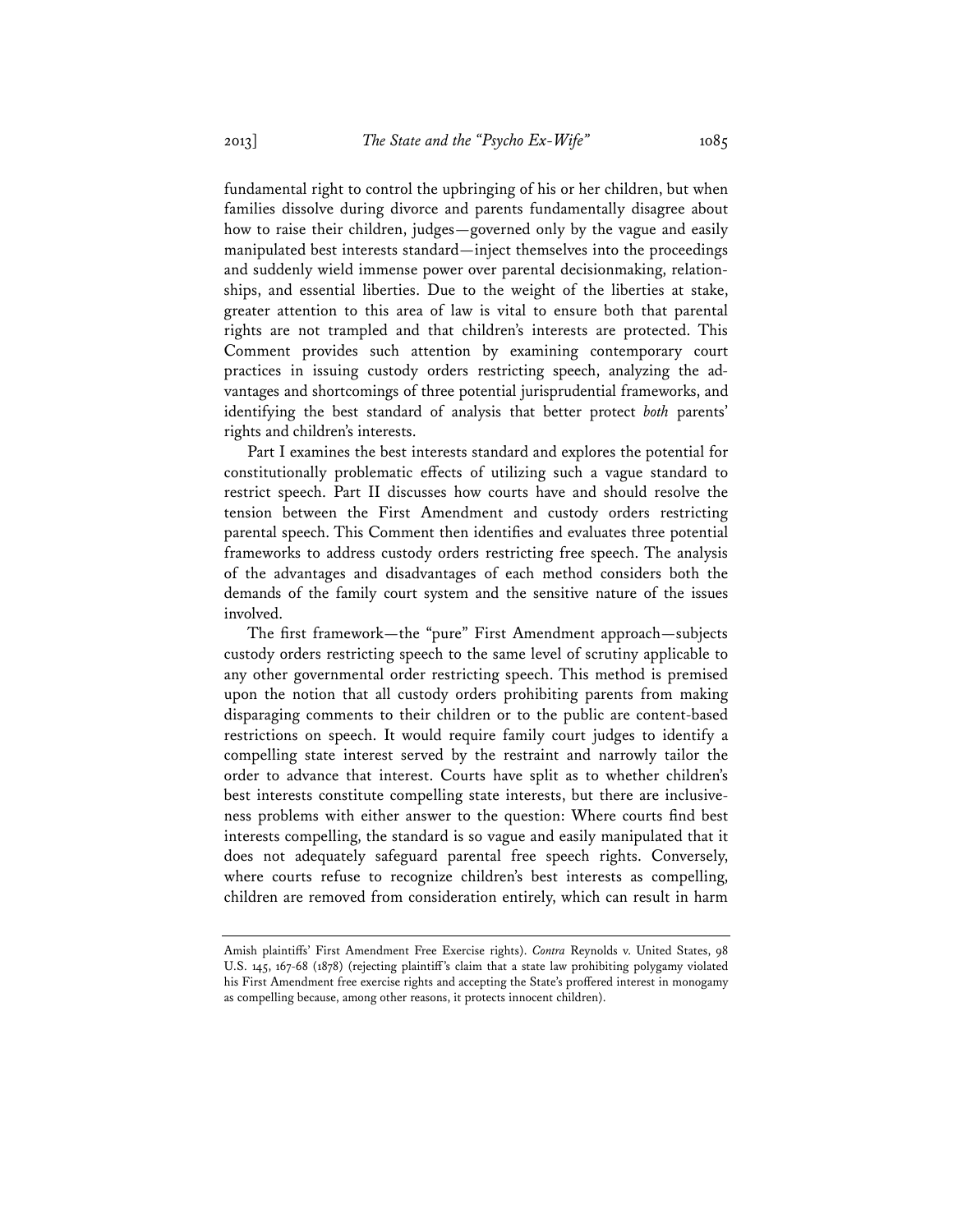fundamental right to control the upbringing of his or her children, but when families dissolve during divorce and parents fundamentally disagree about how to raise their children, judges—governed only by the vague and easily manipulated best interests standard—inject themselves into the proceedings and suddenly wield immense power over parental decisionmaking, relationships, and essential liberties. Due to the weight of the liberties at stake, greater attention to this area of law is vital to ensure both that parental rights are not trampled and that children's interests are protected. This Comment provides such attention by examining contemporary court practices in issuing custody orders restricting speech, analyzing the advantages and shortcomings of three potential jurisprudential frameworks, and identifying the best standard of analysis that better protect *both* parents' rights and children's interests.

Part I examines the best interests standard and explores the potential for constitutionally problematic effects of utilizing such a vague standard to restrict speech. Part II discusses how courts have and should resolve the tension between the First Amendment and custody orders restricting parental speech. This Comment then identifies and evaluates three potential frameworks to address custody orders restricting free speech. The analysis of the advantages and disadvantages of each method considers both the demands of the family court system and the sensitive nature of the issues involved.

The first framework—the "pure" First Amendment approach—subjects custody orders restricting speech to the same level of scrutiny applicable to any other governmental order restricting speech. This method is premised upon the notion that all custody orders prohibiting parents from making disparaging comments to their children or to the public are content-based restrictions on speech. It would require family court judges to identify a compelling state interest served by the restraint and narrowly tailor the order to advance that interest. Courts have split as to whether children's best interests constitute compelling state interests, but there are inclusiveness problems with either answer to the question: Where courts find best interests compelling, the standard is so vague and easily manipulated that it does not adequately safeguard parental free speech rights. Conversely, where courts refuse to recognize children's best interests as compelling, children are removed from consideration entirely, which can result in harm

Amish plaintiffs' First Amendment Free Exercise rights). *Contra* Reynolds v. United States, 98 U.S. 145, 167-68 (1878) (rejecting plaintiff's claim that a state law prohibiting polygamy violated his First Amendment free exercise rights and accepting the State's proffered interest in monogamy as compelling because, among other reasons, it protects innocent children).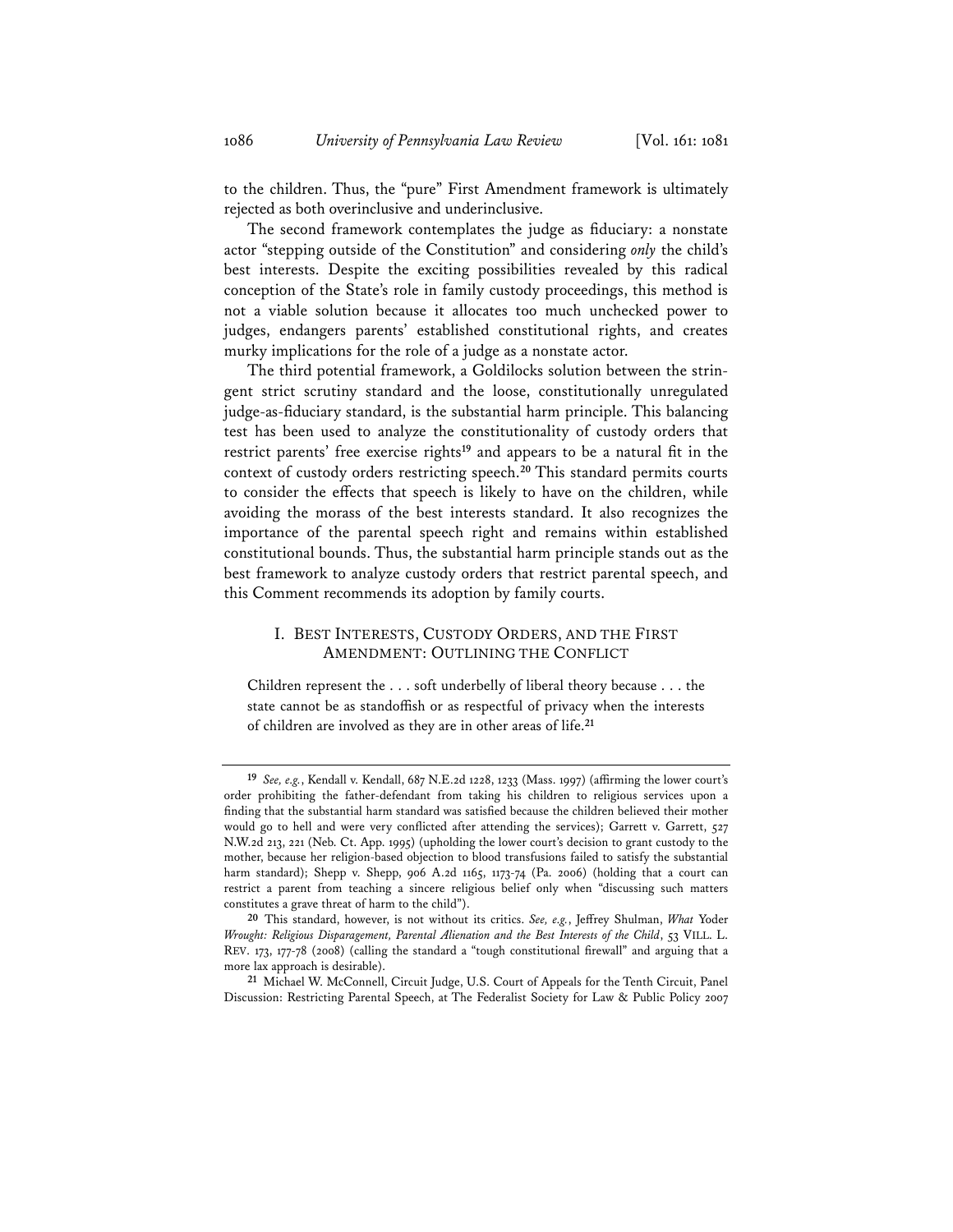to the children. Thus, the "pure" First Amendment framework is ultimately rejected as both overinclusive and underinclusive.

The second framework contemplates the judge as fiduciary: a nonstate actor "stepping outside of the Constitution" and considering *only* the child's best interests. Despite the exciting possibilities revealed by this radical conception of the State's role in family custody proceedings, this method is not a viable solution because it allocates too much unchecked power to judges, endangers parents' established constitutional rights, and creates murky implications for the role of a judge as a nonstate actor.

The third potential framework, a Goldilocks solution between the stringent strict scrutiny standard and the loose, constitutionally unregulated judge-as-fiduciary standard, is the substantial harm principle. This balancing test has been used to analyze the constitutionality of custody orders that restrict parents' free exercise rights**<sup>19</sup>** and appears to be a natural fit in the context of custody orders restricting speech.**<sup>20</sup>** This standard permits courts to consider the effects that speech is likely to have on the children, while avoiding the morass of the best interests standard. It also recognizes the importance of the parental speech right and remains within established constitutional bounds. Thus, the substantial harm principle stands out as the best framework to analyze custody orders that restrict parental speech, and this Comment recommends its adoption by family courts.

## I. BEST INTERESTS, CUSTODY ORDERS, AND THE FIRST AMENDMENT: OUTLINING THE CONFLICT

Children represent the . . . soft underbelly of liberal theory because . . . the state cannot be as standoffish or as respectful of privacy when the interests of children are involved as they are in other areas of life.**<sup>21</sup>**

**<sup>19</sup>** *See, e.g.*, Kendall v. Kendall, 687 N.E.2d 1228, 1233 (Mass. 1997) (affirming the lower court's order prohibiting the father-defendant from taking his children to religious services upon a finding that the substantial harm standard was satisfied because the children believed their mother would go to hell and were very conflicted after attending the services); Garrett v. Garrett, 527 N.W.2d 213, 221 (Neb. Ct. App. 1995) (upholding the lower court's decision to grant custody to the mother, because her religion-based objection to blood transfusions failed to satisfy the substantial harm standard); Shepp v. Shepp, 906 A.2d 1165, 1173-74 (Pa. 2006) (holding that a court can restrict a parent from teaching a sincere religious belief only when "discussing such matters constitutes a grave threat of harm to the child").

**<sup>20</sup>** This standard, however, is not without its critics. *See, e.g.*, Jeffrey Shulman, *What* Yoder *Wrought: Religious Disparagement, Parental Alienation and the Best Interests of the Child*, 53 VILL. L. REV. 173, 177-78 (2008) (calling the standard a "tough constitutional firewall" and arguing that a more lax approach is desirable).

**<sup>21</sup>** Michael W. McConnell, Circuit Judge, U.S. Court of Appeals for the Tenth Circuit, Panel Discussion: Restricting Parental Speech, at The Federalist Society for Law & Public Policy 2007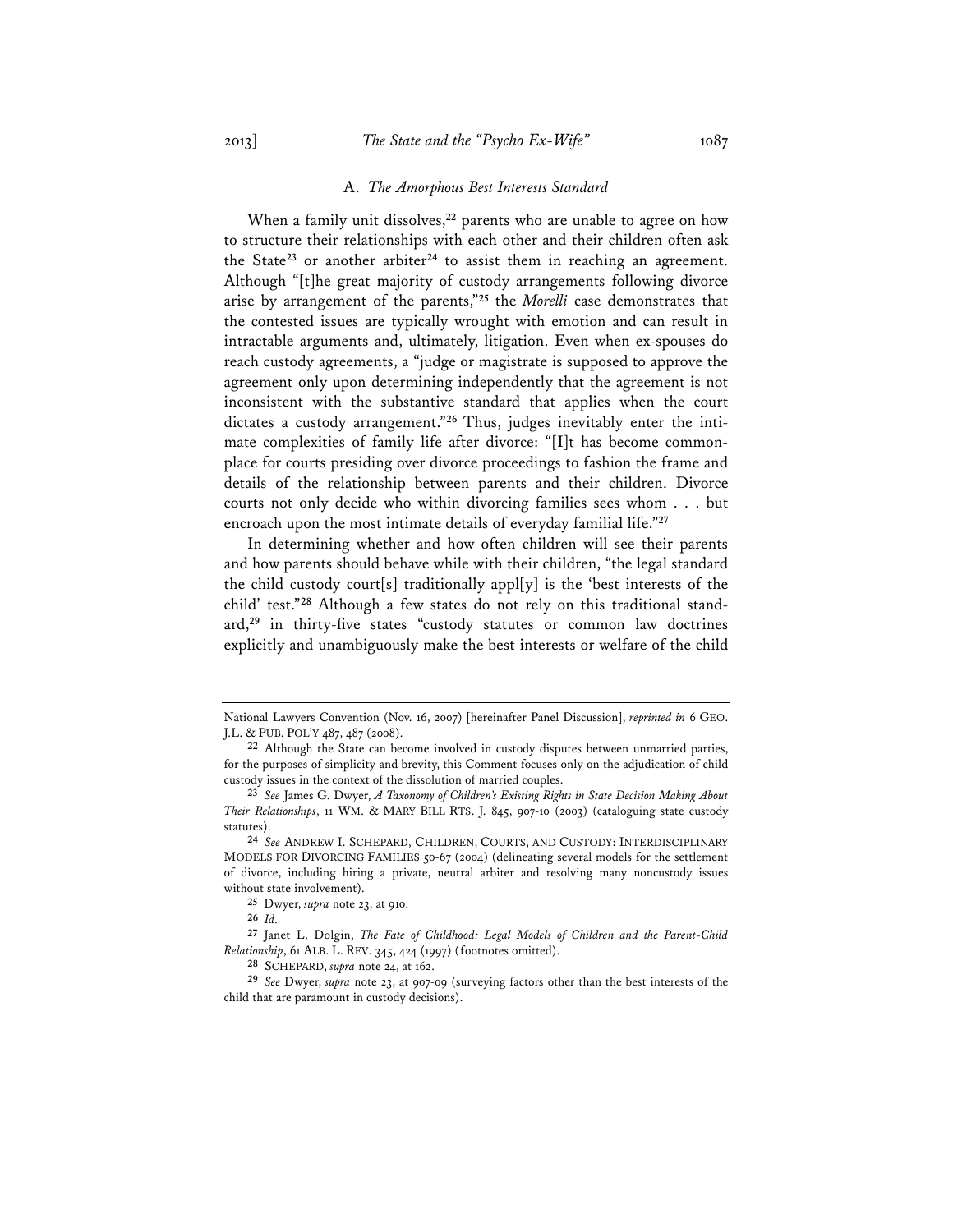#### A. *The Amorphous Best Interests Standard*

When a family unit dissolves,**<sup>22</sup>** parents who are unable to agree on how to structure their relationships with each other and their children often ask the State**<sup>23</sup>** or another arbiter**<sup>24</sup>** to assist them in reaching an agreement. Although "[t]he great majority of custody arrangements following divorce arise by arrangement of the parents,"**<sup>25</sup>** the *Morelli* case demonstrates that the contested issues are typically wrought with emotion and can result in intractable arguments and, ultimately, litigation. Even when ex-spouses do reach custody agreements, a "judge or magistrate is supposed to approve the agreement only upon determining independently that the agreement is not inconsistent with the substantive standard that applies when the court dictates a custody arrangement."**<sup>26</sup>** Thus, judges inevitably enter the intimate complexities of family life after divorce: "[I]t has become commonplace for courts presiding over divorce proceedings to fashion the frame and details of the relationship between parents and their children. Divorce courts not only decide who within divorcing families sees whom . . . but encroach upon the most intimate details of everyday familial life."**<sup>27</sup>**

In determining whether and how often children will see their parents and how parents should behave while with their children, "the legal standard the child custody court[s] traditionally appl[y] is the 'best interests of the child' test."**<sup>28</sup>** Although a few states do not rely on this traditional standard,**<sup>29</sup>** in thirty-five states "custody statutes or common law doctrines explicitly and unambiguously make the best interests or welfare of the child

National Lawyers Convention (Nov. 16, 2007) [hereinafter Panel Discussion], *reprinted in* 6 GEO. J.L. & PUB. POL'Y 487, 487 (2008).

**<sup>22</sup>** Although the State can become involved in custody disputes between unmarried parties, for the purposes of simplicity and brevity, this Comment focuses only on the adjudication of child custody issues in the context of the dissolution of married couples.

**<sup>23</sup>** *See* James G. Dwyer, *A Taxonomy of Children's Existing Rights in State Decision Making About Their Relationships*, 11 WM. & MARY BILL RTS. J. 845, 907-10 (2003) (cataloguing state custody statutes).

**<sup>24</sup>** *See* ANDREW I. SCHEPARD, CHILDREN, COURTS, AND CUSTODY: INTERDISCIPLINARY MODELS FOR DIVORCING FAMILIES 50-67 (2004) (delineating several models for the settlement of divorce, including hiring a private, neutral arbiter and resolving many noncustody issues without state involvement).

**<sup>25</sup>** Dwyer, *supra* note 23, at 910.

**<sup>26</sup>** *Id.*

**<sup>27</sup>** Janet L. Dolgin, *The Fate of Childhood: Legal Models of Children and the Parent-Child Relationship*, 61 ALB. L. REV. 345, 424 (1997) (footnotes omitted).

**<sup>28</sup>** SCHEPARD, *supra* note 24, at 162.

**<sup>29</sup>** *See* Dwyer, *supra* note 23, at 907-09 (surveying factors other than the best interests of the child that are paramount in custody decisions).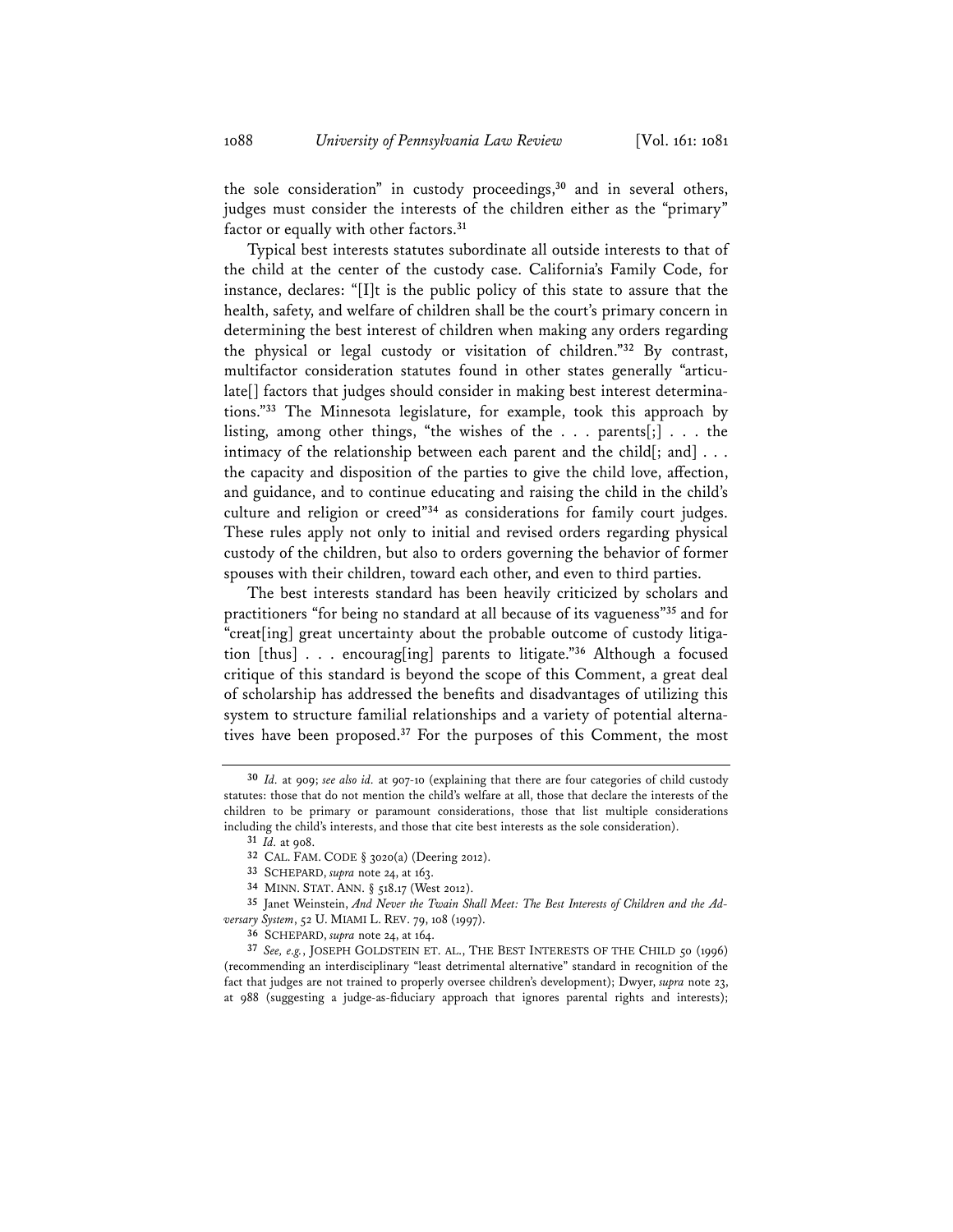the sole consideration" in custody proceedings,**<sup>30</sup>** and in several others, judges must consider the interests of the children either as the "primary" factor or equally with other factors.**<sup>31</sup>**

Typical best interests statutes subordinate all outside interests to that of the child at the center of the custody case. California's Family Code, for instance, declares: "[I]t is the public policy of this state to assure that the health, safety, and welfare of children shall be the court's primary concern in determining the best interest of children when making any orders regarding the physical or legal custody or visitation of children."**<sup>32</sup>** By contrast, multifactor consideration statutes found in other states generally "articulate[] factors that judges should consider in making best interest determinations."**<sup>33</sup>** The Minnesota legislature, for example, took this approach by listing, among other things, "the wishes of the . . . parents[;] . . . the intimacy of the relationship between each parent and the child[; and] . . . the capacity and disposition of the parties to give the child love, affection, and guidance, and to continue educating and raising the child in the child's culture and religion or creed"**<sup>34</sup>** as considerations for family court judges. These rules apply not only to initial and revised orders regarding physical custody of the children, but also to orders governing the behavior of former spouses with their children, toward each other, and even to third parties.

The best interests standard has been heavily criticized by scholars and practitioners "for being no standard at all because of its vagueness"**<sup>35</sup>** and for "creat[ing] great uncertainty about the probable outcome of custody litigation [thus] . . . encourag[ing] parents to litigate."**<sup>36</sup>** Although a focused critique of this standard is beyond the scope of this Comment, a great deal of scholarship has addressed the benefits and disadvantages of utilizing this system to structure familial relationships and a variety of potential alternatives have been proposed.**<sup>37</sup>** For the purposes of this Comment, the most

**<sup>35</sup>** Janet Weinstein, *And Never the Twain Shall Meet: The Best Interests of Children and the Adversary System*, 52 U. MIAMI L. REV. 79, 108 (1997).

**<sup>36</sup>** SCHEPARD, *supra* note 24, at 164.

**<sup>30</sup>** *Id.* at 909; *see also id.* at 907-10 (explaining that there are four categories of child custody statutes: those that do not mention the child's welfare at all, those that declare the interests of the children to be primary or paramount considerations, those that list multiple considerations including the child's interests, and those that cite best interests as the sole consideration).

**<sup>31</sup>** *Id.* at 908.

**<sup>32</sup>** CAL. FAM. CODE § 3020(a) (Deering 2012).

**<sup>33</sup>** SCHEPARD, *supra* note 24, at 163.

**<sup>34</sup>** MINN. STAT. ANN. § 518.17 (West 2012).

**<sup>37</sup>** *See, e.g.*, JOSEPH GOLDSTEIN ET. AL., THE BEST INTERESTS OF THE CHILD 50 (1996) (recommending an interdisciplinary "least detrimental alternative" standard in recognition of the fact that judges are not trained to properly oversee children's development); Dwyer, *supra* note 23, at 988 (suggesting a judge-as-fiduciary approach that ignores parental rights and interests);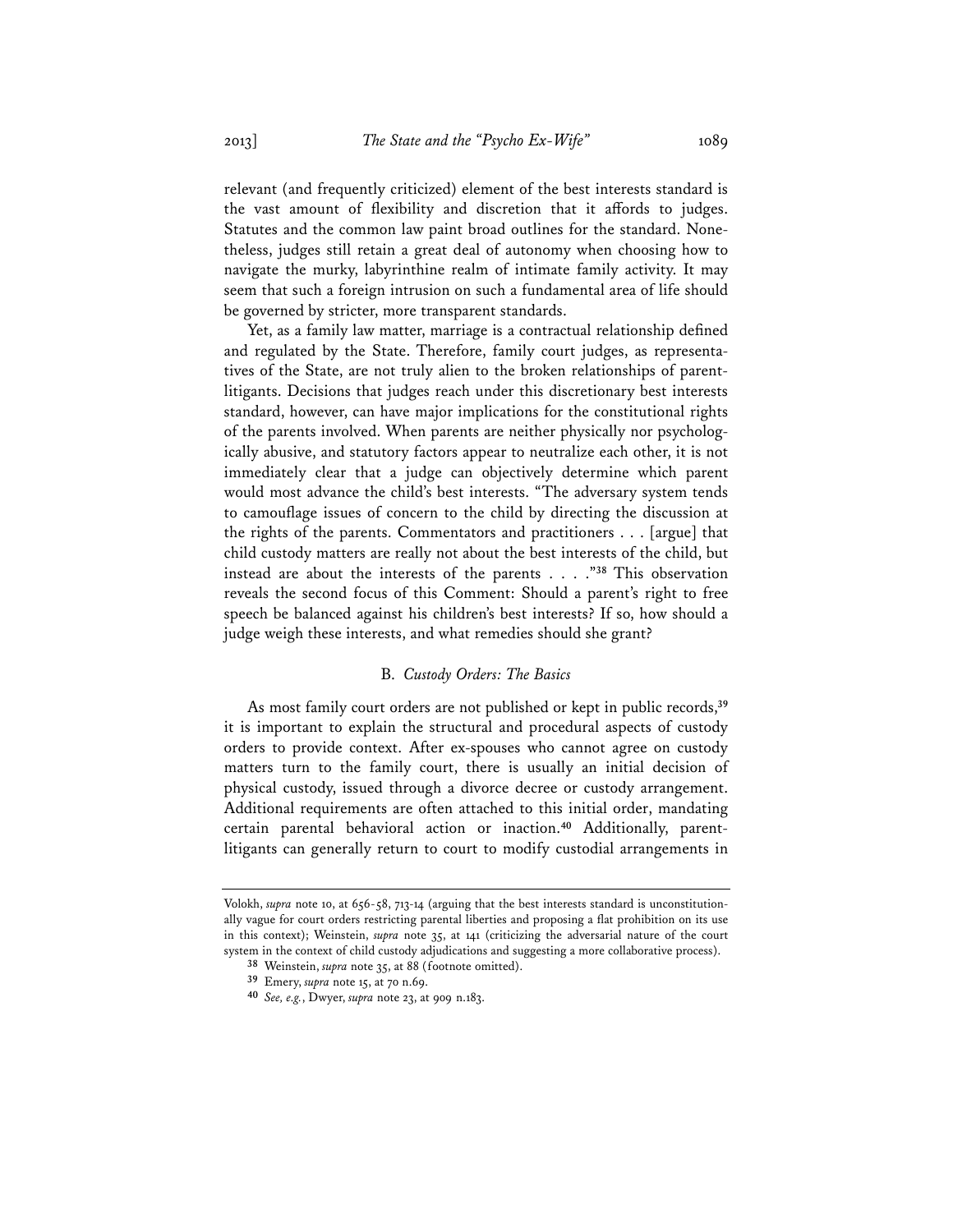relevant (and frequently criticized) element of the best interests standard is the vast amount of flexibility and discretion that it affords to judges. Statutes and the common law paint broad outlines for the standard. Nonetheless, judges still retain a great deal of autonomy when choosing how to navigate the murky, labyrinthine realm of intimate family activity. It may seem that such a foreign intrusion on such a fundamental area of life should be governed by stricter, more transparent standards.

Yet, as a family law matter, marriage is a contractual relationship defined and regulated by the State. Therefore, family court judges, as representatives of the State, are not truly alien to the broken relationships of parentlitigants. Decisions that judges reach under this discretionary best interests standard, however, can have major implications for the constitutional rights of the parents involved. When parents are neither physically nor psychologically abusive, and statutory factors appear to neutralize each other, it is not immediately clear that a judge can objectively determine which parent would most advance the child's best interests. "The adversary system tends to camouflage issues of concern to the child by directing the discussion at the rights of the parents. Commentators and practitioners . . . [argue] that child custody matters are really not about the best interests of the child, but instead are about the interests of the parents . . . ."**<sup>38</sup>** This observation reveals the second focus of this Comment: Should a parent's right to free speech be balanced against his children's best interests? If so, how should a judge weigh these interests, and what remedies should she grant?

### B. *Custody Orders: The Basics*

As most family court orders are not published or kept in public records,**<sup>39</sup>** it is important to explain the structural and procedural aspects of custody orders to provide context. After ex-spouses who cannot agree on custody matters turn to the family court, there is usually an initial decision of physical custody, issued through a divorce decree or custody arrangement. Additional requirements are often attached to this initial order, mandating certain parental behavioral action or inaction.**<sup>40</sup>** Additionally, parentlitigants can generally return to court to modify custodial arrangements in

Volokh, *supra* note 10, at 656-58, 713-14 (arguing that the best interests standard is unconstitutionally vague for court orders restricting parental liberties and proposing a flat prohibition on its use in this context); Weinstein, *supra* note 35, at 141 (criticizing the adversarial nature of the court system in the context of child custody adjudications and suggesting a more collaborative process).

**<sup>38</sup>** Weinstein, *supra* note 35, at 88 (footnote omitted).

**<sup>39</sup>** Emery, *supra* note 15, at 70 n.69.

**<sup>40</sup>** *See, e.g.*, Dwyer, *supra* note 23, at 909 n.183.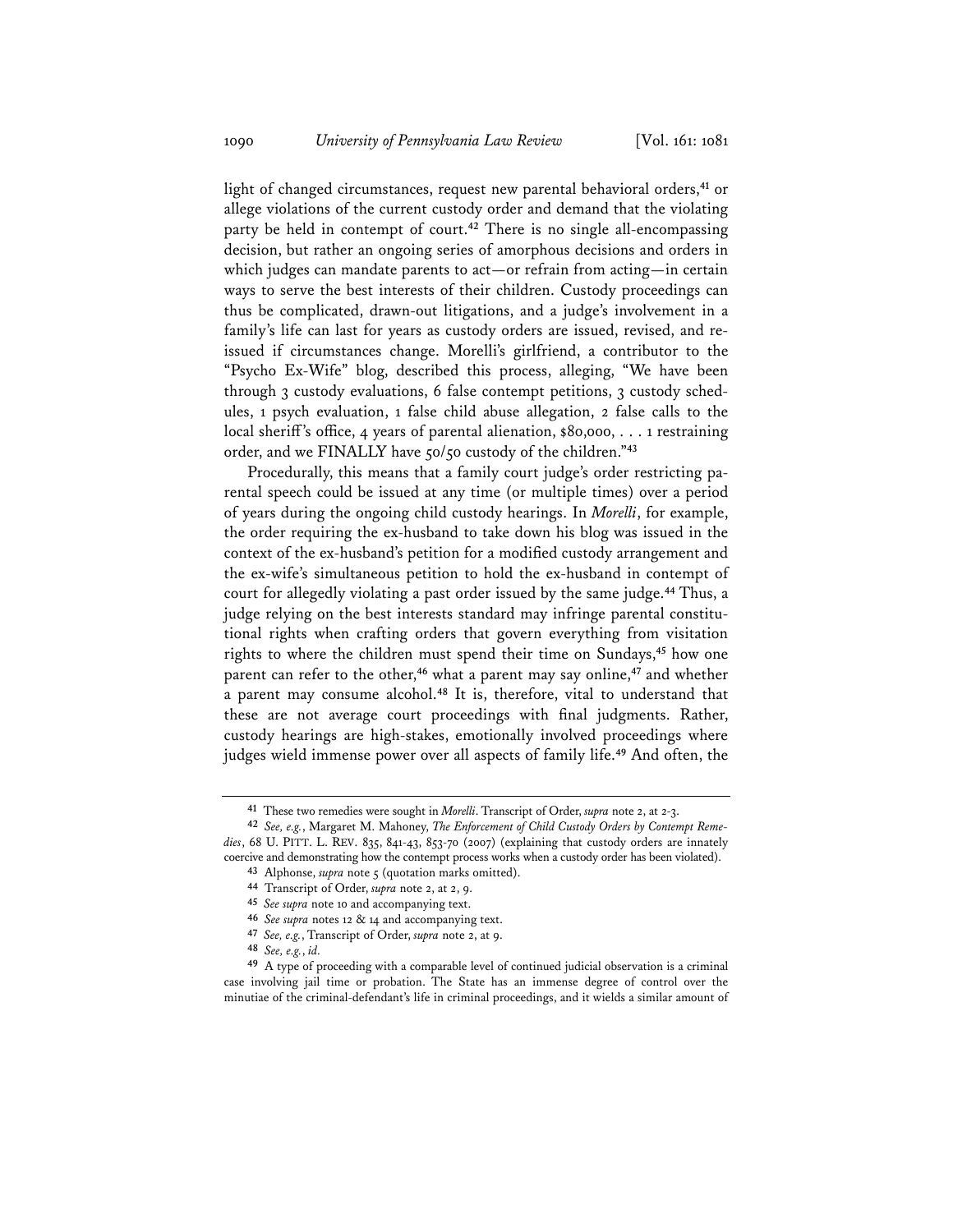light of changed circumstances, request new parental behavioral orders,**<sup>41</sup>** or allege violations of the current custody order and demand that the violating party be held in contempt of court.**<sup>42</sup>** There is no single all-encompassing decision, but rather an ongoing series of amorphous decisions and orders in which judges can mandate parents to act—or refrain from acting—in certain ways to serve the best interests of their children. Custody proceedings can thus be complicated, drawn-out litigations, and a judge's involvement in a family's life can last for years as custody orders are issued, revised, and reissued if circumstances change. Morelli's girlfriend, a contributor to the "Psycho Ex-Wife" blog, described this process, alleging, "We have been through 3 custody evaluations, 6 false contempt petitions, 3 custody schedules, 1 psych evaluation, 1 false child abuse allegation, 2 false calls to the local sheriff's office, 4 years of parental alienation, \$80,000, . . . 1 restraining order, and we FINALLY have 50/50 custody of the children."**<sup>43</sup>**

Procedurally, this means that a family court judge's order restricting parental speech could be issued at any time (or multiple times) over a period of years during the ongoing child custody hearings. In *Morelli*, for example, the order requiring the ex-husband to take down his blog was issued in the context of the ex-husband's petition for a modified custody arrangement and the ex-wife's simultaneous petition to hold the ex-husband in contempt of court for allegedly violating a past order issued by the same judge.**<sup>44</sup>** Thus, a judge relying on the best interests standard may infringe parental constitutional rights when crafting orders that govern everything from visitation rights to where the children must spend their time on Sundays,**<sup>45</sup>** how one parent can refer to the other,**<sup>46</sup>** what a parent may say online,**<sup>47</sup>** and whether a parent may consume alcohol.**<sup>48</sup>** It is, therefore, vital to understand that these are not average court proceedings with final judgments. Rather, custody hearings are high-stakes, emotionally involved proceedings where judges wield immense power over all aspects of family life.**<sup>49</sup>** And often, the

**<sup>48</sup>** *See, e.g.*, *id.*

**<sup>41</sup>** These two remedies were sought in *Morelli*. Transcript of Order, *supra* note 2, at 2-3.

**<sup>42</sup>** *See, e.g.*, Margaret M. Mahoney, *The Enforcement of Child Custody Orders by Contempt Remedies*, 68 U. PITT. L. REV. 835, 841-43, 853-70 (2007) (explaining that custody orders are innately coercive and demonstrating how the contempt process works when a custody order has been violated).

**<sup>43</sup>** Alphonse, *supra* note 5 (quotation marks omitted). **44** Transcript of Order, *supra* note 2, at 2, 9.

**<sup>45</sup>** *See supra* note 10 and accompanying text.

**<sup>46</sup>** *See supra* notes 12 & 14 and accompanying text.

**<sup>47</sup>** *See, e.g.*, Transcript of Order, *supra* note 2, at 9.

**<sup>49</sup>** A type of proceeding with a comparable level of continued judicial observation is a criminal case involving jail time or probation. The State has an immense degree of control over the minutiae of the criminal-defendant's life in criminal proceedings, and it wields a similar amount of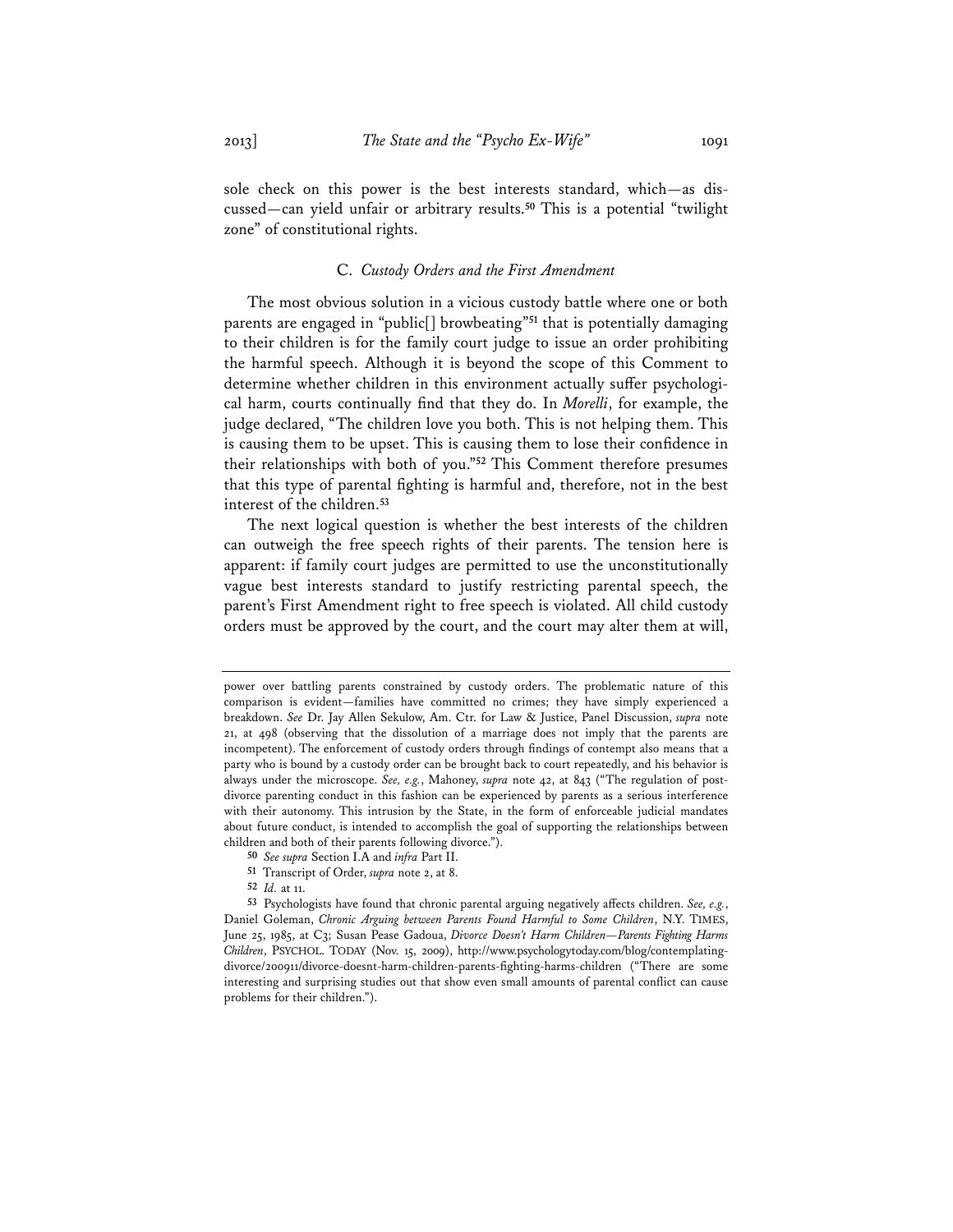sole check on this power is the best interests standard, which—as discussed—can yield unfair or arbitrary results.**<sup>50</sup>** This is a potential "twilight zone" of constitutional rights.

#### C. *Custody Orders and the First Amendment*

The most obvious solution in a vicious custody battle where one or both parents are engaged in "public[] browbeating"**<sup>51</sup>** that is potentially damaging to their children is for the family court judge to issue an order prohibiting the harmful speech. Although it is beyond the scope of this Comment to determine whether children in this environment actually suffer psychological harm, courts continually find that they do. In *Morelli*, for example, the judge declared, "The children love you both. This is not helping them. This is causing them to be upset. This is causing them to lose their confidence in their relationships with both of you."**<sup>52</sup>** This Comment therefore presumes that this type of parental fighting is harmful and, therefore, not in the best interest of the children.**<sup>53</sup>**

The next logical question is whether the best interests of the children can outweigh the free speech rights of their parents. The tension here is apparent: if family court judges are permitted to use the unconstitutionally vague best interests standard to justify restricting parental speech, the parent's First Amendment right to free speech is violated. All child custody orders must be approved by the court, and the court may alter them at will,

power over battling parents constrained by custody orders. The problematic nature of this comparison is evident—families have committed no crimes; they have simply experienced a breakdown. *See* Dr. Jay Allen Sekulow, Am. Ctr. for Law & Justice, Panel Discussion, *supra* note 21, at 498 (observing that the dissolution of a marriage does not imply that the parents are incompetent). The enforcement of custody orders through findings of contempt also means that a party who is bound by a custody order can be brought back to court repeatedly, and his behavior is always under the microscope. *See, e.g.*, Mahoney, *supra* note 42, at 843 ("The regulation of postdivorce parenting conduct in this fashion can be experienced by parents as a serious interference with their autonomy. This intrusion by the State, in the form of enforceable judicial mandates about future conduct, is intended to accomplish the goal of supporting the relationships between children and both of their parents following divorce.").

**<sup>50</sup>** *See supra* Section I.A and *infra* Part II.

**<sup>51</sup>** Transcript of Order, *supra* note 2, at 8.

**<sup>52</sup>** *Id.* at 11. **53** Psychologists have found that chronic parental arguing negatively affects children. *See, e.g.*, Daniel Goleman, *Chronic Arguing between Parents Found Harmful to Some Children*, N.Y. TIMES, June 25, 1985, at C3; Susan Pease Gadoua, *Divorce Doesn't Harm Children—Parents Fighting Harms Children*, PSYCHOL. TODAY (Nov. 15, 2009), http://www.psychologytoday.com/blog/contemplatingdivorce/200911/divorce-doesnt-harm-children-parents-fighting-harms-children ("There are some interesting and surprising studies out that show even small amounts of parental conflict can cause problems for their children.").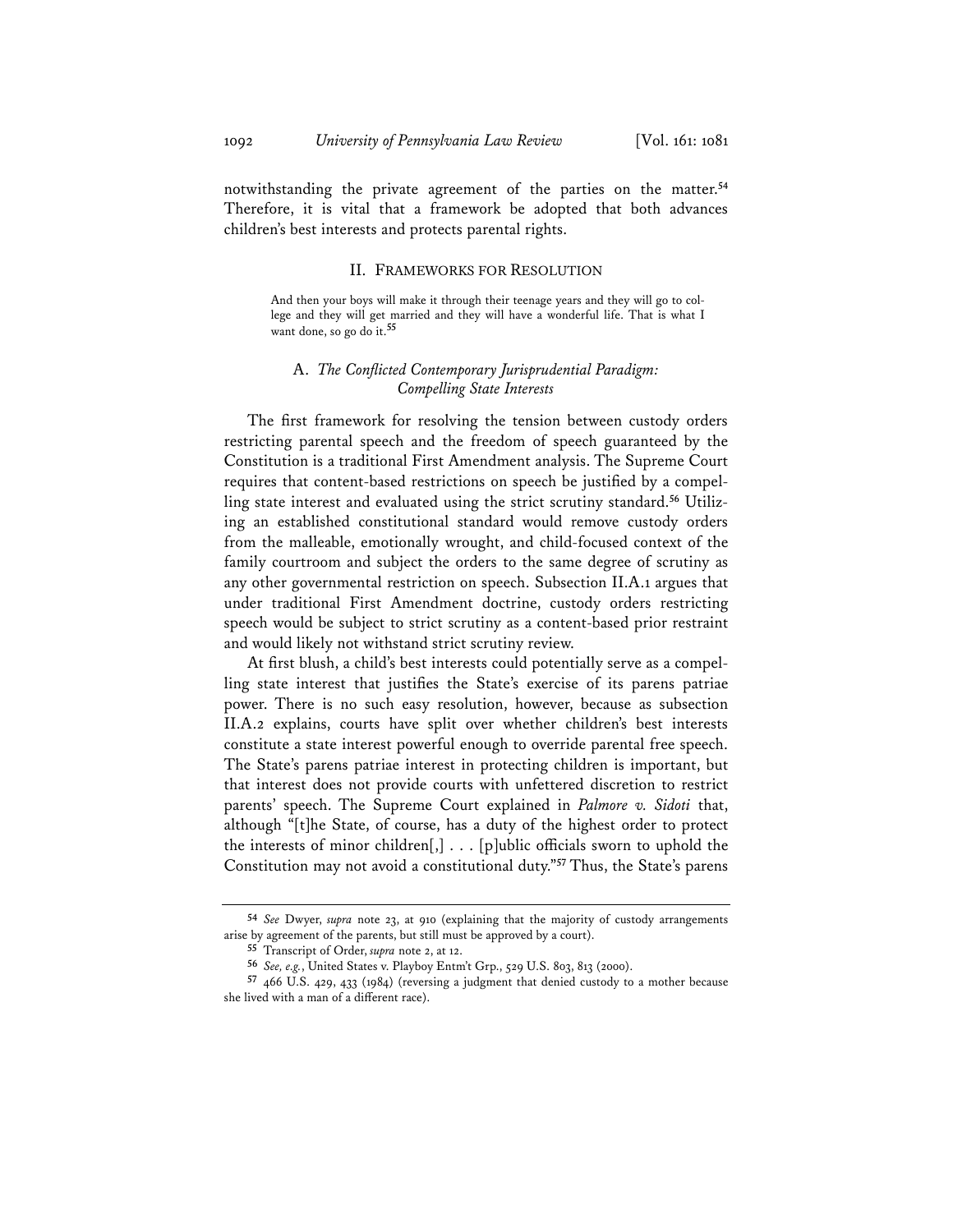notwithstanding the private agreement of the parties on the matter.**<sup>54</sup>** Therefore, it is vital that a framework be adopted that both advances children's best interests and protects parental rights.

#### II. FRAMEWORKS FOR RESOLUTION

And then your boys will make it through their teenage years and they will go to college and they will get married and they will have a wonderful life. That is what I want done, so go do it.**<sup>55</sup>**

## A. *The Conflicted Contemporary Jurisprudential Paradigm: Compelling State Interests*

The first framework for resolving the tension between custody orders restricting parental speech and the freedom of speech guaranteed by the Constitution is a traditional First Amendment analysis. The Supreme Court requires that content-based restrictions on speech be justified by a compelling state interest and evaluated using the strict scrutiny standard.**<sup>56</sup>** Utilizing an established constitutional standard would remove custody orders from the malleable, emotionally wrought, and child-focused context of the family courtroom and subject the orders to the same degree of scrutiny as any other governmental restriction on speech. Subsection II.A.1 argues that under traditional First Amendment doctrine, custody orders restricting speech would be subject to strict scrutiny as a content-based prior restraint and would likely not withstand strict scrutiny review.

At first blush, a child's best interests could potentially serve as a compelling state interest that justifies the State's exercise of its parens patriae power. There is no such easy resolution, however, because as subsection II.A.2 explains, courts have split over whether children's best interests constitute a state interest powerful enough to override parental free speech. The State's parens patriae interest in protecting children is important, but that interest does not provide courts with unfettered discretion to restrict parents' speech. The Supreme Court explained in *Palmore v. Sidoti* that, although "[t]he State, of course, has a duty of the highest order to protect the interests of minor children $[,]$ ... [p]ublic officials sworn to uphold the Constitution may not avoid a constitutional duty."**<sup>57</sup>** Thus, the State's parens

**<sup>54</sup>** *See* Dwyer, *supra* note 23, at 910 (explaining that the majority of custody arrangements arise by agreement of the parents, but still must be approved by a court).

**<sup>55</sup>** Transcript of Order, *supra* note 2, at 12.

**<sup>56</sup>** *See, e.g.*, United States v. Playboy Entm't Grp., 529 U.S. 803, 813 (2000).

**<sup>57</sup>** 466 U.S. 429, 433 (1984) (reversing a judgment that denied custody to a mother because she lived with a man of a different race).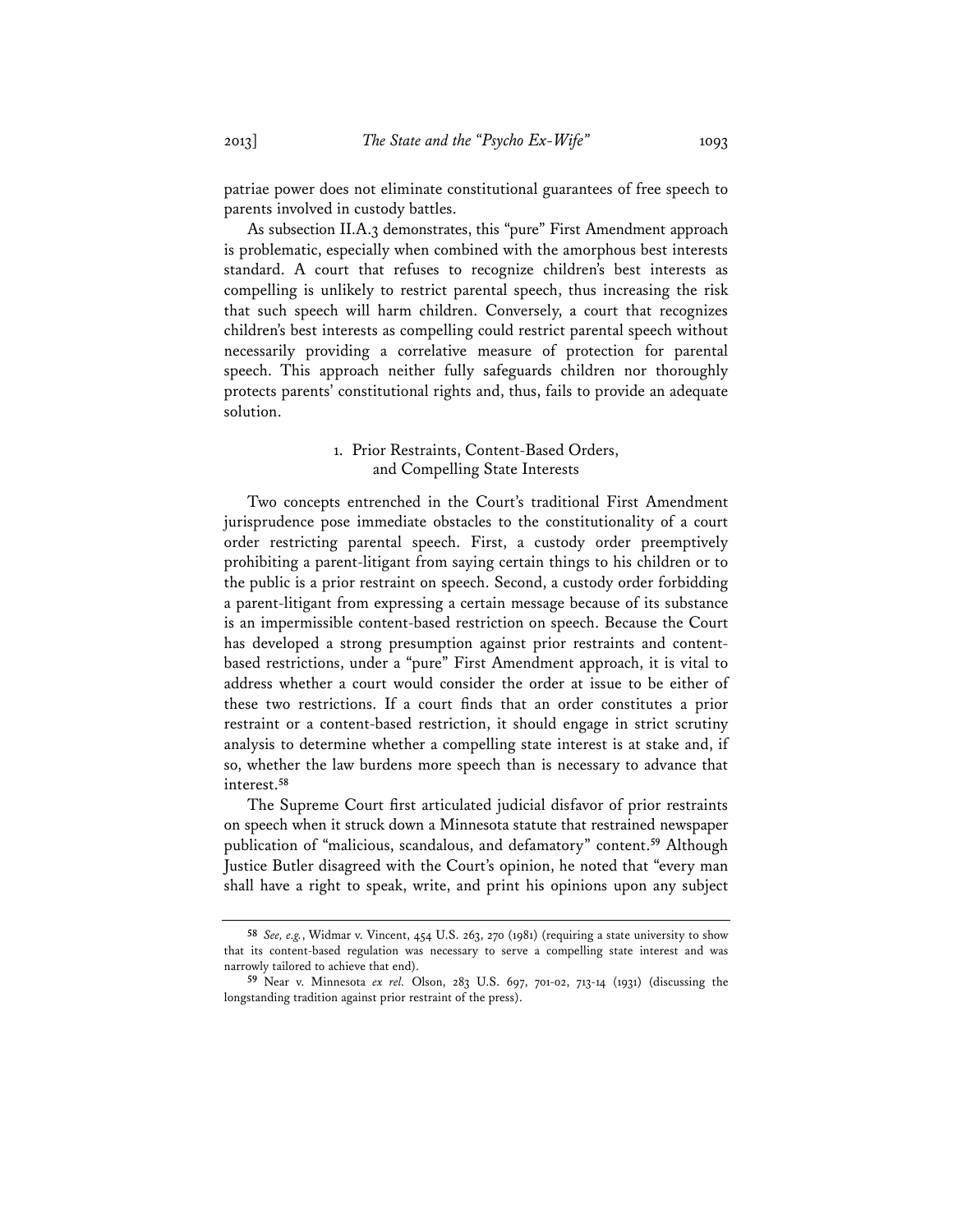patriae power does not eliminate constitutional guarantees of free speech to parents involved in custody battles.

As subsection II.A.3 demonstrates, this "pure" First Amendment approach is problematic, especially when combined with the amorphous best interests standard. A court that refuses to recognize children's best interests as compelling is unlikely to restrict parental speech, thus increasing the risk that such speech will harm children. Conversely, a court that recognizes children's best interests as compelling could restrict parental speech without necessarily providing a correlative measure of protection for parental speech. This approach neither fully safeguards children nor thoroughly protects parents' constitutional rights and, thus, fails to provide an adequate solution.

## 1. Prior Restraints, Content-Based Orders, and Compelling State Interests

Two concepts entrenched in the Court's traditional First Amendment jurisprudence pose immediate obstacles to the constitutionality of a court order restricting parental speech. First, a custody order preemptively prohibiting a parent-litigant from saying certain things to his children or to the public is a prior restraint on speech. Second, a custody order forbidding a parent-litigant from expressing a certain message because of its substance is an impermissible content-based restriction on speech. Because the Court has developed a strong presumption against prior restraints and contentbased restrictions, under a "pure" First Amendment approach, it is vital to address whether a court would consider the order at issue to be either of these two restrictions. If a court finds that an order constitutes a prior restraint or a content-based restriction, it should engage in strict scrutiny analysis to determine whether a compelling state interest is at stake and, if so, whether the law burdens more speech than is necessary to advance that interest.**<sup>58</sup>**

The Supreme Court first articulated judicial disfavor of prior restraints on speech when it struck down a Minnesota statute that restrained newspaper publication of "malicious, scandalous, and defamatory" content.**<sup>59</sup>** Although Justice Butler disagreed with the Court's opinion, he noted that "every man shall have a right to speak, write, and print his opinions upon any subject

**<sup>58</sup>** *See, e.g.*, Widmar v. Vincent, 454 U.S. 263, 270 (1981) (requiring a state university to show that its content-based regulation was necessary to serve a compelling state interest and was narrowly tailored to achieve that end).

**<sup>59</sup>** Near v. Minnesota *ex rel.* Olson, 283 U.S. 697, 701-02, 713-14 (1931) (discussing the longstanding tradition against prior restraint of the press).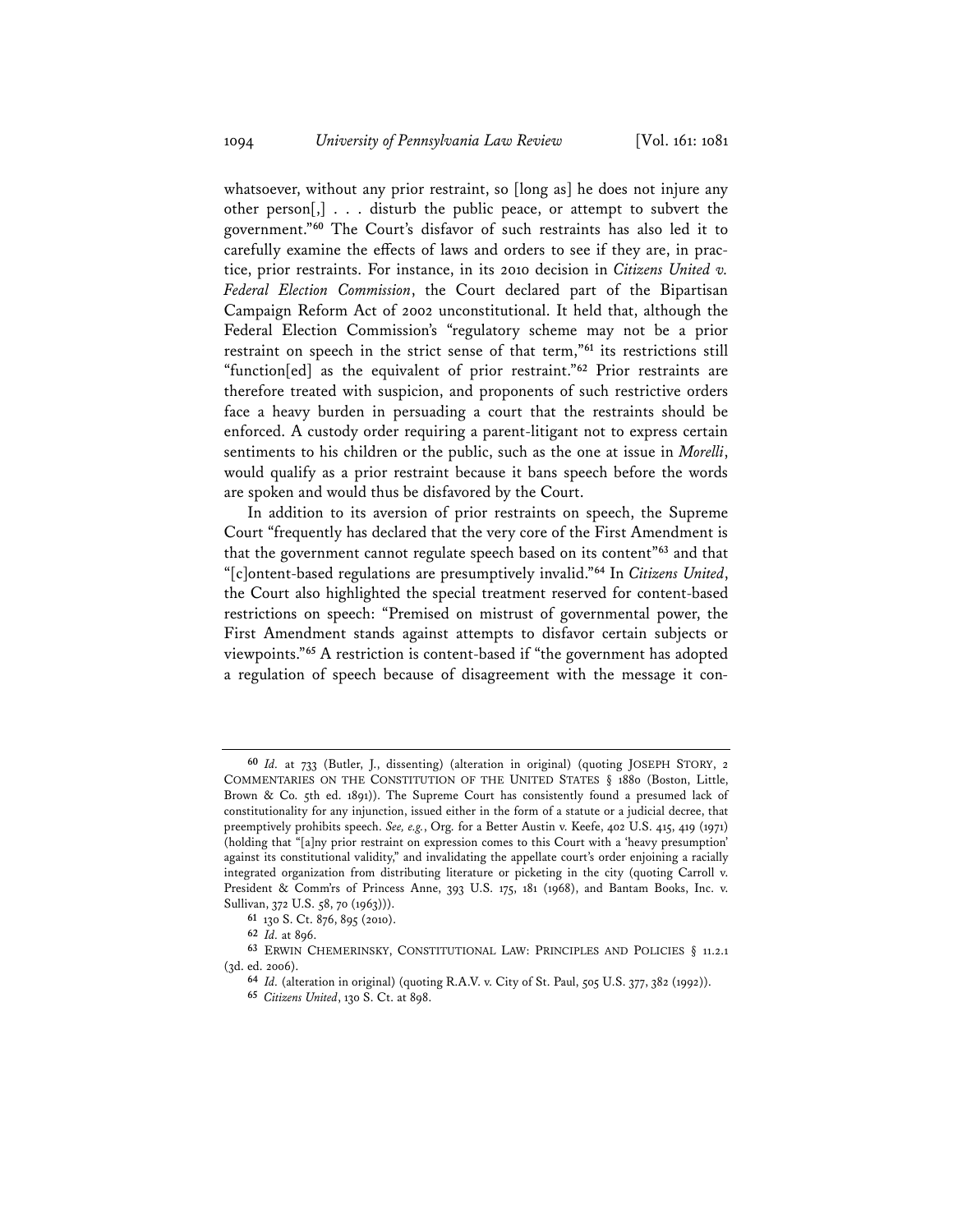whatsoever, without any prior restraint, so [long as] he does not injure any other person[,] . . . disturb the public peace, or attempt to subvert the government."**<sup>60</sup>** The Court's disfavor of such restraints has also led it to carefully examine the effects of laws and orders to see if they are, in practice, prior restraints. For instance, in its 2010 decision in *Citizens United v. Federal Election Commission*, the Court declared part of the Bipartisan Campaign Reform Act of 2002 unconstitutional. It held that, although the Federal Election Commission's "regulatory scheme may not be a prior restraint on speech in the strict sense of that term,"**<sup>61</sup>** its restrictions still "function[ed] as the equivalent of prior restraint."**<sup>62</sup>** Prior restraints are therefore treated with suspicion, and proponents of such restrictive orders face a heavy burden in persuading a court that the restraints should be enforced. A custody order requiring a parent-litigant not to express certain sentiments to his children or the public, such as the one at issue in *Morelli*, would qualify as a prior restraint because it bans speech before the words are spoken and would thus be disfavored by the Court.

In addition to its aversion of prior restraints on speech, the Supreme Court "frequently has declared that the very core of the First Amendment is that the government cannot regulate speech based on its content"**<sup>63</sup>** and that "[c]ontent-based regulations are presumptively invalid."**<sup>64</sup>** In *Citizens United*, the Court also highlighted the special treatment reserved for content-based restrictions on speech: "Premised on mistrust of governmental power, the First Amendment stands against attempts to disfavor certain subjects or viewpoints."**<sup>65</sup>** A restriction is content-based if "the government has adopted a regulation of speech because of disagreement with the message it con-

**<sup>61</sup>** 130 S. Ct. 876, 895 (2010).

**<sup>62</sup>** *Id.* at 896.

**<sup>60</sup>** *Id.* at 733 (Butler, J., dissenting) (alteration in original) (quoting JOSEPH STORY, 2 COMMENTARIES ON THE CONSTITUTION OF THE UNITED STATES § 1880 (Boston, Little, Brown & Co. 5th ed. 1891)). The Supreme Court has consistently found a presumed lack of constitutionality for any injunction, issued either in the form of a statute or a judicial decree, that preemptively prohibits speech. *See, e.g.*, Org. for a Better Austin v. Keefe, 402 U.S. 415, 419 (1971) (holding that "[a]ny prior restraint on expression comes to this Court with a 'heavy presumption' against its constitutional validity," and invalidating the appellate court's order enjoining a racially integrated organization from distributing literature or picketing in the city (quoting Carroll v. President & Comm'rs of Princess Anne, 393 U.S. 175, 181 (1968), and Bantam Books, Inc. v. Sullivan, 372 U.S. 58, 70 (1963))).

**<sup>63</sup>** ERWIN CHEMERINSKY, CONSTITUTIONAL LAW: PRINCIPLES AND POLICIES § 11.2.1 (3d. ed. 2006).

**<sup>64</sup>** *Id.* (alteration in original) (quoting R.A.V. v. City of St. Paul, 505 U.S. 377, 382 (1992)).

**<sup>65</sup>** *Citizens United*, 130 S. Ct. at 898.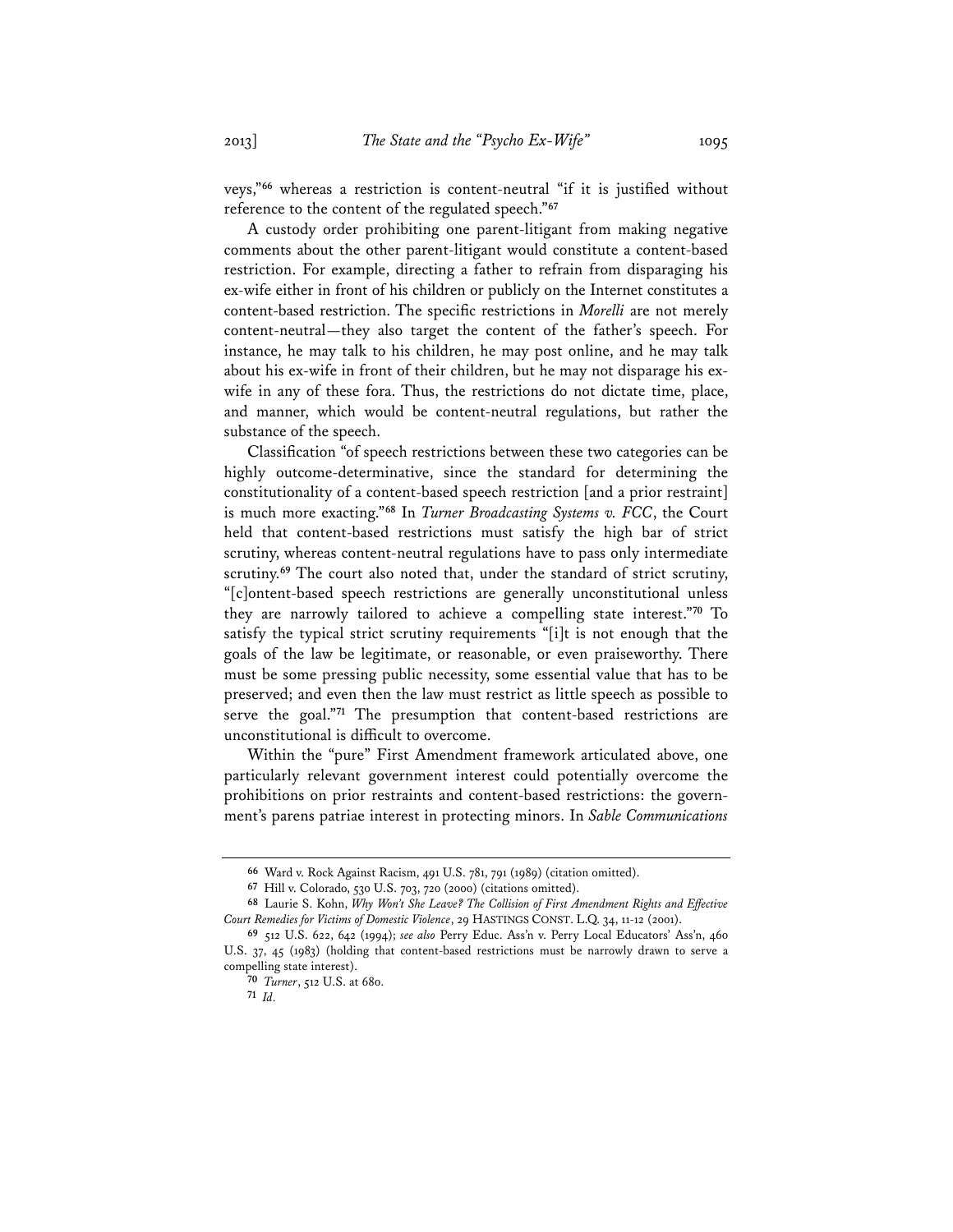veys,"**<sup>66</sup>** whereas a restriction is content-neutral "if it is justified without

reference to the content of the regulated speech."**<sup>67</sup>** A custody order prohibiting one parent-litigant from making negative comments about the other parent-litigant would constitute a content-based restriction. For example, directing a father to refrain from disparaging his ex-wife either in front of his children or publicly on the Internet constitutes a content-based restriction. The specific restrictions in *Morelli* are not merely content-neutral—they also target the content of the father's speech. For instance, he may talk to his children, he may post online, and he may talk about his ex-wife in front of their children, but he may not disparage his exwife in any of these fora. Thus, the restrictions do not dictate time, place, and manner, which would be content-neutral regulations, but rather the substance of the speech.

Classification "of speech restrictions between these two categories can be highly outcome-determinative, since the standard for determining the constitutionality of a content-based speech restriction [and a prior restraint] is much more exacting."**<sup>68</sup>** In *Turner Broadcasting Systems v. FCC*, the Court held that content-based restrictions must satisfy the high bar of strict scrutiny, whereas content-neutral regulations have to pass only intermediate scrutiny.<sup>69</sup> The court also noted that, under the standard of strict scrutiny, "[c]ontent-based speech restrictions are generally unconstitutional unless they are narrowly tailored to achieve a compelling state interest."**<sup>70</sup>** To satisfy the typical strict scrutiny requirements "[i]t is not enough that the goals of the law be legitimate, or reasonable, or even praiseworthy. There must be some pressing public necessity, some essential value that has to be preserved; and even then the law must restrict as little speech as possible to serve the goal."**<sup>71</sup>** The presumption that content-based restrictions are unconstitutional is difficult to overcome.

Within the "pure" First Amendment framework articulated above, one particularly relevant government interest could potentially overcome the prohibitions on prior restraints and content-based restrictions: the government's parens patriae interest in protecting minors. In *Sable Communications* 

**<sup>71</sup>** *Id.*

**<sup>66</sup>** Ward v. Rock Against Racism, 491 U.S. 781, 791 (1989) (citation omitted).

**<sup>67</sup>** Hill v. Colorado, 530 U.S. 703, 720 (2000) (citations omitted).

**<sup>68</sup>** Laurie S. Kohn, *Why Won't She Leave? The Collision of First Amendment Rights and Effective Court Remedies for Victims of Domestic Violence*, 29 HASTINGS CONST. L.Q. 34, 11-12 (2001).

**<sup>69</sup>** 512 U.S. 622, 642 (1994); *see also* Perry Educ. Ass'n v. Perry Local Educators' Ass'n, 460 U.S. 37, 45 (1983) (holding that content-based restrictions must be narrowly drawn to serve a compelling state interest).

**<sup>70</sup>** *Turner*, 512 U.S. at 680.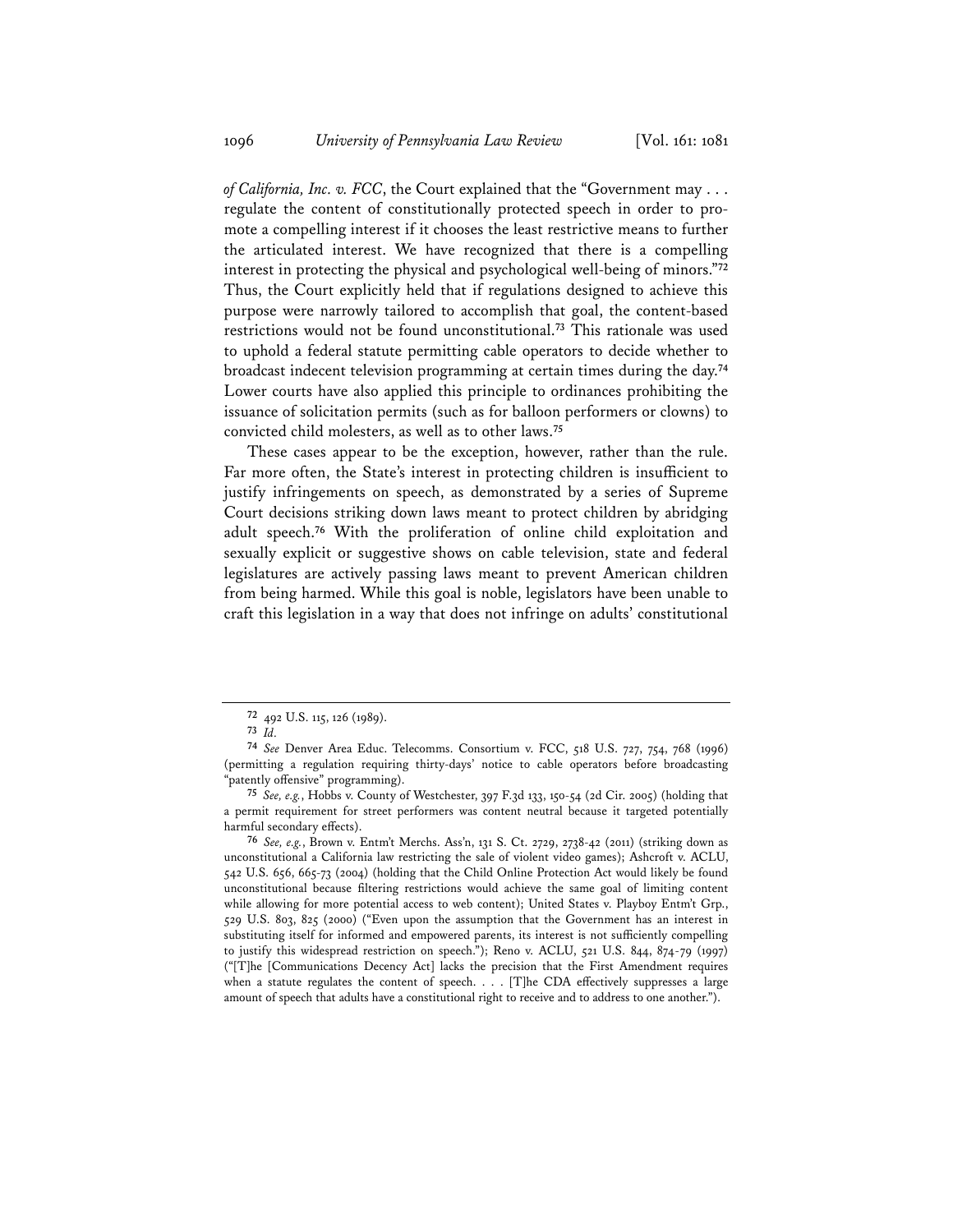*of California, Inc. v. FCC*, the Court explained that the "Government may . . . regulate the content of constitutionally protected speech in order to promote a compelling interest if it chooses the least restrictive means to further the articulated interest. We have recognized that there is a compelling interest in protecting the physical and psychological well-being of minors."**<sup>72</sup>** Thus, the Court explicitly held that if regulations designed to achieve this purpose were narrowly tailored to accomplish that goal, the content-based restrictions would not be found unconstitutional.**<sup>73</sup>** This rationale was used to uphold a federal statute permitting cable operators to decide whether to broadcast indecent television programming at certain times during the day.**<sup>74</sup>** Lower courts have also applied this principle to ordinances prohibiting the issuance of solicitation permits (such as for balloon performers or clowns) to convicted child molesters, as well as to other laws.**<sup>75</sup>**

These cases appear to be the exception, however, rather than the rule. Far more often, the State's interest in protecting children is insufficient to justify infringements on speech, as demonstrated by a series of Supreme Court decisions striking down laws meant to protect children by abridging adult speech.**<sup>76</sup>** With the proliferation of online child exploitation and sexually explicit or suggestive shows on cable television, state and federal legislatures are actively passing laws meant to prevent American children from being harmed. While this goal is noble, legislators have been unable to craft this legislation in a way that does not infringe on adults' constitutional

**<sup>72</sup>** 492 U.S. 115, 126 (1989).

**<sup>73</sup>** *Id.*

**<sup>74</sup>** *See* Denver Area Educ. Telecomms. Consortium v. FCC, 518 U.S. 727, 754, 768 (1996) (permitting a regulation requiring thirty-days' notice to cable operators before broadcasting "patently offensive" programming).

**<sup>75</sup>** *See, e.g.*, Hobbs v. County of Westchester, 397 F.3d 133, 150-54 (2d Cir. 2005) (holding that a permit requirement for street performers was content neutral because it targeted potentially harmful secondary effects).

**<sup>76</sup>** *See, e.g.*, Brown v. Entm't Merchs. Ass'n, 131 S. Ct. 2729, 2738-42 (2011) (striking down as unconstitutional a California law restricting the sale of violent video games); Ashcroft v. ACLU, 542 U.S. 656, 665-73 (2004) (holding that the Child Online Protection Act would likely be found unconstitutional because filtering restrictions would achieve the same goal of limiting content while allowing for more potential access to web content); United States v. Playboy Entm't Grp., 529 U.S. 803, 825 (2000) ("Even upon the assumption that the Government has an interest in substituting itself for informed and empowered parents, its interest is not sufficiently compelling to justify this widespread restriction on speech."); Reno v. ACLU, 521 U.S. 844, 874-79 (1997) ("[T]he [Communications Decency Act] lacks the precision that the First Amendment requires when a statute regulates the content of speech. . . . [T]he CDA effectively suppresses a large amount of speech that adults have a constitutional right to receive and to address to one another.").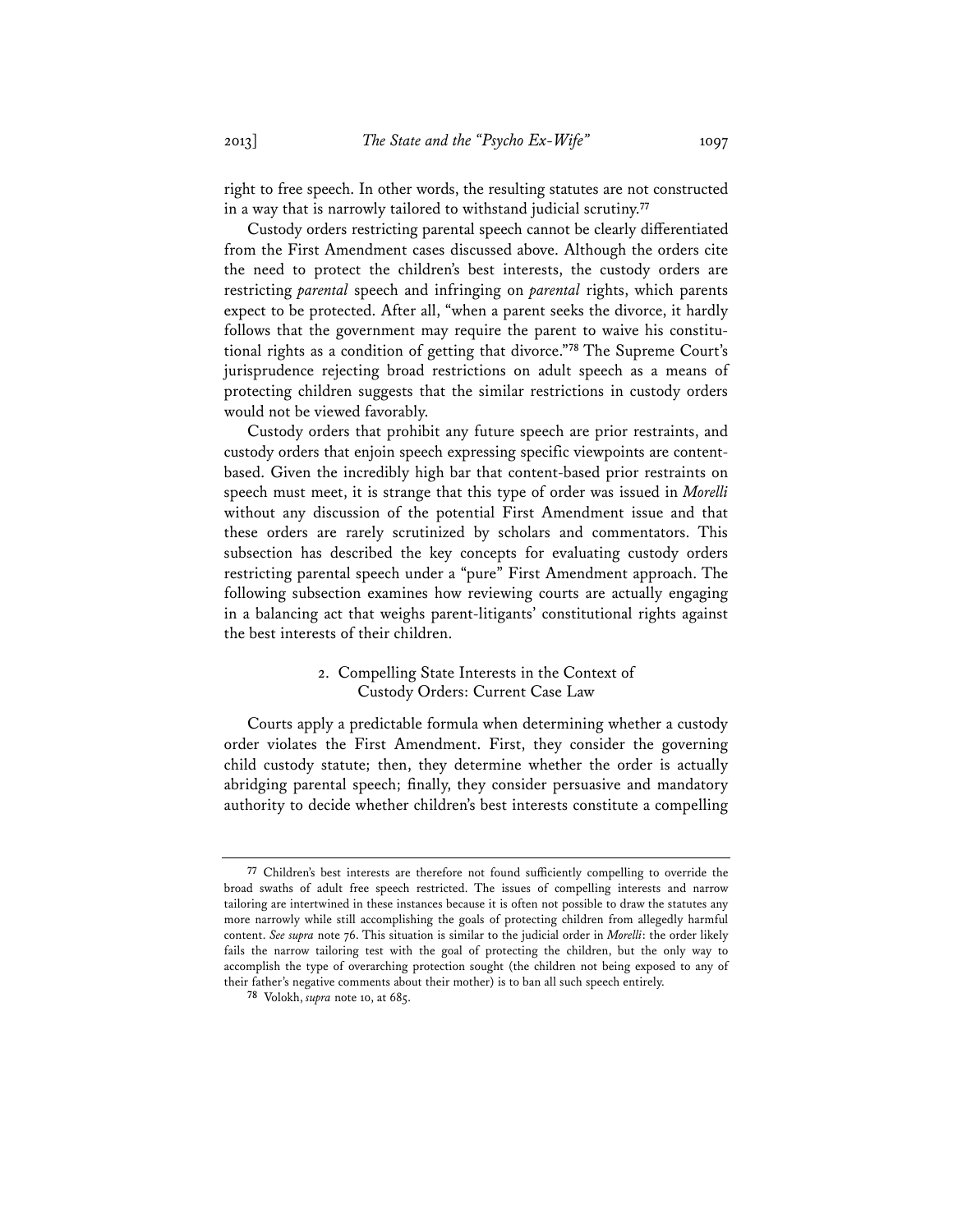right to free speech. In other words, the resulting statutes are not constructed in a way that is narrowly tailored to withstand judicial scrutiny.**<sup>77</sup>**

Custody orders restricting parental speech cannot be clearly differentiated from the First Amendment cases discussed above. Although the orders cite the need to protect the children's best interests, the custody orders are restricting *parental* speech and infringing on *parental* rights, which parents expect to be protected. After all, "when a parent seeks the divorce, it hardly follows that the government may require the parent to waive his constitutional rights as a condition of getting that divorce."**<sup>78</sup>** The Supreme Court's jurisprudence rejecting broad restrictions on adult speech as a means of protecting children suggests that the similar restrictions in custody orders would not be viewed favorably.

Custody orders that prohibit any future speech are prior restraints, and custody orders that enjoin speech expressing specific viewpoints are contentbased. Given the incredibly high bar that content-based prior restraints on speech must meet, it is strange that this type of order was issued in *Morelli* without any discussion of the potential First Amendment issue and that these orders are rarely scrutinized by scholars and commentators. This subsection has described the key concepts for evaluating custody orders restricting parental speech under a "pure" First Amendment approach. The following subsection examines how reviewing courts are actually engaging in a balancing act that weighs parent-litigants' constitutional rights against the best interests of their children.

## 2. Compelling State Interests in the Context of Custody Orders: Current Case Law

Courts apply a predictable formula when determining whether a custody order violates the First Amendment. First, they consider the governing child custody statute; then, they determine whether the order is actually abridging parental speech; finally, they consider persuasive and mandatory authority to decide whether children's best interests constitute a compelling

**<sup>77</sup>** Children's best interests are therefore not found sufficiently compelling to override the broad swaths of adult free speech restricted. The issues of compelling interests and narrow tailoring are intertwined in these instances because it is often not possible to draw the statutes any more narrowly while still accomplishing the goals of protecting children from allegedly harmful content. *See supra* note 76. This situation is similar to the judicial order in *Morelli*: the order likely fails the narrow tailoring test with the goal of protecting the children, but the only way to accomplish the type of overarching protection sought (the children not being exposed to any of their father's negative comments about their mother) is to ban all such speech entirely.

**<sup>78</sup>** Volokh, *supra* note 10, at 685.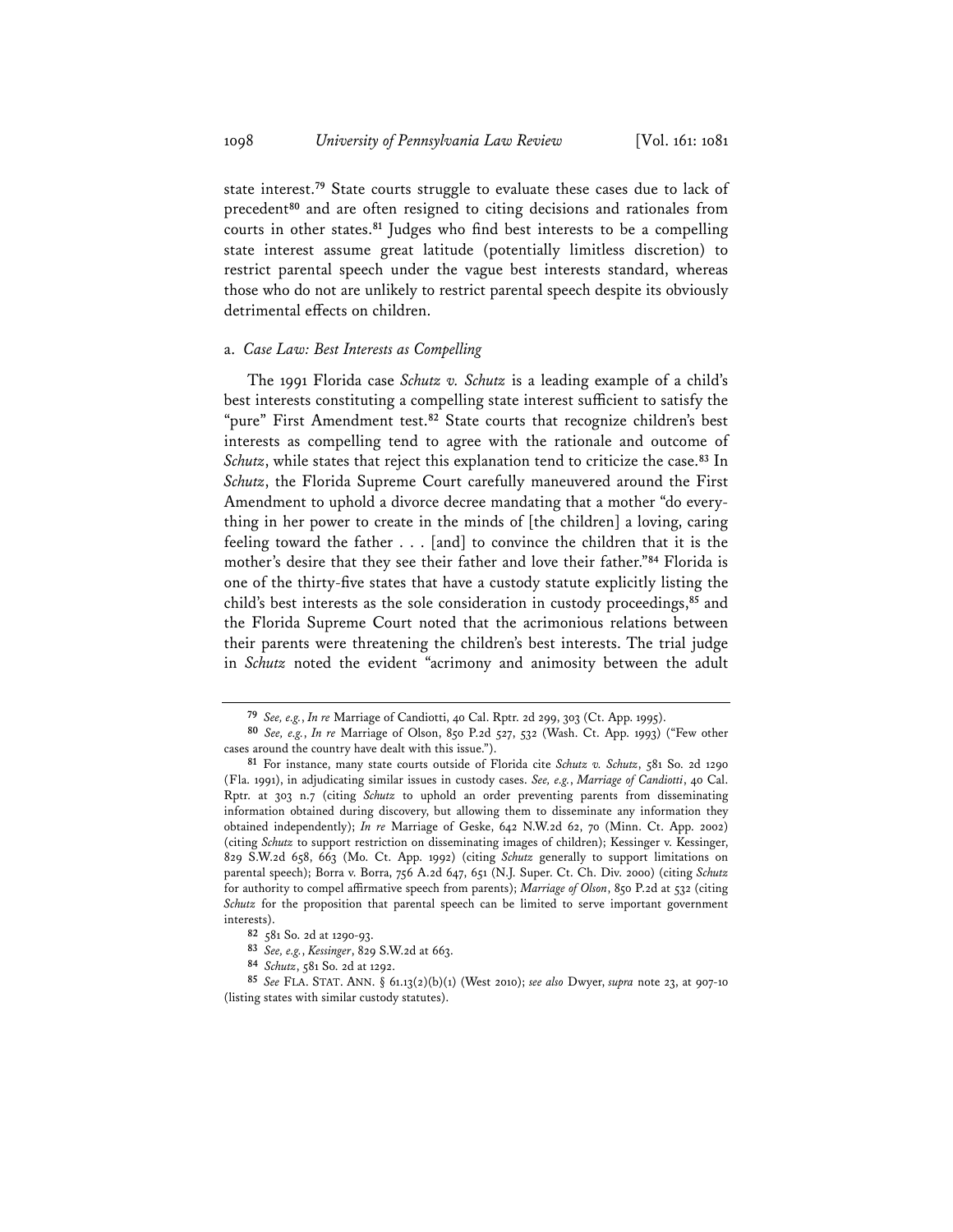state interest.**<sup>79</sup>** State courts struggle to evaluate these cases due to lack of precedent**<sup>80</sup>** and are often resigned to citing decisions and rationales from courts in other states.**<sup>81</sup>** Judges who find best interests to be a compelling state interest assume great latitude (potentially limitless discretion) to restrict parental speech under the vague best interests standard, whereas those who do not are unlikely to restrict parental speech despite its obviously detrimental effects on children.

#### a. *Case Law: Best Interests as Compelling*

The 1991 Florida case *Schutz v. Schutz* is a leading example of a child's best interests constituting a compelling state interest sufficient to satisfy the "pure" First Amendment test.**<sup>82</sup>** State courts that recognize children's best interests as compelling tend to agree with the rationale and outcome of *Schutz*, while states that reject this explanation tend to criticize the case.**<sup>83</sup>** In *Schutz*, the Florida Supreme Court carefully maneuvered around the First Amendment to uphold a divorce decree mandating that a mother "do everything in her power to create in the minds of [the children] a loving, caring feeling toward the father . . . [and] to convince the children that it is the mother's desire that they see their father and love their father."**<sup>84</sup>** Florida is one of the thirty-five states that have a custody statute explicitly listing the child's best interests as the sole consideration in custody proceedings,**<sup>85</sup>** and the Florida Supreme Court noted that the acrimonious relations between their parents were threatening the children's best interests. The trial judge in *Schutz* noted the evident "acrimony and animosity between the adult

**<sup>79</sup>** *See, e.g.*, *In re* Marriage of Candiotti, 40 Cal. Rptr. 2d 299, 303 (Ct. App. 1995).

**<sup>80</sup>** *See, e.g.*, *In re* Marriage of Olson, 850 P.2d 527, 532 (Wash. Ct. App. 1993) ("Few other cases around the country have dealt with this issue.").

**<sup>81</sup>** For instance, many state courts outside of Florida cite *Schutz v. Schutz*, 581 So. 2d 1290 (Fla. 1991), in adjudicating similar issues in custody cases. *See, e.g.*, *Marriage of Candiotti*, 40 Cal. Rptr. at 303 n.7 (citing *Schutz* to uphold an order preventing parents from disseminating information obtained during discovery, but allowing them to disseminate any information they obtained independently); *In re* Marriage of Geske, 642 N.W.2d 62, 70 (Minn. Ct. App. 2002) (citing *Schutz* to support restriction on disseminating images of children); Kessinger v. Kessinger, 829 S.W.2d 658, 663 (Mo. Ct. App. 1992) (citing *Schutz* generally to support limitations on parental speech); Borra v. Borra, 756 A.2d 647, 651 (N.J. Super. Ct. Ch. Div. 2000) (citing *Schutz* for authority to compel affirmative speech from parents); *Marriage of Olson*, 850 P.2d at 532 (citing *Schutz* for the proposition that parental speech can be limited to serve important government interests).

**<sup>82</sup>** 581 So. 2d at 1290-93.

**<sup>83</sup>** *See, e.g.*, *Kessinger*, 829 S.W.2d at 663.

**<sup>84</sup>** *Schutz*, 581 So. 2d at 1292.

**<sup>85</sup>** *See* FLA. STAT. ANN. § 61.13(2)(b)(1) (West 2010); *see also* Dwyer, *supra* note 23, at 907-10 (listing states with similar custody statutes).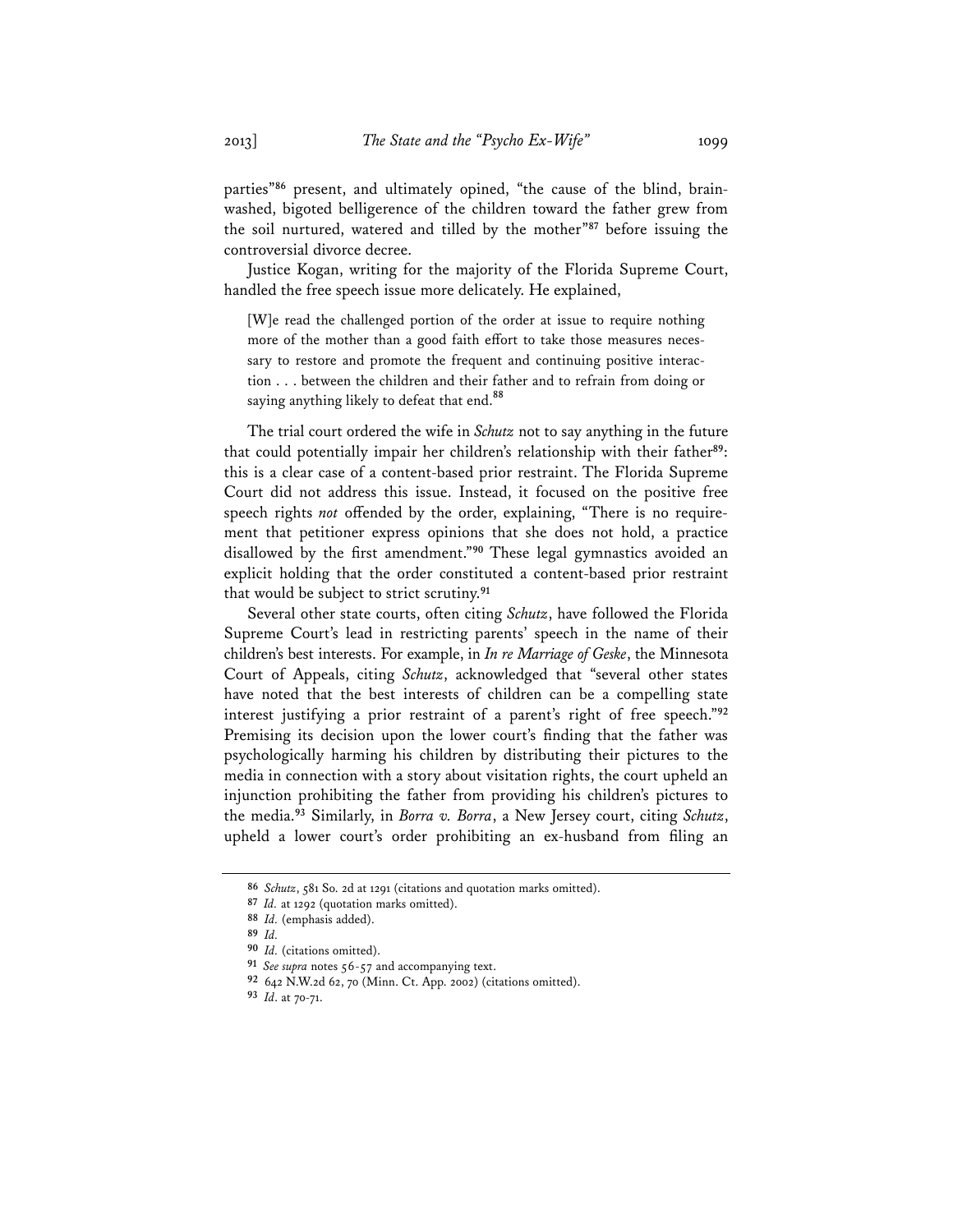parties"**<sup>86</sup>** present, and ultimately opined, "the cause of the blind, brainwashed, bigoted belligerence of the children toward the father grew from the soil nurtured, watered and tilled by the mother"**<sup>87</sup>** before issuing the controversial divorce decree.

Justice Kogan, writing for the majority of the Florida Supreme Court, handled the free speech issue more delicately. He explained,

[W]e read the challenged portion of the order at issue to require nothing more of the mother than a good faith effort to take those measures necessary to restore and promote the frequent and continuing positive interaction . . . between the children and their father and to refrain from doing or saying anything likely to defeat that end.**<sup>88</sup>**

The trial court ordered the wife in *Schutz* not to say anything in the future that could potentially impair her children's relationship with their father**<sup>89</sup>**: this is a clear case of a content-based prior restraint. The Florida Supreme Court did not address this issue. Instead, it focused on the positive free speech rights *not* offended by the order, explaining, "There is no requirement that petitioner express opinions that she does not hold, a practice disallowed by the first amendment."**<sup>90</sup>** These legal gymnastics avoided an explicit holding that the order constituted a content-based prior restraint that would be subject to strict scrutiny.**<sup>91</sup>**

Several other state courts, often citing *Schutz*, have followed the Florida Supreme Court's lead in restricting parents' speech in the name of their children's best interests. For example, in *In re Marriage of Geske*, the Minnesota Court of Appeals, citing *Schutz*, acknowledged that "several other states have noted that the best interests of children can be a compelling state interest justifying a prior restraint of a parent's right of free speech."**<sup>92</sup>** Premising its decision upon the lower court's finding that the father was psychologically harming his children by distributing their pictures to the media in connection with a story about visitation rights, the court upheld an injunction prohibiting the father from providing his children's pictures to the media.**<sup>93</sup>** Similarly, in *Borra v. Borra*, a New Jersey court, citing *Schutz*, upheld a lower court's order prohibiting an ex-husband from filing an

**<sup>86</sup>** *Schutz*, 581 So. 2d at 1291 (citations and quotation marks omitted).

**<sup>87</sup>** *Id.* at 1292 (quotation marks omitted).

**<sup>88</sup>** *Id.* (emphasis added).

**<sup>89</sup>** *Id.*

**<sup>90</sup>** *Id.* (citations omitted).

**<sup>91</sup>** *See supra* notes 56-57 and accompanying text.

**<sup>92</sup>** 642 N.W.2d 62, 70 (Minn. Ct. App. 2002) (citations omitted).

**<sup>93</sup>** *Id*. at 70-71.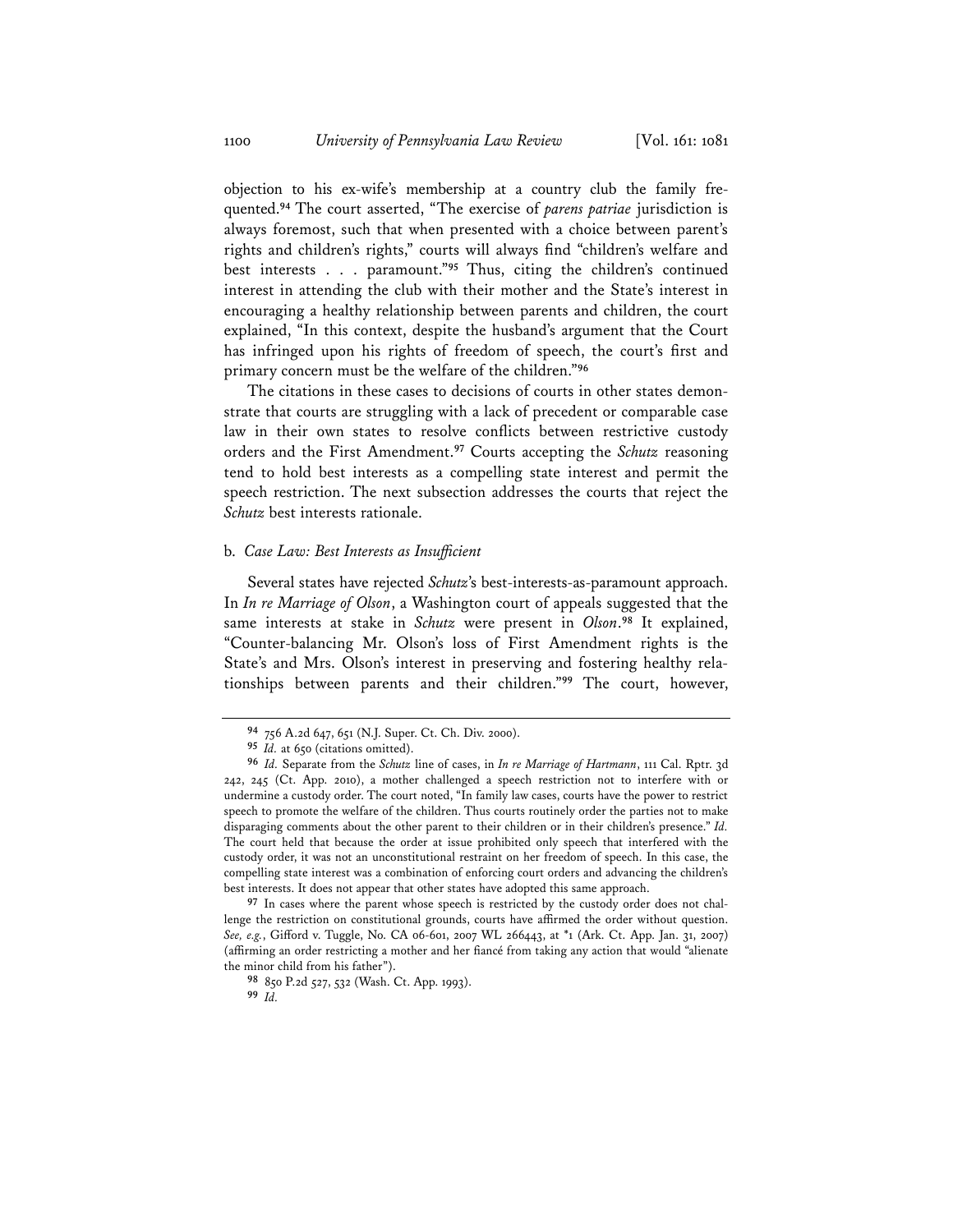objection to his ex-wife's membership at a country club the family frequented.**<sup>94</sup>** The court asserted, "The exercise of *parens patriae* jurisdiction is always foremost, such that when presented with a choice between parent's rights and children's rights," courts will always find "children's welfare and best interests . . . paramount."**<sup>95</sup>** Thus, citing the children's continued interest in attending the club with their mother and the State's interest in encouraging a healthy relationship between parents and children, the court explained, "In this context, despite the husband's argument that the Court has infringed upon his rights of freedom of speech, the court's first and primary concern must be the welfare of the children."**<sup>96</sup>**

The citations in these cases to decisions of courts in other states demonstrate that courts are struggling with a lack of precedent or comparable case law in their own states to resolve conflicts between restrictive custody orders and the First Amendment.**<sup>97</sup>** Courts accepting the *Schutz* reasoning tend to hold best interests as a compelling state interest and permit the speech restriction. The next subsection addresses the courts that reject the *Schutz* best interests rationale.

#### b. *Case Law: Best Interests as Insufficient*

Several states have rejected *Schutz*'s best-interests-as-paramount approach. In *In re Marriage of Olson*, a Washington court of appeals suggested that the same interests at stake in *Schutz* were present in *Olson*. **<sup>98</sup>** It explained, "Counter-balancing Mr. Olson's loss of First Amendment rights is the State's and Mrs. Olson's interest in preserving and fostering healthy relationships between parents and their children."**<sup>99</sup>** The court, however,

**<sup>97</sup>** In cases where the parent whose speech is restricted by the custody order does not challenge the restriction on constitutional grounds, courts have affirmed the order without question. *See, e.g.*, Gifford v. Tuggle, No. CA 06-601, 2007 WL 266443, at \*1 (Ark. Ct. App. Jan. 31, 2007) (affirming an order restricting a mother and her fiancé from taking any action that would "alienate the minor child from his father").

**<sup>94</sup>** 756 A.2d 647, 651 (N.J. Super. Ct. Ch. Div. 2000).

**<sup>95</sup>** *Id.* at 650 (citations omitted).

**<sup>96</sup>** *Id.* Separate from the *Schutz* line of cases, in *In re Marriage of Hartmann*, 111 Cal. Rptr. 3d 242, 245 (Ct. App. 2010), a mother challenged a speech restriction not to interfere with or undermine a custody order. The court noted, "In family law cases, courts have the power to restrict speech to promote the welfare of the children. Thus courts routinely order the parties not to make disparaging comments about the other parent to their children or in their children's presence." *Id.* The court held that because the order at issue prohibited only speech that interfered with the custody order, it was not an unconstitutional restraint on her freedom of speech. In this case, the compelling state interest was a combination of enforcing court orders and advancing the children's best interests. It does not appear that other states have adopted this same approach.

**<sup>98</sup>** 850 P.2d 527, 532 (Wash. Ct. App. 1993). **<sup>99</sup>** *Id.*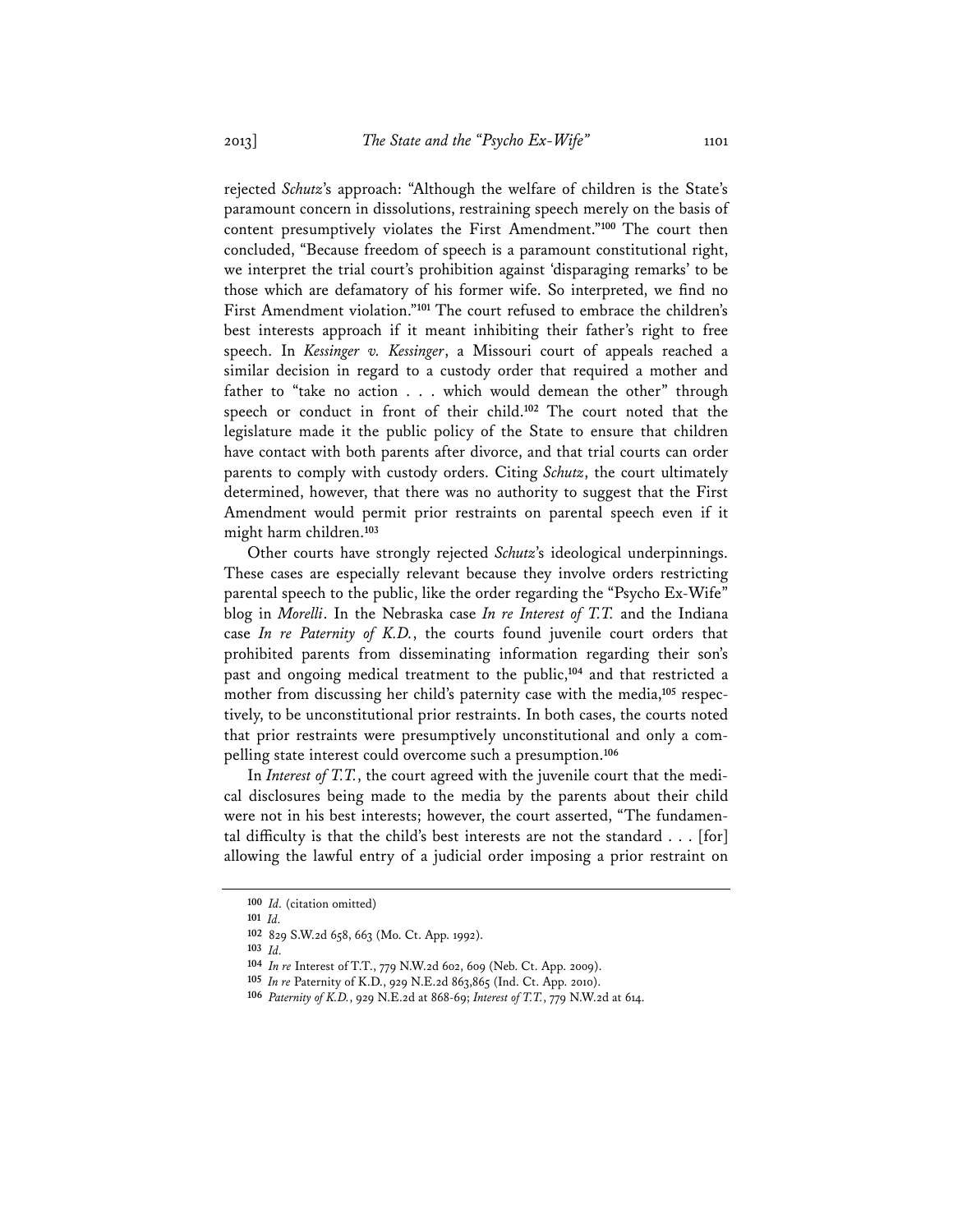rejected *Schutz*'s approach: "Although the welfare of children is the State's paramount concern in dissolutions, restraining speech merely on the basis of content presumptively violates the First Amendment."**<sup>100</sup>** The court then concluded, "Because freedom of speech is a paramount constitutional right, we interpret the trial court's prohibition against 'disparaging remarks' to be those which are defamatory of his former wife. So interpreted, we find no First Amendment violation."**<sup>101</sup>** The court refused to embrace the children's best interests approach if it meant inhibiting their father's right to free speech. In *Kessinger v. Kessinger*, a Missouri court of appeals reached a similar decision in regard to a custody order that required a mother and father to "take no action . . . which would demean the other" through speech or conduct in front of their child.**<sup>102</sup>** The court noted that the legislature made it the public policy of the State to ensure that children have contact with both parents after divorce, and that trial courts can order parents to comply with custody orders. Citing *Schutz*, the court ultimately determined, however, that there was no authority to suggest that the First Amendment would permit prior restraints on parental speech even if it might harm children.**<sup>103</sup>**

Other courts have strongly rejected *Schutz*'s ideological underpinnings. These cases are especially relevant because they involve orders restricting parental speech to the public, like the order regarding the "Psycho Ex-Wife" blog in *Morelli*. In the Nebraska case *In re Interest of T.T.* and the Indiana case *In re Paternity of K.D.*, the courts found juvenile court orders that prohibited parents from disseminating information regarding their son's past and ongoing medical treatment to the public,**<sup>104</sup>** and that restricted a mother from discussing her child's paternity case with the media,**<sup>105</sup>** respectively, to be unconstitutional prior restraints. In both cases, the courts noted that prior restraints were presumptively unconstitutional and only a compelling state interest could overcome such a presumption.**<sup>106</sup>**

In *Interest of T.T.*, the court agreed with the juvenile court that the medical disclosures being made to the media by the parents about their child were not in his best interests; however, the court asserted, "The fundamental difficulty is that the child's best interests are not the standard . . . [for] allowing the lawful entry of a judicial order imposing a prior restraint on

**<sup>101</sup>** *Id.*

**<sup>100</sup>** *Id.* (citation omitted)

**<sup>102</sup>** 829 S.W.2d 658, 663 (Mo. Ct. App. 1992).

**<sup>103</sup>** *Id.*

**<sup>104</sup>** *In re* Interest of T.T., 779 N.W.2d 602, 609 (Neb. Ct. App. 2009).

**<sup>105</sup>** *In re* Paternity of K.D., 929 N.E.2d 863,865 (Ind. Ct. App. 2010).

**<sup>106</sup>** *Paternity of K.D.*, 929 N.E.2d at 868-69; *Interest of T.T.*, 779 N.W.2d at 614.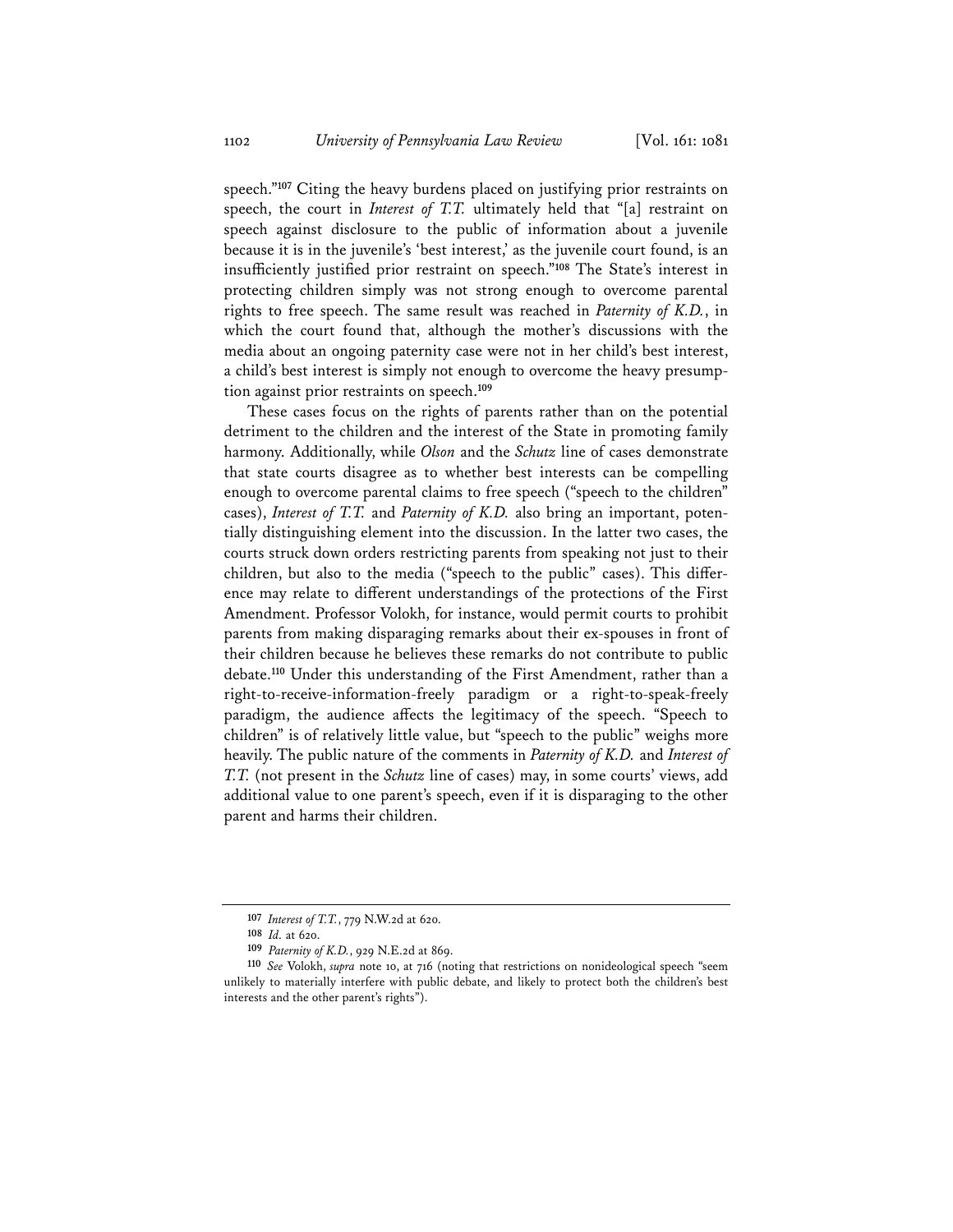speech."**<sup>107</sup>** Citing the heavy burdens placed on justifying prior restraints on speech, the court in *Interest of T.T.* ultimately held that "[a] restraint on speech against disclosure to the public of information about a juvenile because it is in the juvenile's 'best interest,' as the juvenile court found, is an insufficiently justified prior restraint on speech."**<sup>108</sup>** The State's interest in protecting children simply was not strong enough to overcome parental rights to free speech. The same result was reached in *Paternity of K.D.*, in which the court found that, although the mother's discussions with the media about an ongoing paternity case were not in her child's best interest, a child's best interest is simply not enough to overcome the heavy presumption against prior restraints on speech.**<sup>109</sup>**

These cases focus on the rights of parents rather than on the potential detriment to the children and the interest of the State in promoting family harmony. Additionally, while *Olson* and the *Schutz* line of cases demonstrate that state courts disagree as to whether best interests can be compelling enough to overcome parental claims to free speech ("speech to the children" cases), *Interest of T.T.* and *Paternity of K.D.* also bring an important, potentially distinguishing element into the discussion. In the latter two cases, the courts struck down orders restricting parents from speaking not just to their children, but also to the media ("speech to the public" cases). This difference may relate to different understandings of the protections of the First Amendment. Professor Volokh, for instance, would permit courts to prohibit parents from making disparaging remarks about their ex-spouses in front of their children because he believes these remarks do not contribute to public debate.**<sup>110</sup>** Under this understanding of the First Amendment, rather than a right-to-receive-information-freely paradigm or a right-to-speak-freely paradigm, the audience affects the legitimacy of the speech. "Speech to children" is of relatively little value, but "speech to the public" weighs more heavily. The public nature of the comments in *Paternity of K.D.* and *Interest of T.T.* (not present in the *Schutz* line of cases) may, in some courts' views, add additional value to one parent's speech, even if it is disparaging to the other parent and harms their children.

**<sup>107</sup>** *Interest of T.T.*, 779 N.W.2d at 620.

**<sup>108</sup>** *Id.* at 620.

**<sup>109</sup>** *Paternity of K.D.*, 929 N.E.2d at 869.

**<sup>110</sup>** *See* Volokh, *supra* note 10, at 716 (noting that restrictions on nonideological speech "seem unlikely to materially interfere with public debate, and likely to protect both the children's best interests and the other parent's rights").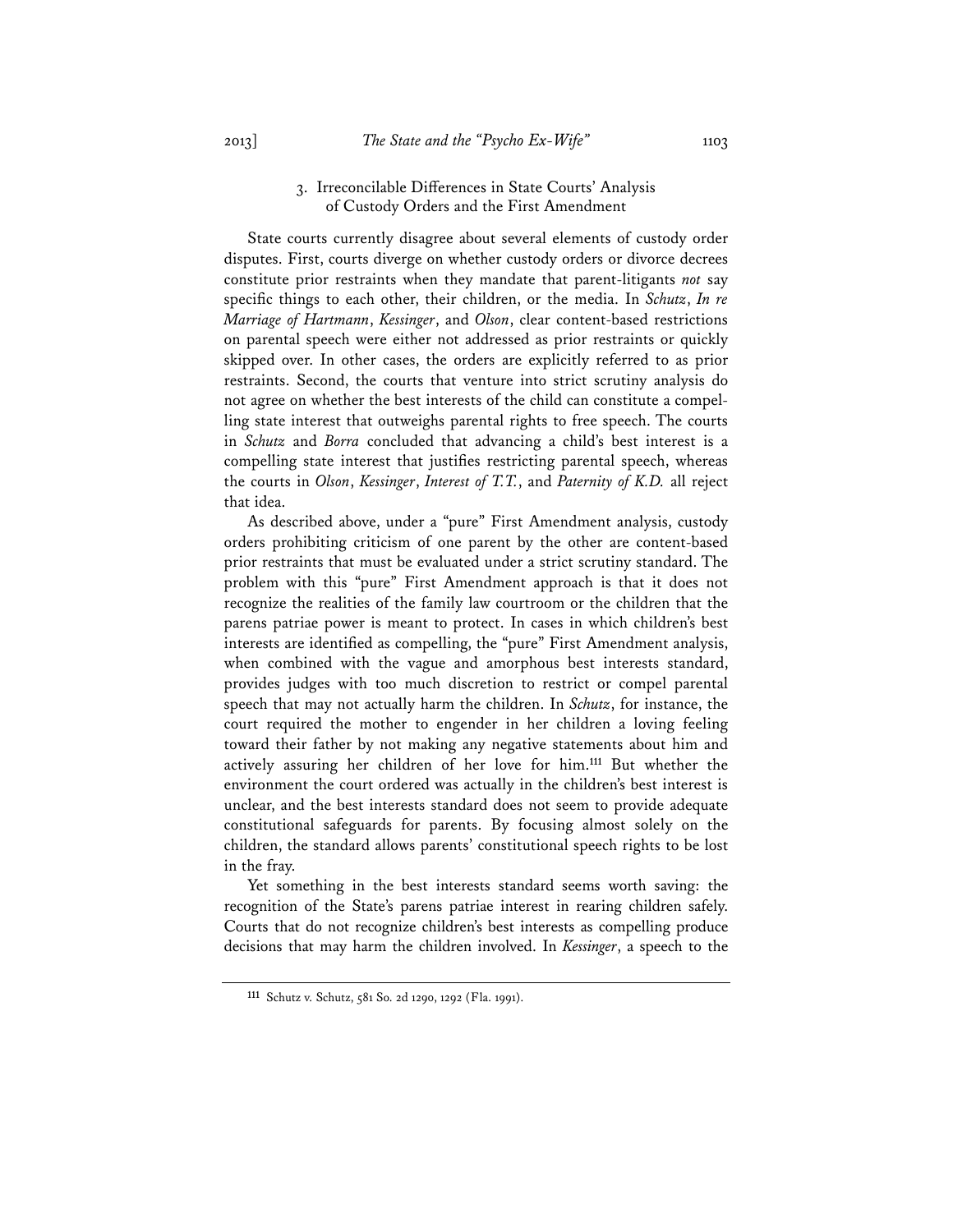## 3. Irreconcilable Differences in State Courts' Analysis of Custody Orders and the First Amendment

State courts currently disagree about several elements of custody order disputes. First, courts diverge on whether custody orders or divorce decrees constitute prior restraints when they mandate that parent-litigants *not* say specific things to each other, their children, or the media. In *Schutz*, *In re Marriage of Hartmann*, *Kessinger*, and *Olson*, clear content-based restrictions on parental speech were either not addressed as prior restraints or quickly skipped over. In other cases, the orders are explicitly referred to as prior restraints. Second, the courts that venture into strict scrutiny analysis do not agree on whether the best interests of the child can constitute a compelling state interest that outweighs parental rights to free speech. The courts in *Schutz* and *Borra* concluded that advancing a child's best interest is a compelling state interest that justifies restricting parental speech, whereas the courts in *Olson*, *Kessinger*, *Interest of T.T.*, and *Paternity of K.D.* all reject that idea.

As described above, under a "pure" First Amendment analysis, custody orders prohibiting criticism of one parent by the other are content-based prior restraints that must be evaluated under a strict scrutiny standard. The problem with this "pure" First Amendment approach is that it does not recognize the realities of the family law courtroom or the children that the parens patriae power is meant to protect. In cases in which children's best interests are identified as compelling, the "pure" First Amendment analysis, when combined with the vague and amorphous best interests standard, provides judges with too much discretion to restrict or compel parental speech that may not actually harm the children. In *Schutz*, for instance, the court required the mother to engender in her children a loving feeling toward their father by not making any negative statements about him and actively assuring her children of her love for him.**<sup>111</sup>** But whether the environment the court ordered was actually in the children's best interest is unclear, and the best interests standard does not seem to provide adequate constitutional safeguards for parents. By focusing almost solely on the children, the standard allows parents' constitutional speech rights to be lost in the fray.

Yet something in the best interests standard seems worth saving: the recognition of the State's parens patriae interest in rearing children safely. Courts that do not recognize children's best interests as compelling produce decisions that may harm the children involved. In *Kessinger*, a speech to the

**<sup>111</sup>** Schutz v. Schutz, 581 So. 2d 1290, 1292 (Fla. 1991).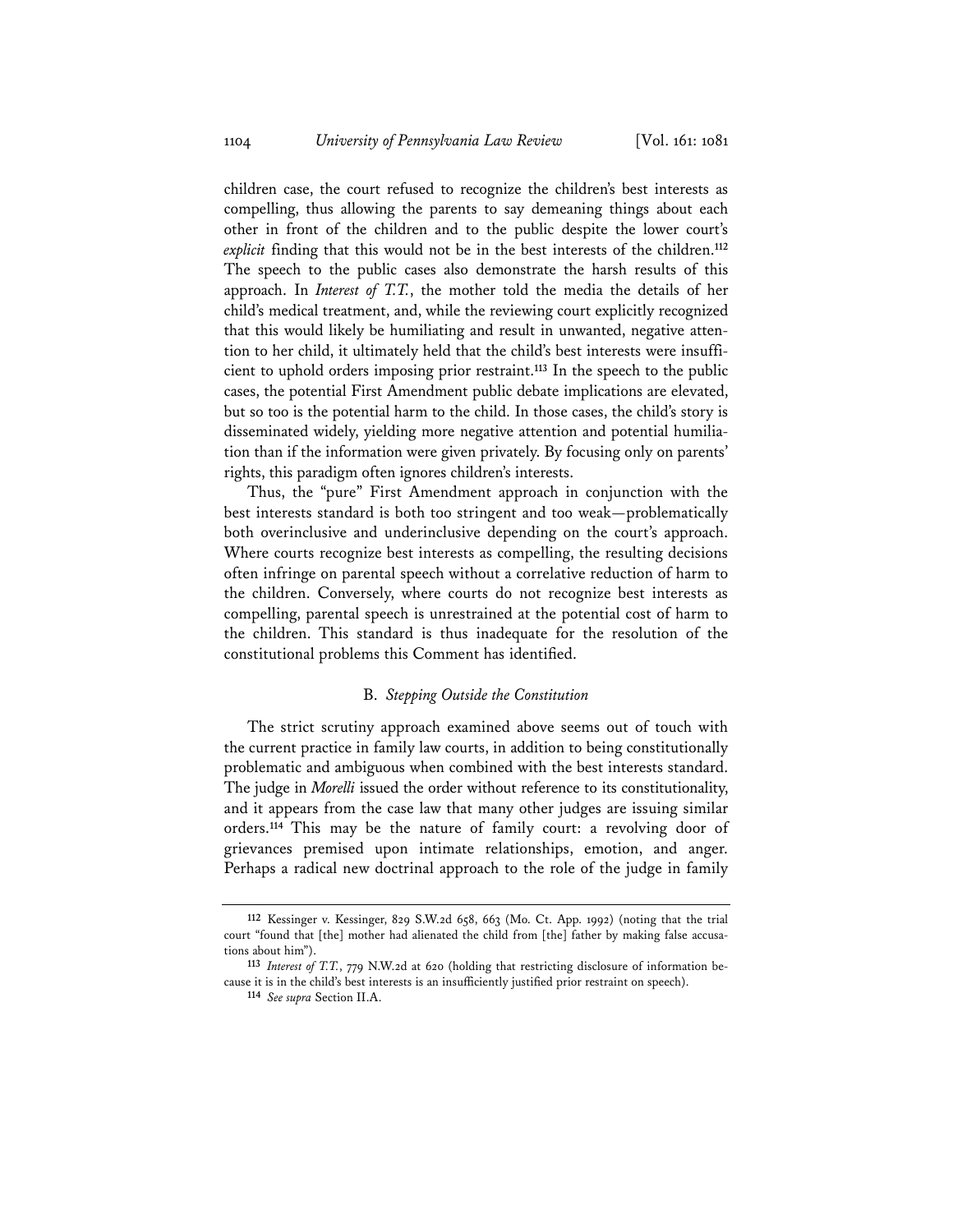children case, the court refused to recognize the children's best interests as compelling, thus allowing the parents to say demeaning things about each other in front of the children and to the public despite the lower court's *explicit* finding that this would not be in the best interests of the children.**<sup>112</sup>** The speech to the public cases also demonstrate the harsh results of this approach. In *Interest of T.T.*, the mother told the media the details of her child's medical treatment, and, while the reviewing court explicitly recognized that this would likely be humiliating and result in unwanted, negative attention to her child, it ultimately held that the child's best interests were insufficient to uphold orders imposing prior restraint.**<sup>113</sup>** In the speech to the public cases, the potential First Amendment public debate implications are elevated, but so too is the potential harm to the child. In those cases, the child's story is disseminated widely, yielding more negative attention and potential humiliation than if the information were given privately. By focusing only on parents' rights, this paradigm often ignores children's interests.

Thus, the "pure" First Amendment approach in conjunction with the best interests standard is both too stringent and too weak—problematically both overinclusive and underinclusive depending on the court's approach. Where courts recognize best interests as compelling, the resulting decisions often infringe on parental speech without a correlative reduction of harm to the children. Conversely, where courts do not recognize best interests as compelling, parental speech is unrestrained at the potential cost of harm to the children. This standard is thus inadequate for the resolution of the constitutional problems this Comment has identified.

#### B. *Stepping Outside the Constitution*

The strict scrutiny approach examined above seems out of touch with the current practice in family law courts, in addition to being constitutionally problematic and ambiguous when combined with the best interests standard. The judge in *Morelli* issued the order without reference to its constitutionality, and it appears from the case law that many other judges are issuing similar orders.**<sup>114</sup>** This may be the nature of family court: a revolving door of grievances premised upon intimate relationships, emotion, and anger. Perhaps a radical new doctrinal approach to the role of the judge in family

**<sup>112</sup>** Kessinger v. Kessinger, 829 S.W.2d 658, 663 (Mo. Ct. App. 1992) (noting that the trial court "found that [the] mother had alienated the child from [the] father by making false accusations about him").

**<sup>113</sup>** *Interest of T.T.*, 779 N.W.2d at 620 (holding that restricting disclosure of information because it is in the child's best interests is an insufficiently justified prior restraint on speech). **<sup>114</sup>** *See supra* Section II.A.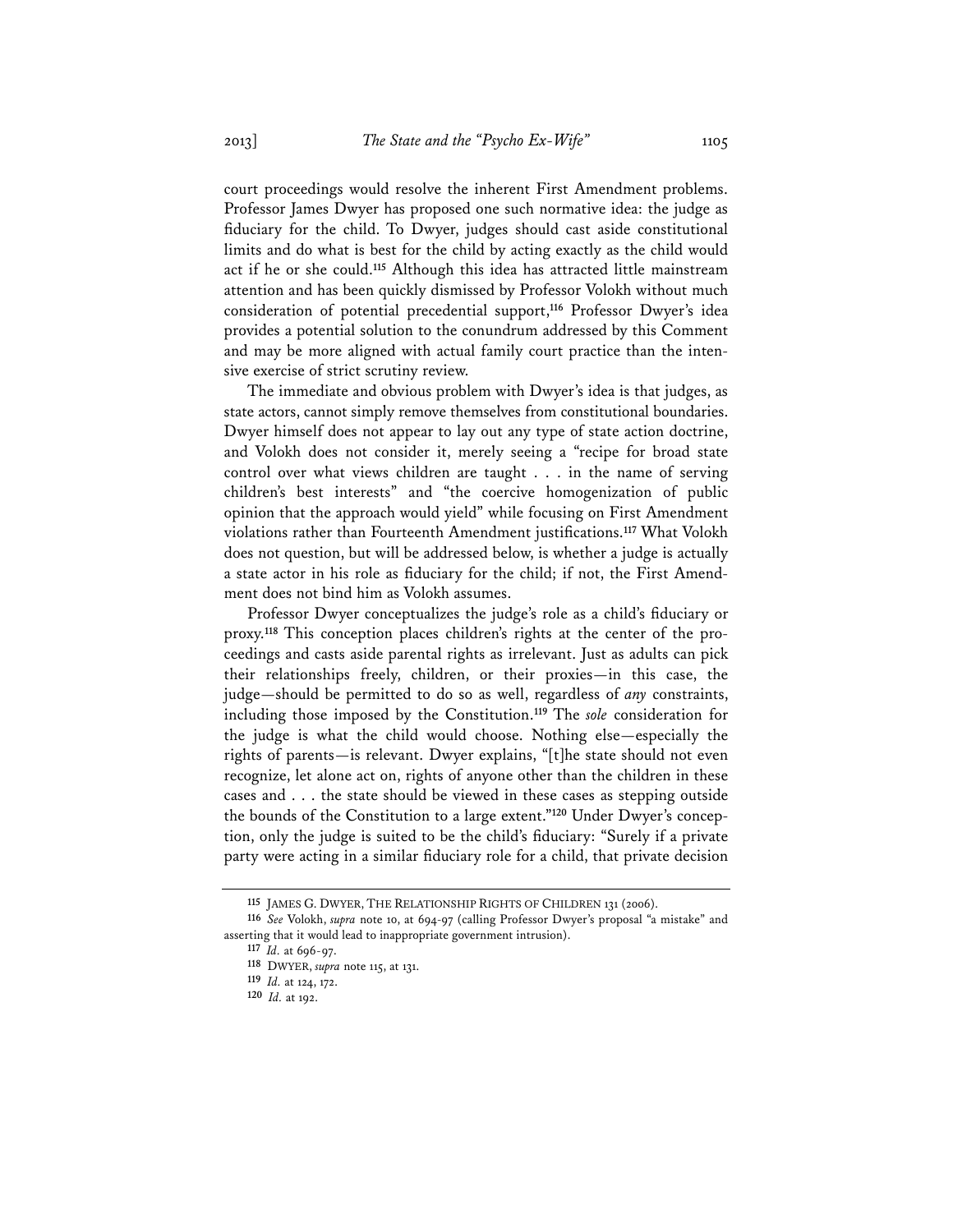court proceedings would resolve the inherent First Amendment problems. Professor James Dwyer has proposed one such normative idea: the judge as fiduciary for the child. To Dwyer, judges should cast aside constitutional limits and do what is best for the child by acting exactly as the child would act if he or she could.**<sup>115</sup>** Although this idea has attracted little mainstream attention and has been quickly dismissed by Professor Volokh without much consideration of potential precedential support,**<sup>116</sup>** Professor Dwyer's idea provides a potential solution to the conundrum addressed by this Comment and may be more aligned with actual family court practice than the intensive exercise of strict scrutiny review.

The immediate and obvious problem with Dwyer's idea is that judges, as state actors, cannot simply remove themselves from constitutional boundaries. Dwyer himself does not appear to lay out any type of state action doctrine, and Volokh does not consider it, merely seeing a "recipe for broad state control over what views children are taught . . . in the name of serving children's best interests" and "the coercive homogenization of public opinion that the approach would yield" while focusing on First Amendment violations rather than Fourteenth Amendment justifications.**<sup>117</sup>** What Volokh does not question, but will be addressed below, is whether a judge is actually a state actor in his role as fiduciary for the child; if not, the First Amendment does not bind him as Volokh assumes.

Professor Dwyer conceptualizes the judge's role as a child's fiduciary or proxy.**<sup>118</sup>** This conception places children's rights at the center of the proceedings and casts aside parental rights as irrelevant. Just as adults can pick their relationships freely, children, or their proxies—in this case, the judge—should be permitted to do so as well, regardless of *any* constraints, including those imposed by the Constitution.**<sup>119</sup>** The *sole* consideration for the judge is what the child would choose. Nothing else—especially the rights of parents—is relevant. Dwyer explains, "[t]he state should not even recognize, let alone act on, rights of anyone other than the children in these cases and . . . the state should be viewed in these cases as stepping outside the bounds of the Constitution to a large extent."**<sup>120</sup>** Under Dwyer's conception, only the judge is suited to be the child's fiduciary: "Surely if a private party were acting in a similar fiduciary role for a child, that private decision

**<sup>115</sup>** JAMES G. DWYER, THE RELATIONSHIP RIGHTS OF CHILDREN 131 (2006).

**<sup>116</sup>** *See* Volokh, *supra* note 10, at 694-97 (calling Professor Dwyer's proposal "a mistake" and asserting that it would lead to inappropriate government intrusion).

**<sup>117</sup>** *Id.* at 696-97.

**<sup>118</sup>** DWYER, *supra* note 115, at 131.

**<sup>119</sup>** *Id.* at 124, 172.

**<sup>120</sup>** *Id.* at 192.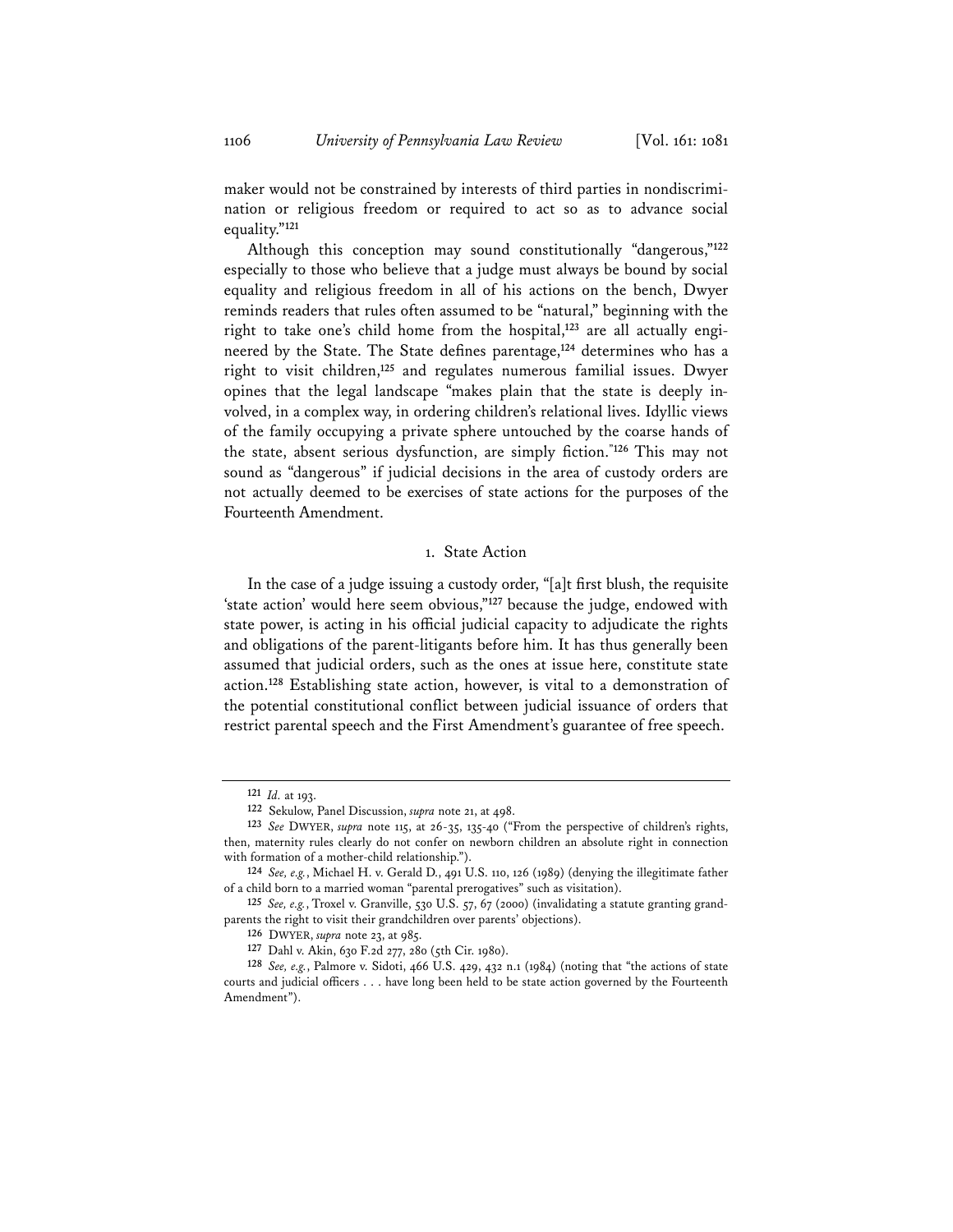maker would not be constrained by interests of third parties in nondiscrimination or religious freedom or required to act so as to advance social equality."**<sup>121</sup>**

Although this conception may sound constitutionally "dangerous,"**<sup>122</sup>** especially to those who believe that a judge must always be bound by social equality and religious freedom in all of his actions on the bench, Dwyer reminds readers that rules often assumed to be "natural," beginning with the right to take one's child home from the hospital,**<sup>123</sup>** are all actually engineered by the State. The State defines parentage,**<sup>124</sup>** determines who has a right to visit children,**<sup>125</sup>** and regulates numerous familial issues. Dwyer opines that the legal landscape "makes plain that the state is deeply involved, in a complex way, in ordering children's relational lives. Idyllic views of the family occupying a private sphere untouched by the coarse hands of the state, absent serious dysfunction, are simply fiction.**"126** This may not sound as "dangerous" if judicial decisions in the area of custody orders are not actually deemed to be exercises of state actions for the purposes of the Fourteenth Amendment.

### 1. State Action

In the case of a judge issuing a custody order, "[a]t first blush, the requisite 'state action' would here seem obvious,"**<sup>127</sup>** because the judge, endowed with state power, is acting in his official judicial capacity to adjudicate the rights and obligations of the parent-litigants before him. It has thus generally been assumed that judicial orders, such as the ones at issue here, constitute state action.**<sup>128</sup>** Establishing state action, however, is vital to a demonstration of the potential constitutional conflict between judicial issuance of orders that restrict parental speech and the First Amendment's guarantee of free speech.

**<sup>121</sup>** *Id.* at 193.

**<sup>122</sup>** Sekulow, Panel Discussion, *supra* note 21, at 498.

**<sup>123</sup>** *See* DWYER, *supra* note 115, at 26-35, 135-40 ("From the perspective of children's rights, then, maternity rules clearly do not confer on newborn children an absolute right in connection with formation of a mother-child relationship.").

**<sup>124</sup>** *See, e.g.*, Michael H. v. Gerald D., 491 U.S. 110, 126 (1989) (denying the illegitimate father of a child born to a married woman "parental prerogatives" such as visitation).

**<sup>125</sup>** *See, e.g.*, Troxel v. Granville, 530 U.S. 57, 67 (2000) (invalidating a statute granting grandparents the right to visit their grandchildren over parents' objections).

**<sup>126</sup>** DWYER, *supra* note 23, at 985.

**<sup>127</sup>** Dahl v. Akin, 630 F.2d 277, 280 (5th Cir. 1980).

**<sup>128</sup>** *See, e.g.*, Palmore v. Sidoti, 466 U.S. 429, 432 n.1 (1984) (noting that "the actions of state courts and judicial officers . . . have long been held to be state action governed by the Fourteenth Amendment").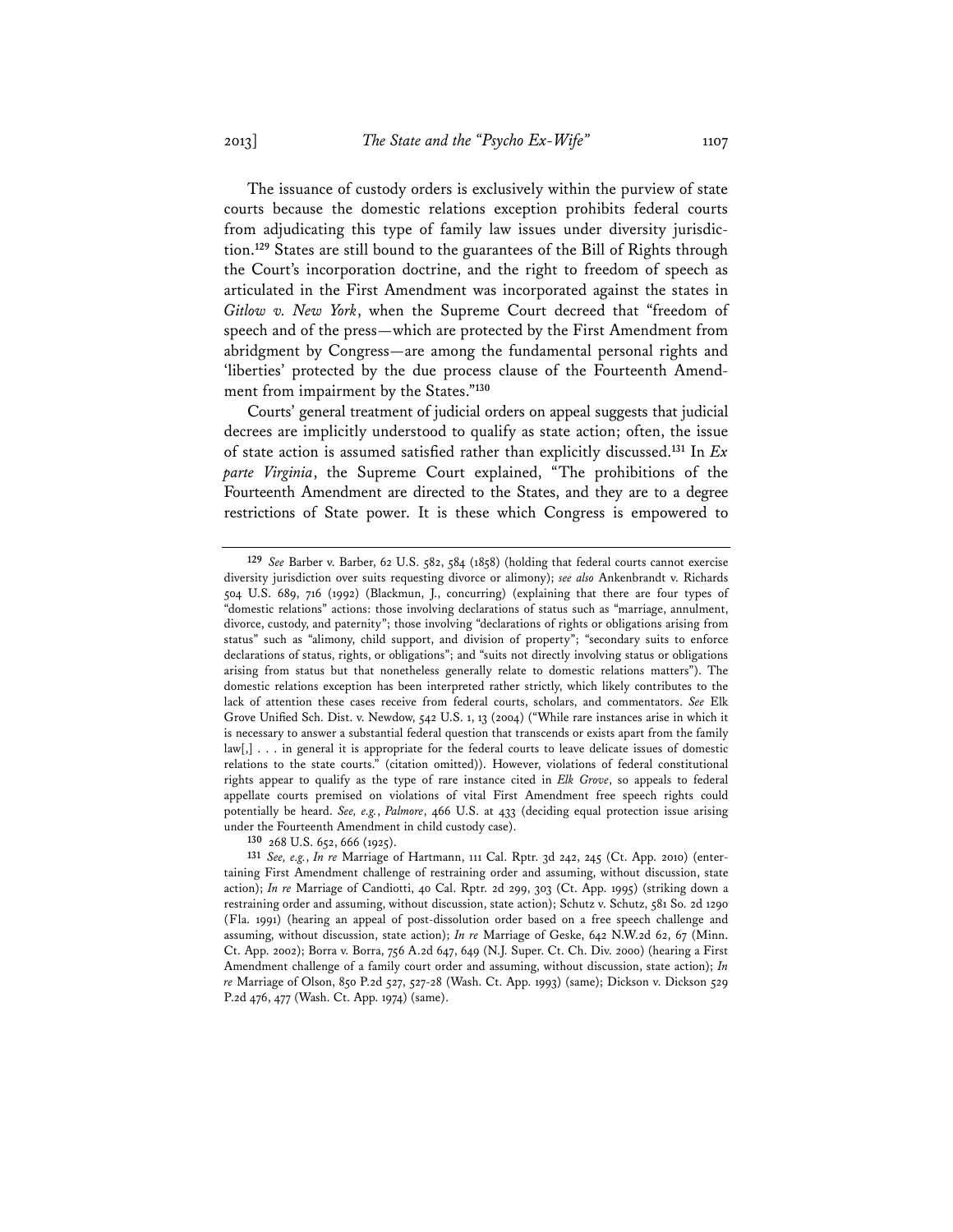The issuance of custody orders is exclusively within the purview of state courts because the domestic relations exception prohibits federal courts from adjudicating this type of family law issues under diversity jurisdiction.**<sup>129</sup>** States are still bound to the guarantees of the Bill of Rights through the Court's incorporation doctrine, and the right to freedom of speech as articulated in the First Amendment was incorporated against the states in *Gitlow v. New York*, when the Supreme Court decreed that "freedom of speech and of the press—which are protected by the First Amendment from abridgment by Congress—are among the fundamental personal rights and 'liberties' protected by the due process clause of the Fourteenth Amendment from impairment by the States."**<sup>130</sup>**

Courts' general treatment of judicial orders on appeal suggests that judicial decrees are implicitly understood to qualify as state action; often, the issue of state action is assumed satisfied rather than explicitly discussed.**<sup>131</sup>** In *Ex parte Virginia*, the Supreme Court explained, "The prohibitions of the Fourteenth Amendment are directed to the States, and they are to a degree restrictions of State power. It is these which Congress is empowered to

**<sup>130</sup>** 268 U.S. 652, 666 (1925).

**<sup>129</sup>** *See* Barber v. Barber, 62 U.S. 582, 584 (1858) (holding that federal courts cannot exercise diversity jurisdiction over suits requesting divorce or alimony); *see also* Ankenbrandt v. Richards 504 U.S. 689, 716 (1992) (Blackmun, J., concurring) (explaining that there are four types of "domestic relations" actions: those involving declarations of status such as "marriage, annulment, divorce, custody, and paternity"; those involving "declarations of rights or obligations arising from status" such as "alimony, child support, and division of property"; "secondary suits to enforce declarations of status, rights, or obligations"; and "suits not directly involving status or obligations arising from status but that nonetheless generally relate to domestic relations matters"). The domestic relations exception has been interpreted rather strictly, which likely contributes to the lack of attention these cases receive from federal courts, scholars, and commentators. *See* Elk Grove Unified Sch. Dist. v. Newdow, 542 U.S. 1, 13 (2004) ("While rare instances arise in which it is necessary to answer a substantial federal question that transcends or exists apart from the family law[,] . . . in general it is appropriate for the federal courts to leave delicate issues of domestic relations to the state courts." (citation omitted)). However, violations of federal constitutional rights appear to qualify as the type of rare instance cited in *Elk Grove*, so appeals to federal appellate courts premised on violations of vital First Amendment free speech rights could potentially be heard. *See, e.g.*, *Palmore*, 466 U.S. at 433 (deciding equal protection issue arising under the Fourteenth Amendment in child custody case).

**<sup>131</sup>** *See, e.g.*, *In re* Marriage of Hartmann, 111 Cal. Rptr. 3d 242, 245 (Ct. App. 2010) (entertaining First Amendment challenge of restraining order and assuming, without discussion, state action); *In re* Marriage of Candiotti, 40 Cal. Rptr. 2d 299, 303 (Ct. App. 1995) (striking down a restraining order and assuming, without discussion, state action); Schutz v. Schutz, 581 So. 2d 1290 (Fla. 1991) (hearing an appeal of post-dissolution order based on a free speech challenge and assuming, without discussion, state action); *In re* Marriage of Geske, 642 N.W.2d 62, 67 (Minn. Ct. App. 2002); Borra v. Borra, 756 A.2d 647, 649 (N.J. Super. Ct. Ch. Div. 2000) (hearing a First Amendment challenge of a family court order and assuming, without discussion, state action); *In re* Marriage of Olson, 850 P.2d 527, 527-28 (Wash. Ct. App. 1993) (same); Dickson v. Dickson 529 P.2d 476, 477 (Wash. Ct. App. 1974) (same).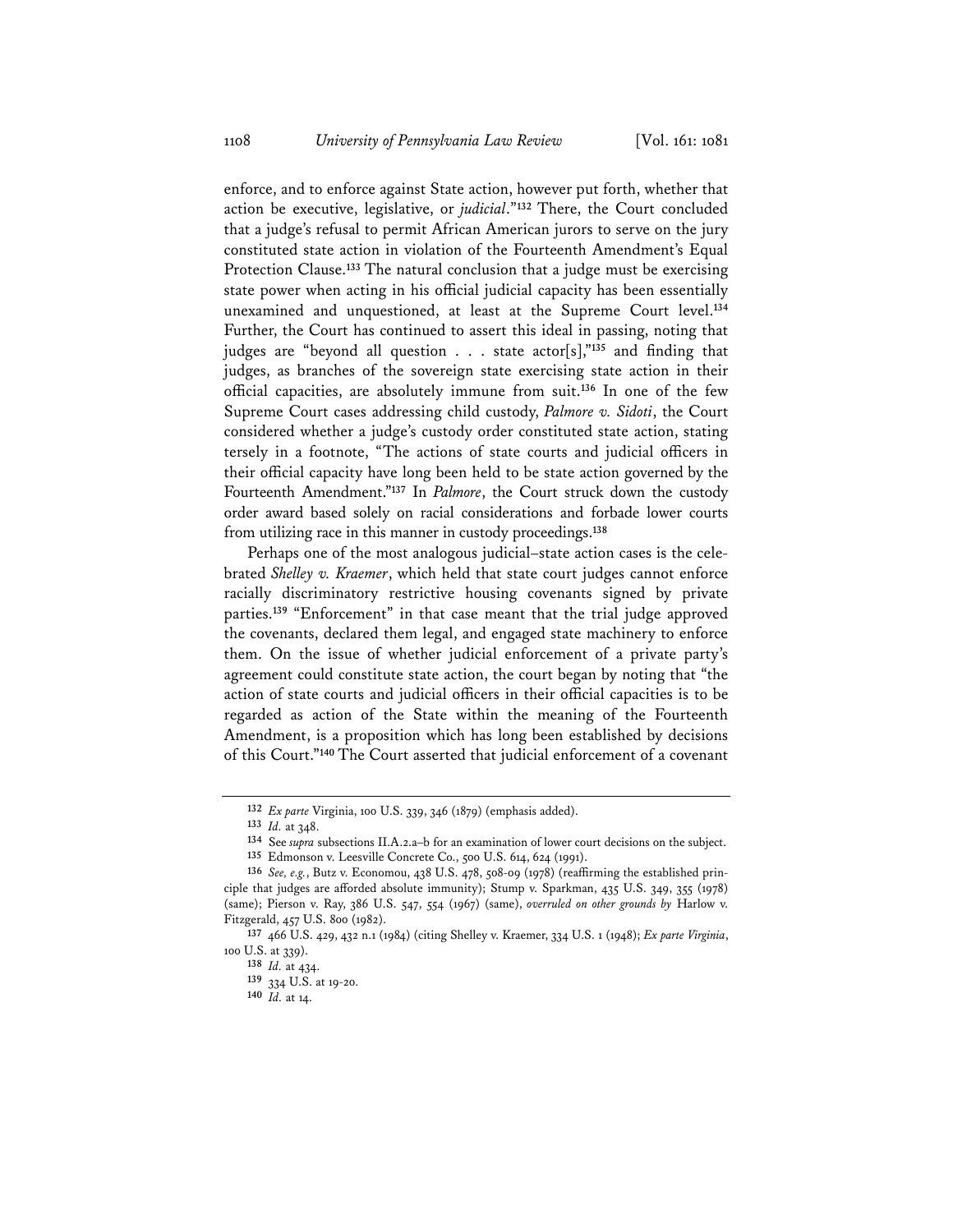enforce, and to enforce against State action, however put forth, whether that action be executive, legislative, or *judicial*."**<sup>132</sup>** There, the Court concluded that a judge's refusal to permit African American jurors to serve on the jury constituted state action in violation of the Fourteenth Amendment's Equal Protection Clause.**<sup>133</sup>** The natural conclusion that a judge must be exercising state power when acting in his official judicial capacity has been essentially unexamined and unquestioned, at least at the Supreme Court level.**<sup>134</sup>** Further, the Court has continued to assert this ideal in passing, noting that judges are "beyond all question . . . state actor[s],"**<sup>135</sup>** and finding that judges, as branches of the sovereign state exercising state action in their official capacities, are absolutely immune from suit.**<sup>136</sup>** In one of the few Supreme Court cases addressing child custody, *Palmore v. Sidoti*, the Court considered whether a judge's custody order constituted state action, stating tersely in a footnote, "The actions of state courts and judicial officers in their official capacity have long been held to be state action governed by the Fourteenth Amendment."**<sup>137</sup>** In *Palmore*, the Court struck down the custody order award based solely on racial considerations and forbade lower courts from utilizing race in this manner in custody proceedings.**<sup>138</sup>**

Perhaps one of the most analogous judicial–state action cases is the celebrated *Shelley v. Kraemer*, which held that state court judges cannot enforce racially discriminatory restrictive housing covenants signed by private parties.**<sup>139</sup>** "Enforcement" in that case meant that the trial judge approved the covenants, declared them legal, and engaged state machinery to enforce them. On the issue of whether judicial enforcement of a private party's agreement could constitute state action, the court began by noting that "the action of state courts and judicial officers in their official capacities is to be regarded as action of the State within the meaning of the Fourteenth Amendment, is a proposition which has long been established by decisions of this Court."**<sup>140</sup>** The Court asserted that judicial enforcement of a covenant

**<sup>132</sup>** *Ex parte* Virginia, 100 U.S. 339, 346 (1879) (emphasis added).

**<sup>133</sup>** *Id.* at 348.

**<sup>134</sup>** See *supra* subsections II.A.2.a–b for an examination of lower court decisions on the subject.

**<sup>135</sup>** Edmonson v. Leesville Concrete Co., 500 U.S. 614, 624 (1991).

**<sup>136</sup>** *See, e.g.*, Butz v. Economou, 438 U.S. 478, 508-09 (1978) (reaffirming the established principle that judges are afforded absolute immunity); Stump v. Sparkman, 435 U.S. 349, 355 (1978) (same); Pierson v. Ray, 386 U.S. 547, 554 (1967) (same), *overruled on other grounds by* Harlow v. Fitzgerald, 457 U.S. 800 (1982).

**<sup>137</sup>** 466 U.S. 429, 432 n.1 (1984) (citing Shelley v. Kraemer, 334 U.S. 1 (1948); *Ex parte Virginia*, 100 U.S. at 339).

**<sup>138</sup>** *Id.* at 434.

**<sup>139</sup>** 334 U.S. at 19-20.

**<sup>140</sup>** *Id.* at 14.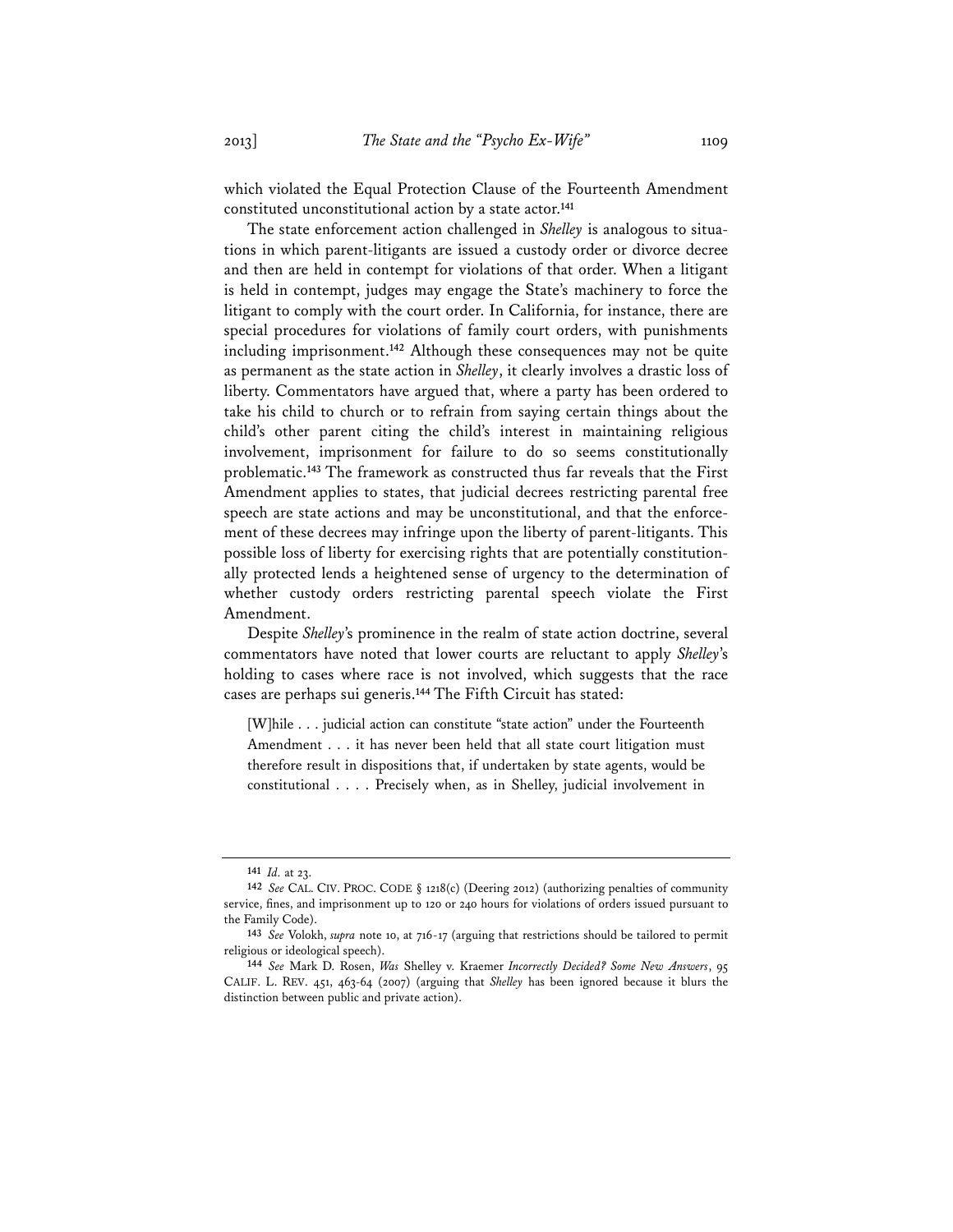which violated the Equal Protection Clause of the Fourteenth Amendment constituted unconstitutional action by a state actor.**<sup>141</sup>**

The state enforcement action challenged in *Shelley* is analogous to situations in which parent-litigants are issued a custody order or divorce decree and then are held in contempt for violations of that order. When a litigant is held in contempt, judges may engage the State's machinery to force the litigant to comply with the court order. In California, for instance, there are special procedures for violations of family court orders, with punishments including imprisonment.**<sup>142</sup>** Although these consequences may not be quite as permanent as the state action in *Shelley*, it clearly involves a drastic loss of liberty. Commentators have argued that, where a party has been ordered to take his child to church or to refrain from saying certain things about the child's other parent citing the child's interest in maintaining religious involvement, imprisonment for failure to do so seems constitutionally problematic.**<sup>143</sup>** The framework as constructed thus far reveals that the First Amendment applies to states, that judicial decrees restricting parental free speech are state actions and may be unconstitutional, and that the enforcement of these decrees may infringe upon the liberty of parent-litigants. This possible loss of liberty for exercising rights that are potentially constitutionally protected lends a heightened sense of urgency to the determination of whether custody orders restricting parental speech violate the First Amendment.

Despite *Shelley*'s prominence in the realm of state action doctrine, several commentators have noted that lower courts are reluctant to apply *Shelley*'s holding to cases where race is not involved, which suggests that the race cases are perhaps sui generis.**<sup>144</sup>** The Fifth Circuit has stated:

[W]hile . . . judicial action can constitute "state action" under the Fourteenth Amendment . . . it has never been held that all state court litigation must therefore result in dispositions that, if undertaken by state agents, would be constitutional . . . . Precisely when, as in Shelley, judicial involvement in

**<sup>141</sup>** *Id.* at 23.

**<sup>142</sup>** *See* CAL. CIV. PROC. CODE § 1218(c) (Deering 2012) (authorizing penalties of community service, fines, and imprisonment up to 120 or 240 hours for violations of orders issued pursuant to the Family Code).

**<sup>143</sup>** *See* Volokh, *supra* note 10, at 716-17 (arguing that restrictions should be tailored to permit religious or ideological speech). **<sup>144</sup>** *See* Mark D. Rosen, *Was* Shelley v. Kraemer *Incorrectly Decided? Some New Answers*, 95

CALIF. L. REV. 451, 463-64 (2007) (arguing that *Shelley* has been ignored because it blurs the distinction between public and private action).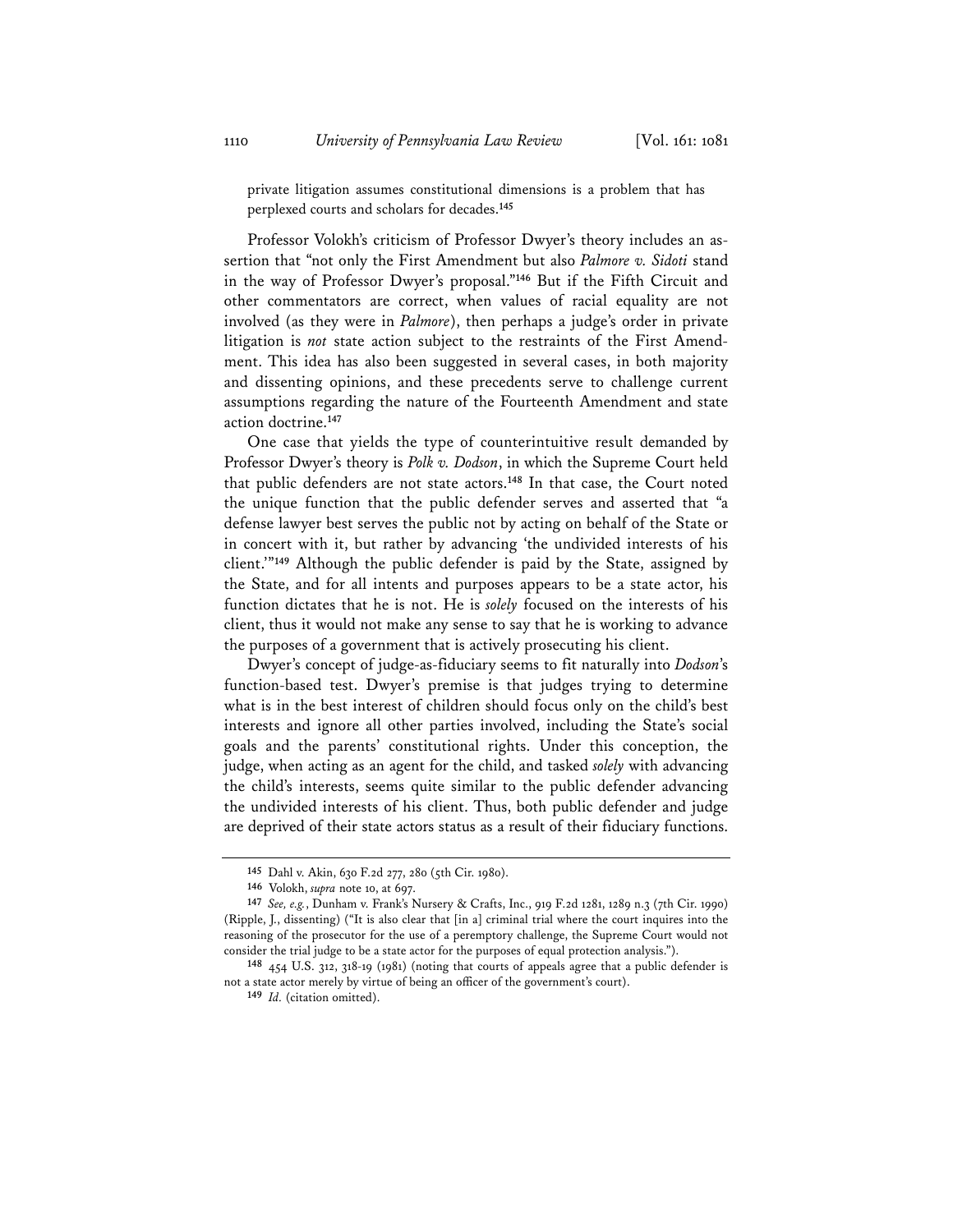private litigation assumes constitutional dimensions is a problem that has perplexed courts and scholars for decades.**<sup>145</sup>**

Professor Volokh's criticism of Professor Dwyer's theory includes an assertion that "not only the First Amendment but also *Palmore v. Sidoti* stand in the way of Professor Dwyer's proposal."**<sup>146</sup>** But if the Fifth Circuit and other commentators are correct, when values of racial equality are not involved (as they were in *Palmore*), then perhaps a judge's order in private litigation is *not* state action subject to the restraints of the First Amendment. This idea has also been suggested in several cases, in both majority and dissenting opinions, and these precedents serve to challenge current assumptions regarding the nature of the Fourteenth Amendment and state action doctrine.**<sup>147</sup>**

One case that yields the type of counterintuitive result demanded by Professor Dwyer's theory is *Polk v. Dodson*, in which the Supreme Court held that public defenders are not state actors.**<sup>148</sup>** In that case, the Court noted the unique function that the public defender serves and asserted that "a defense lawyer best serves the public not by acting on behalf of the State or in concert with it, but rather by advancing 'the undivided interests of his client.'"**<sup>149</sup>** Although the public defender is paid by the State, assigned by the State, and for all intents and purposes appears to be a state actor, his function dictates that he is not. He is *solely* focused on the interests of his client, thus it would not make any sense to say that he is working to advance the purposes of a government that is actively prosecuting his client.

Dwyer's concept of judge-as-fiduciary seems to fit naturally into *Dodson*'s function-based test. Dwyer's premise is that judges trying to determine what is in the best interest of children should focus only on the child's best interests and ignore all other parties involved, including the State's social goals and the parents' constitutional rights. Under this conception, the judge, when acting as an agent for the child, and tasked *solely* with advancing the child's interests, seems quite similar to the public defender advancing the undivided interests of his client. Thus, both public defender and judge are deprived of their state actors status as a result of their fiduciary functions.

**<sup>145</sup>** Dahl v. Akin, 630 F.2d 277, 280 (5th Cir. 1980).

**<sup>146</sup>** Volokh, *supra* note 10, at 697.

**<sup>147</sup>** *See, e.g.*, Dunham v. Frank's Nursery & Crafts, Inc., 919 F.2d 1281, 1289 n.3 (7th Cir. 1990) (Ripple, J., dissenting) ("It is also clear that [in a] criminal trial where the court inquires into the reasoning of the prosecutor for the use of a peremptory challenge, the Supreme Court would not consider the trial judge to be a state actor for the purposes of equal protection analysis.").

**<sup>148</sup>** 454 U.S. 312, 318-19 (1981) (noting that courts of appeals agree that a public defender is not a state actor merely by virtue of being an officer of the government's court).

**<sup>149</sup>** *Id.* (citation omitted).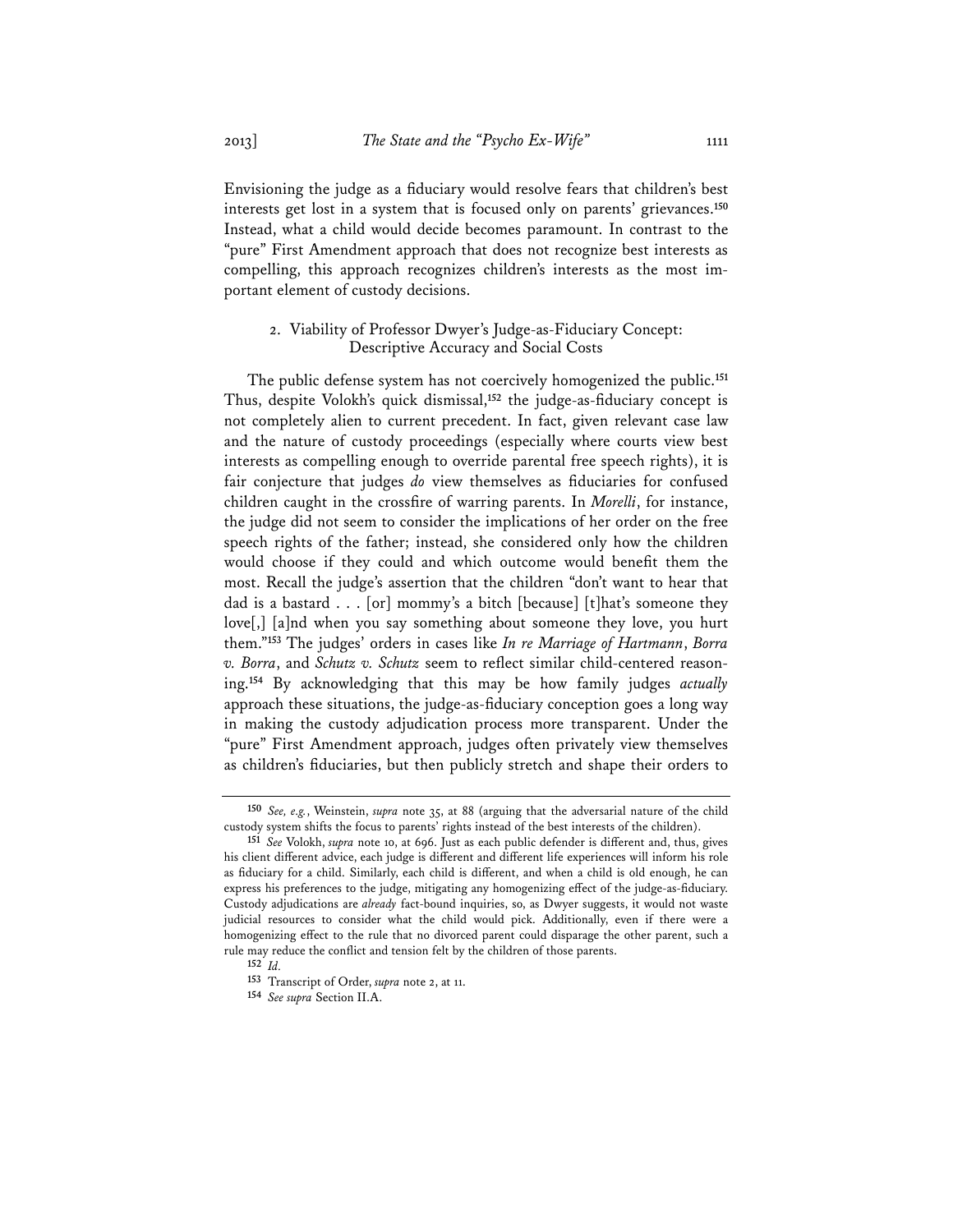Envisioning the judge as a fiduciary would resolve fears that children's best interests get lost in a system that is focused only on parents' grievances.**<sup>150</sup>** Instead, what a child would decide becomes paramount. In contrast to the "pure" First Amendment approach that does not recognize best interests as compelling, this approach recognizes children's interests as the most important element of custody decisions.

## 2. Viability of Professor Dwyer's Judge-as-Fiduciary Concept: Descriptive Accuracy and Social Costs

The public defense system has not coercively homogenized the public.**<sup>151</sup>** Thus, despite Volokh's quick dismissal,**<sup>152</sup>** the judge-as-fiduciary concept is not completely alien to current precedent. In fact, given relevant case law and the nature of custody proceedings (especially where courts view best interests as compelling enough to override parental free speech rights), it is fair conjecture that judges *do* view themselves as fiduciaries for confused children caught in the crossfire of warring parents. In *Morelli*, for instance, the judge did not seem to consider the implications of her order on the free speech rights of the father; instead, she considered only how the children would choose if they could and which outcome would benefit them the most. Recall the judge's assertion that the children "don't want to hear that dad is a bastard . . . [or] mommy's a bitch [because] [t]hat's someone they love[,] [a]nd when you say something about someone they love, you hurt them."**<sup>153</sup>** The judges' orders in cases like *In re Marriage of Hartmann*, *Borra v. Borra*, and *Schutz v. Schutz* seem to reflect similar child-centered reasoning.**<sup>154</sup>** By acknowledging that this may be how family judges *actually* approach these situations, the judge-as-fiduciary conception goes a long way in making the custody adjudication process more transparent. Under the "pure" First Amendment approach, judges often privately view themselves as children's fiduciaries, but then publicly stretch and shape their orders to

**<sup>150</sup>** *See, e.g.*, Weinstein, *supra* note 35, at 88 (arguing that the adversarial nature of the child custody system shifts the focus to parents' rights instead of the best interests of the children).

**<sup>151</sup>** *See* Volokh, *supra* note 10, at 696. Just as each public defender is different and, thus, gives his client different advice, each judge is different and different life experiences will inform his role as fiduciary for a child. Similarly, each child is different, and when a child is old enough, he can express his preferences to the judge, mitigating any homogenizing effect of the judge-as-fiduciary. Custody adjudications are *already* fact-bound inquiries, so, as Dwyer suggests, it would not waste judicial resources to consider what the child would pick. Additionally, even if there were a homogenizing effect to the rule that no divorced parent could disparage the other parent, such a rule may reduce the conflict and tension felt by the children of those parents.

**<sup>152</sup>** *Id.*

**<sup>153</sup>** Transcript of Order, *supra* note 2, at 11.

**<sup>154</sup>** *See supra* Section II.A.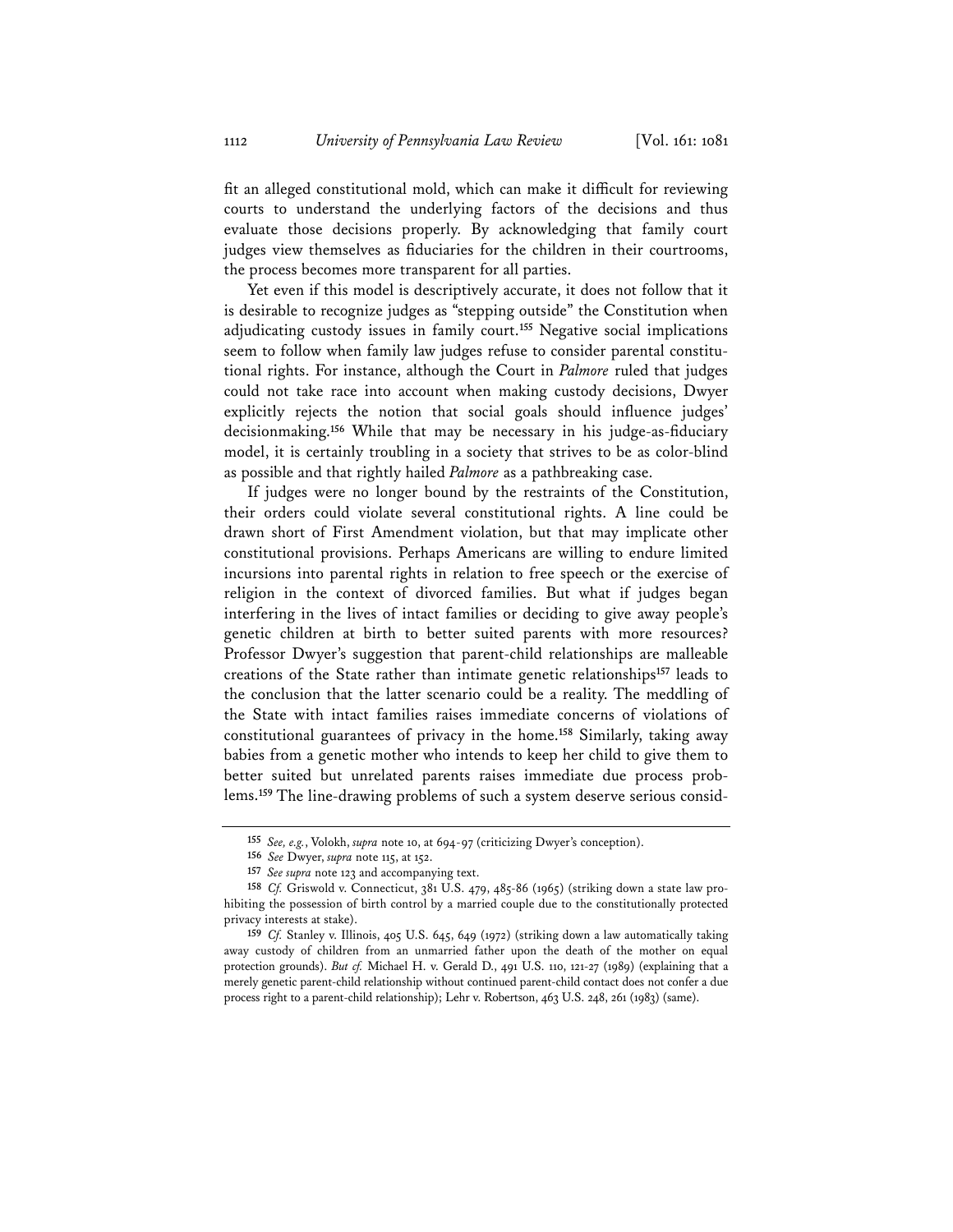fit an alleged constitutional mold, which can make it difficult for reviewing courts to understand the underlying factors of the decisions and thus evaluate those decisions properly. By acknowledging that family court judges view themselves as fiduciaries for the children in their courtrooms, the process becomes more transparent for all parties.

Yet even if this model is descriptively accurate, it does not follow that it is desirable to recognize judges as "stepping outside" the Constitution when adjudicating custody issues in family court.**<sup>155</sup>** Negative social implications seem to follow when family law judges refuse to consider parental constitutional rights. For instance, although the Court in *Palmore* ruled that judges could not take race into account when making custody decisions, Dwyer explicitly rejects the notion that social goals should influence judges' decisionmaking.**<sup>156</sup>** While that may be necessary in his judge-as-fiduciary model, it is certainly troubling in a society that strives to be as color-blind as possible and that rightly hailed *Palmore* as a pathbreaking case.

If judges were no longer bound by the restraints of the Constitution, their orders could violate several constitutional rights. A line could be drawn short of First Amendment violation, but that may implicate other constitutional provisions. Perhaps Americans are willing to endure limited incursions into parental rights in relation to free speech or the exercise of religion in the context of divorced families. But what if judges began interfering in the lives of intact families or deciding to give away people's genetic children at birth to better suited parents with more resources? Professor Dwyer's suggestion that parent-child relationships are malleable creations of the State rather than intimate genetic relationships**<sup>157</sup>** leads to the conclusion that the latter scenario could be a reality. The meddling of the State with intact families raises immediate concerns of violations of constitutional guarantees of privacy in the home.**<sup>158</sup>** Similarly, taking away babies from a genetic mother who intends to keep her child to give them to better suited but unrelated parents raises immediate due process problems.**<sup>159</sup>** The line-drawing problems of such a system deserve serious consid-

**<sup>155</sup>** *See, e.g.*, Volokh, *supra* note 10, at 694-97 (criticizing Dwyer's conception).

**<sup>156</sup>** *See* Dwyer, *supra* note 115, at 152.

**<sup>157</sup>** *See supra* note 123 and accompanying text.

**<sup>158</sup>** *Cf.* Griswold v. Connecticut, 381 U.S. 479, 485-86 (1965) (striking down a state law prohibiting the possession of birth control by a married couple due to the constitutionally protected privacy interests at stake).

**<sup>159</sup>** *Cf.* Stanley v. Illinois, 405 U.S. 645, 649 (1972) (striking down a law automatically taking away custody of children from an unmarried father upon the death of the mother on equal protection grounds). *But cf.* Michael H. v. Gerald D., 491 U.S. 110, 121-27 (1989) (explaining that a merely genetic parent-child relationship without continued parent-child contact does not confer a due process right to a parent-child relationship); Lehr v. Robertson, 463 U.S. 248, 261 (1983) (same).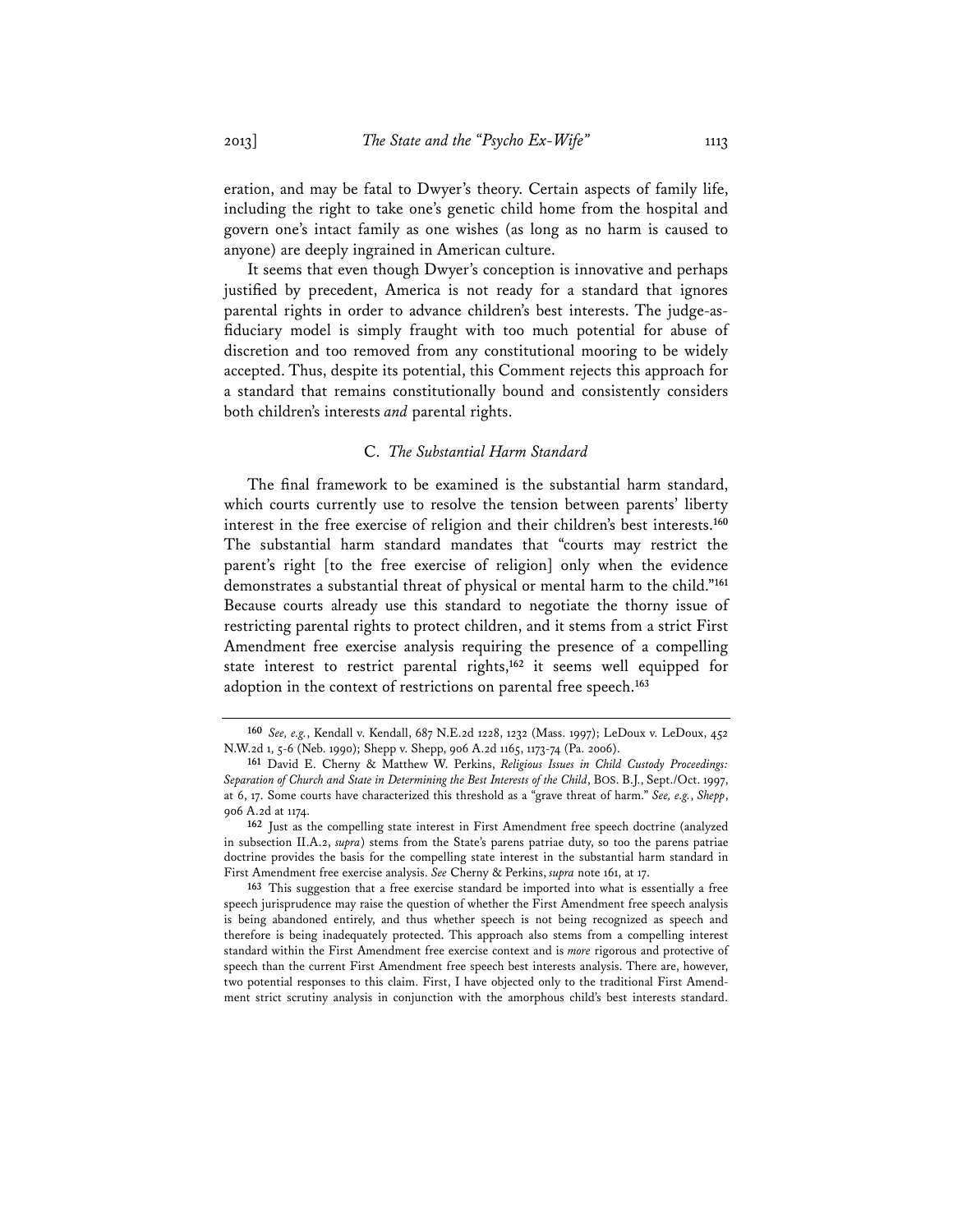eration, and may be fatal to Dwyer's theory. Certain aspects of family life, including the right to take one's genetic child home from the hospital and govern one's intact family as one wishes (as long as no harm is caused to anyone) are deeply ingrained in American culture.

It seems that even though Dwyer's conception is innovative and perhaps justified by precedent, America is not ready for a standard that ignores parental rights in order to advance children's best interests. The judge-asfiduciary model is simply fraught with too much potential for abuse of discretion and too removed from any constitutional mooring to be widely accepted. Thus, despite its potential, this Comment rejects this approach for a standard that remains constitutionally bound and consistently considers both children's interests *and* parental rights.

### C. *The Substantial Harm Standard*

The final framework to be examined is the substantial harm standard, which courts currently use to resolve the tension between parents' liberty interest in the free exercise of religion and their children's best interests.**<sup>160</sup>** The substantial harm standard mandates that "courts may restrict the parent's right [to the free exercise of religion] only when the evidence demonstrates a substantial threat of physical or mental harm to the child."**<sup>161</sup>** Because courts already use this standard to negotiate the thorny issue of restricting parental rights to protect children, and it stems from a strict First Amendment free exercise analysis requiring the presence of a compelling state interest to restrict parental rights,**<sup>162</sup>** it seems well equipped for adoption in the context of restrictions on parental free speech.**<sup>163</sup>**

**<sup>160</sup>** *See, e.g.*, Kendall v. Kendall, 687 N.E.2d 1228, 1232 (Mass. 1997); LeDoux v. LeDoux, 452 N.W.2d 1, 5-6 (Neb. 1990); Shepp v. Shepp, 906 A.2d 1165, 1173-74 (Pa. 2006).

**<sup>161</sup>** David E. Cherny & Matthew W. Perkins, *Religious Issues in Child Custody Proceedings: Separation of Church and State in Determining the Best Interests of the Child*, BOS. B.J., Sept./Oct. 1997, at 6, 17. Some courts have characterized this threshold as a "grave threat of harm." *See, e.g.*, *Shepp*, 906 A.2d at 1174.

**<sup>162</sup>** Just as the compelling state interest in First Amendment free speech doctrine (analyzed in subsection II.A.2, *supra*) stems from the State's parens patriae duty, so too the parens patriae doctrine provides the basis for the compelling state interest in the substantial harm standard in First Amendment free exercise analysis. *See* Cherny & Perkins, *supra* note 161, at 17.

**<sup>163</sup>** This suggestion that a free exercise standard be imported into what is essentially a free speech jurisprudence may raise the question of whether the First Amendment free speech analysis is being abandoned entirely, and thus whether speech is not being recognized as speech and therefore is being inadequately protected. This approach also stems from a compelling interest standard within the First Amendment free exercise context and is *more* rigorous and protective of speech than the current First Amendment free speech best interests analysis. There are, however, two potential responses to this claim. First, I have objected only to the traditional First Amendment strict scrutiny analysis in conjunction with the amorphous child's best interests standard.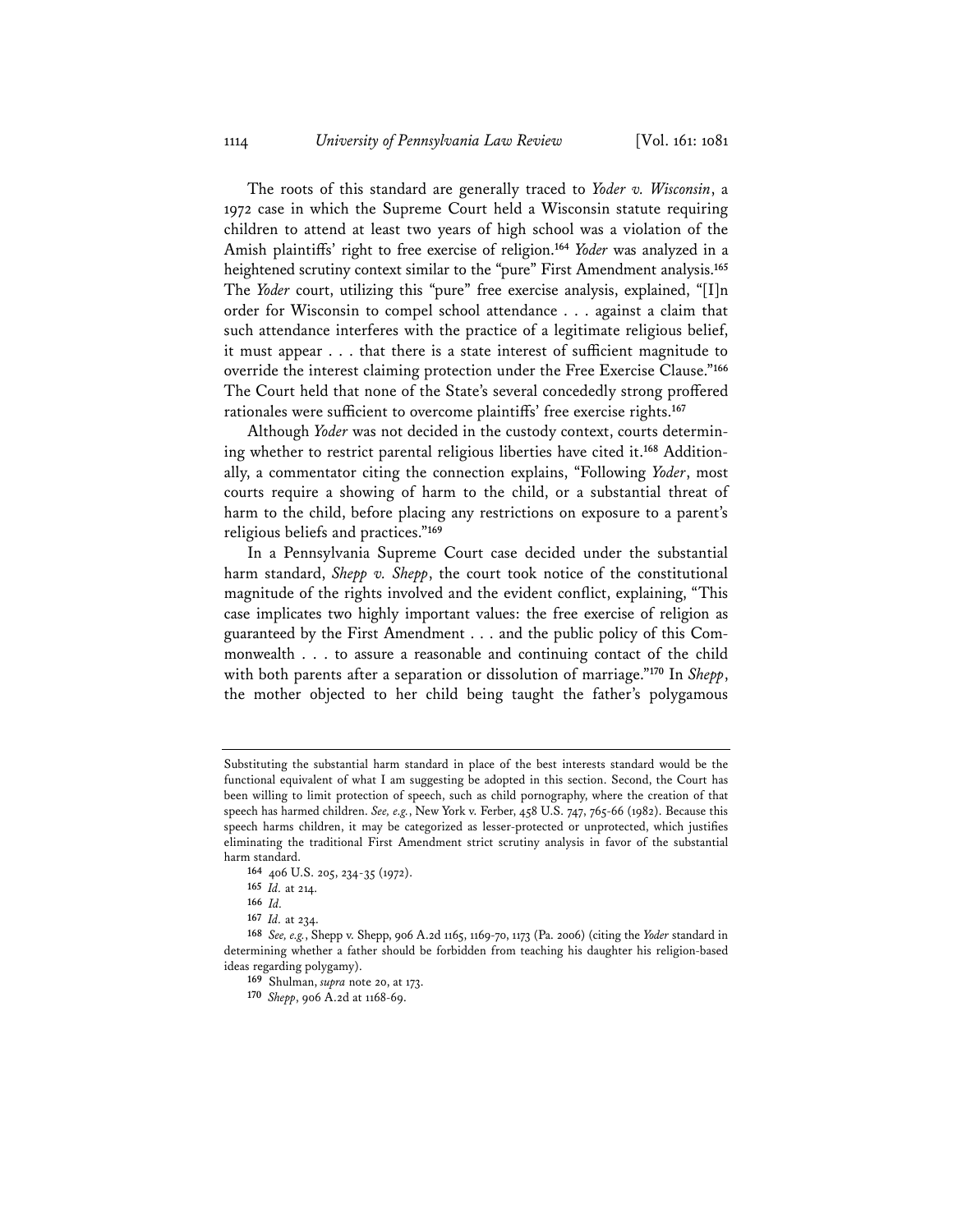The roots of this standard are generally traced to *Yoder v. Wisconsin*, a 1972 case in which the Supreme Court held a Wisconsin statute requiring children to attend at least two years of high school was a violation of the Amish plaintiffs' right to free exercise of religion.**<sup>164</sup>** *Yoder* was analyzed in a heightened scrutiny context similar to the "pure" First Amendment analysis.**<sup>165</sup>** The *Yoder* court, utilizing this "pure" free exercise analysis, explained, "[I]n order for Wisconsin to compel school attendance . . . against a claim that such attendance interferes with the practice of a legitimate religious belief, it must appear . . . that there is a state interest of sufficient magnitude to override the interest claiming protection under the Free Exercise Clause."**<sup>166</sup>** The Court held that none of the State's several concededly strong proffered rationales were sufficient to overcome plaintiffs' free exercise rights.**<sup>167</sup>**

Although *Yoder* was not decided in the custody context, courts determining whether to restrict parental religious liberties have cited it.**<sup>168</sup>** Additionally, a commentator citing the connection explains, "Following *Yoder*, most courts require a showing of harm to the child, or a substantial threat of harm to the child, before placing any restrictions on exposure to a parent's religious beliefs and practices."**<sup>169</sup>**

In a Pennsylvania Supreme Court case decided under the substantial harm standard, *Shepp v. Shepp*, the court took notice of the constitutional magnitude of the rights involved and the evident conflict, explaining, "This case implicates two highly important values: the free exercise of religion as guaranteed by the First Amendment . . . and the public policy of this Commonwealth . . . to assure a reasonable and continuing contact of the child with both parents after a separation or dissolution of marriage."**<sup>170</sup>** In *Shepp*, the mother objected to her child being taught the father's polygamous

Substituting the substantial harm standard in place of the best interests standard would be the functional equivalent of what I am suggesting be adopted in this section. Second, the Court has been willing to limit protection of speech, such as child pornography, where the creation of that speech has harmed children. *See, e.g.*, New York v. Ferber, 458 U.S. 747, 765-66 (1982). Because this speech harms children, it may be categorized as lesser-protected or unprotected, which justifies eliminating the traditional First Amendment strict scrutiny analysis in favor of the substantial harm standard.

**<sup>164</sup>** 406 U.S. 205, 234-35 (1972).

**<sup>165</sup>** *Id.* at 214.

**<sup>166</sup>** *Id.*

**<sup>167</sup>** *Id.* at 234.

**<sup>168</sup>** *See, e.g.*, Shepp v. Shepp, 906 A.2d 1165, 1169-70, 1173 (Pa. 2006) (citing the *Yoder* standard in determining whether a father should be forbidden from teaching his daughter his religion-based ideas regarding polygamy).

**<sup>169</sup>** Shulman, *supra* note 20, at 173.

**<sup>170</sup>** *Shepp*, 906 A.2d at 1168-69.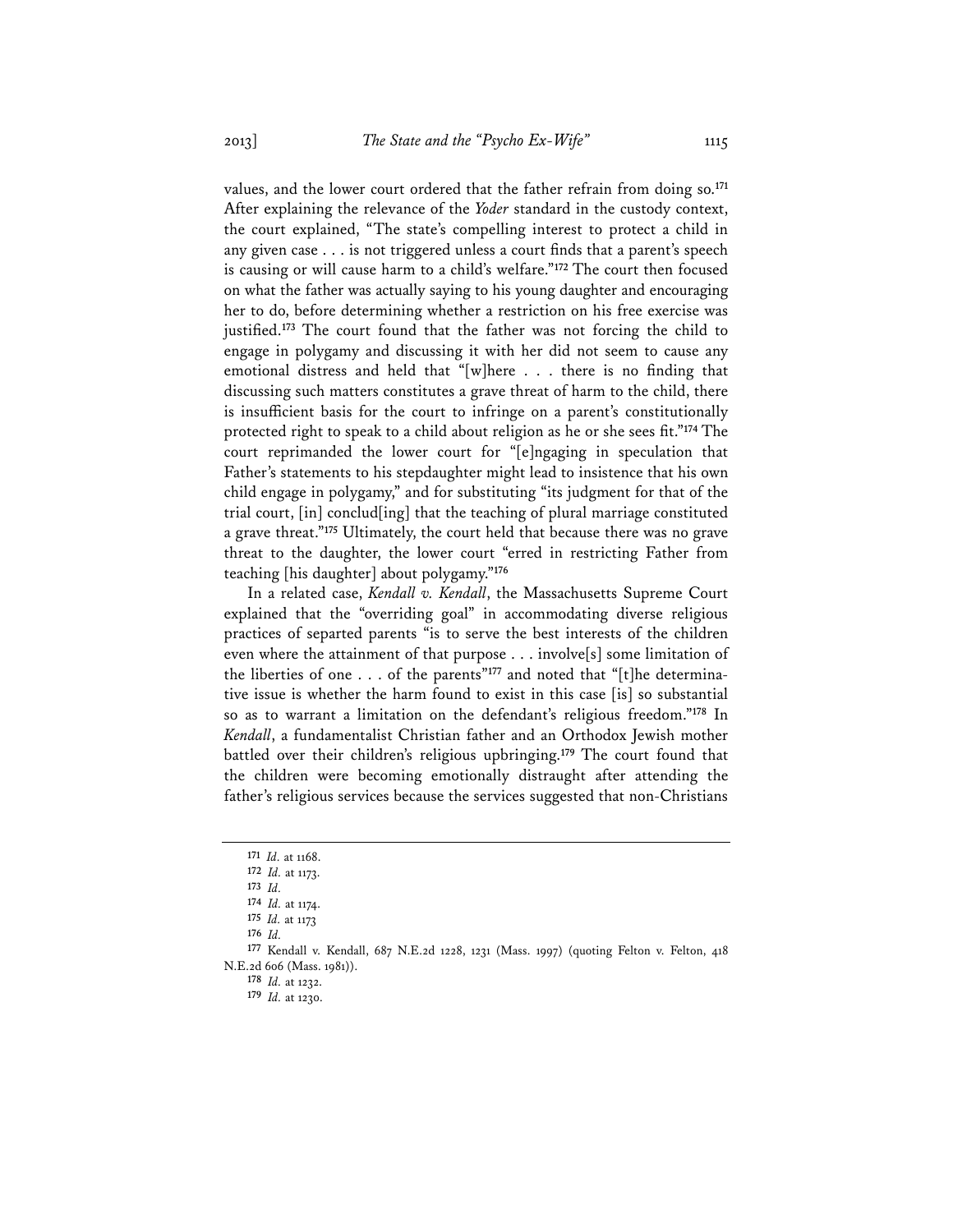values, and the lower court ordered that the father refrain from doing so.**<sup>171</sup>** After explaining the relevance of the *Yoder* standard in the custody context, the court explained, "The state's compelling interest to protect a child in any given case . . . is not triggered unless a court finds that a parent's speech is causing or will cause harm to a child's welfare."**<sup>172</sup>** The court then focused on what the father was actually saying to his young daughter and encouraging her to do, before determining whether a restriction on his free exercise was justified.**<sup>173</sup>** The court found that the father was not forcing the child to engage in polygamy and discussing it with her did not seem to cause any emotional distress and held that "[w]here . . . there is no finding that discussing such matters constitutes a grave threat of harm to the child, there is insufficient basis for the court to infringe on a parent's constitutionally protected right to speak to a child about religion as he or she sees fit."**<sup>174</sup>** The court reprimanded the lower court for "[e]ngaging in speculation that Father's statements to his stepdaughter might lead to insistence that his own child engage in polygamy," and for substituting "its judgment for that of the trial court, [in] conclud[ing] that the teaching of plural marriage constituted a grave threat."**<sup>175</sup>** Ultimately, the court held that because there was no grave threat to the daughter, the lower court "erred in restricting Father from teaching [his daughter] about polygamy."**<sup>176</sup>**

In a related case, *Kendall v. Kendall*, the Massachusetts Supreme Court explained that the "overriding goal" in accommodating diverse religious practices of separted parents "is to serve the best interests of the children even where the attainment of that purpose . . . involve[s] some limitation of the liberties of one . . . of the parents"**<sup>177</sup>** and noted that "[t]he determinative issue is whether the harm found to exist in this case [is] so substantial so as to warrant a limitation on the defendant's religious freedom."**<sup>178</sup>** In *Kendall*, a fundamentalist Christian father and an Orthodox Jewish mother battled over their children's religious upbringing.**<sup>179</sup>** The court found that the children were becoming emotionally distraught after attending the father's religious services because the services suggested that non-Christians

**<sup>171</sup>** *Id.* at 1168.

**<sup>172</sup>** *Id.* at 1173.

**<sup>173</sup>** *Id.* **<sup>174</sup>** *Id.* at 1174.

**<sup>175</sup>** *Id.* at 1173

**<sup>176</sup>** *Id.*

**<sup>177</sup>** Kendall v. Kendall, 687 N.E.2d 1228, 1231 (Mass. 1997) (quoting Felton v. Felton, 418 N.E.2d 606 (Mass. 1981)).

**<sup>178</sup>** *Id.* at 1232.

**<sup>179</sup>** *Id.* at 1230.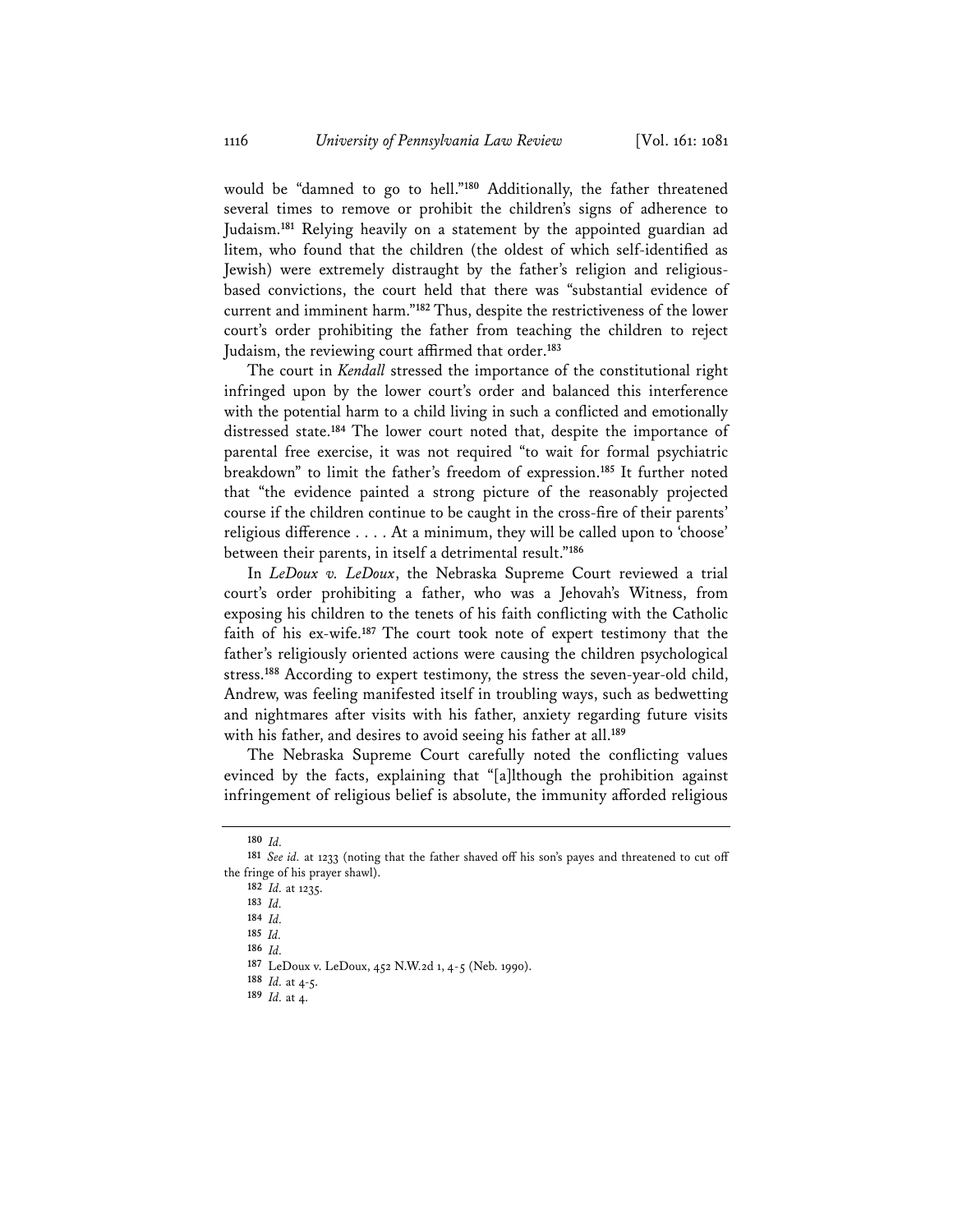would be "damned to go to hell."**<sup>180</sup>** Additionally, the father threatened several times to remove or prohibit the children's signs of adherence to Judaism.**<sup>181</sup>** Relying heavily on a statement by the appointed guardian ad litem, who found that the children (the oldest of which self-identified as Jewish) were extremely distraught by the father's religion and religiousbased convictions, the court held that there was "substantial evidence of current and imminent harm."**<sup>182</sup>** Thus, despite the restrictiveness of the lower court's order prohibiting the father from teaching the children to reject Judaism, the reviewing court affirmed that order.**<sup>183</sup>**

The court in *Kendall* stressed the importance of the constitutional right infringed upon by the lower court's order and balanced this interference with the potential harm to a child living in such a conflicted and emotionally distressed state.**<sup>184</sup>** The lower court noted that, despite the importance of parental free exercise, it was not required "to wait for formal psychiatric breakdown" to limit the father's freedom of expression.**<sup>185</sup>** It further noted that "the evidence painted a strong picture of the reasonably projected course if the children continue to be caught in the cross-fire of their parents' religious difference . . . . At a minimum, they will be called upon to 'choose' between their parents, in itself a detrimental result."**<sup>186</sup>**

In *LeDoux v. LeDoux*, the Nebraska Supreme Court reviewed a trial court's order prohibiting a father, who was a Jehovah's Witness, from exposing his children to the tenets of his faith conflicting with the Catholic faith of his ex-wife.**<sup>187</sup>** The court took note of expert testimony that the father's religiously oriented actions were causing the children psychological stress.**<sup>188</sup>** According to expert testimony, the stress the seven-year-old child, Andrew, was feeling manifested itself in troubling ways, such as bedwetting and nightmares after visits with his father, anxiety regarding future visits with his father, and desires to avoid seeing his father at all.**<sup>189</sup>**

The Nebraska Supreme Court carefully noted the conflicting values evinced by the facts, explaining that "[a]lthough the prohibition against infringement of religious belief is absolute, the immunity afforded religious

**<sup>180</sup>** *Id.*

**<sup>182</sup>** *Id.* at 1235.

**<sup>183</sup>** *Id.*

**<sup>184</sup>** *Id.* 

**<sup>185</sup>** *Id.* 

**<sup>186</sup>** *Id.*

**<sup>181</sup>** *See id.* at 1233 (noting that the father shaved off his son's payes and threatened to cut off the fringe of his prayer shawl).

**<sup>187</sup>** LeDoux v. LeDoux, 452 N.W.2d 1, 4-5 (Neb. 1990).

**<sup>188</sup>** *Id.* at 4-5.

**<sup>189</sup>** *Id.* at 4.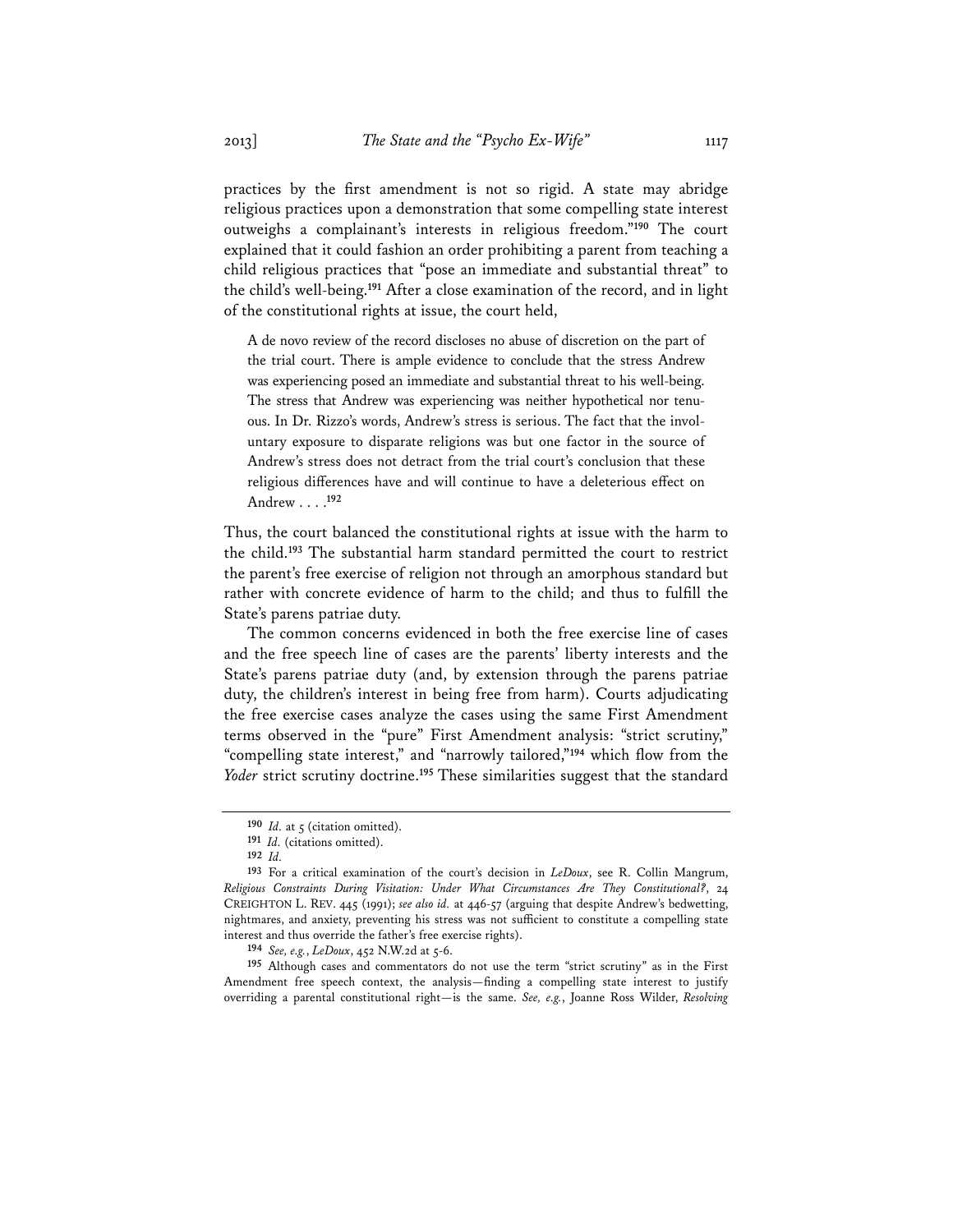practices by the first amendment is not so rigid. A state may abridge religious practices upon a demonstration that some compelling state interest outweighs a complainant's interests in religious freedom."**<sup>190</sup>** The court explained that it could fashion an order prohibiting a parent from teaching a child religious practices that "pose an immediate and substantial threat" to the child's well-being.**<sup>191</sup>** After a close examination of the record, and in light of the constitutional rights at issue, the court held,

A de novo review of the record discloses no abuse of discretion on the part of the trial court. There is ample evidence to conclude that the stress Andrew was experiencing posed an immediate and substantial threat to his well-being. The stress that Andrew was experiencing was neither hypothetical nor tenuous. In Dr. Rizzo's words, Andrew's stress is serious. The fact that the involuntary exposure to disparate religions was but one factor in the source of Andrew's stress does not detract from the trial court's conclusion that these religious differences have and will continue to have a deleterious effect on Andrew . . . .**<sup>192</sup>**

Thus, the court balanced the constitutional rights at issue with the harm to the child.**<sup>193</sup>** The substantial harm standard permitted the court to restrict the parent's free exercise of religion not through an amorphous standard but rather with concrete evidence of harm to the child; and thus to fulfill the State's parens patriae duty.

The common concerns evidenced in both the free exercise line of cases and the free speech line of cases are the parents' liberty interests and the State's parens patriae duty (and, by extension through the parens patriae duty, the children's interest in being free from harm). Courts adjudicating the free exercise cases analyze the cases using the same First Amendment terms observed in the "pure" First Amendment analysis: "strict scrutiny," "compelling state interest," and "narrowly tailored,"**<sup>194</sup>** which flow from the *Yoder* strict scrutiny doctrine.**<sup>195</sup>** These similarities suggest that the standard

**<sup>195</sup>** Although cases and commentators do not use the term "strict scrutiny" as in the First Amendment free speech context, the analysis—finding a compelling state interest to justify overriding a parental constitutional right—is the same. *See, e.g.*, Joanne Ross Wilder, *Resolving* 

**<sup>190</sup>** *Id.* at 5 (citation omitted).

**<sup>191</sup>** *Id.* (citations omitted).

**<sup>192</sup>** *Id.*

**<sup>193</sup>** For a critical examination of the court's decision in *LeDoux*, see R. Collin Mangrum, *Religious Constraints During Visitation: Under What Circumstances Are They Constitutional?*, 24 CREIGHTON L. REV. 445 (1991); *see also id.* at 446-57 (arguing that despite Andrew's bedwetting, nightmares, and anxiety, preventing his stress was not sufficient to constitute a compelling state interest and thus override the father's free exercise rights).

**<sup>194</sup>** *See, e.g.*, *LeDoux*, 452 N.W.2d at 5-6.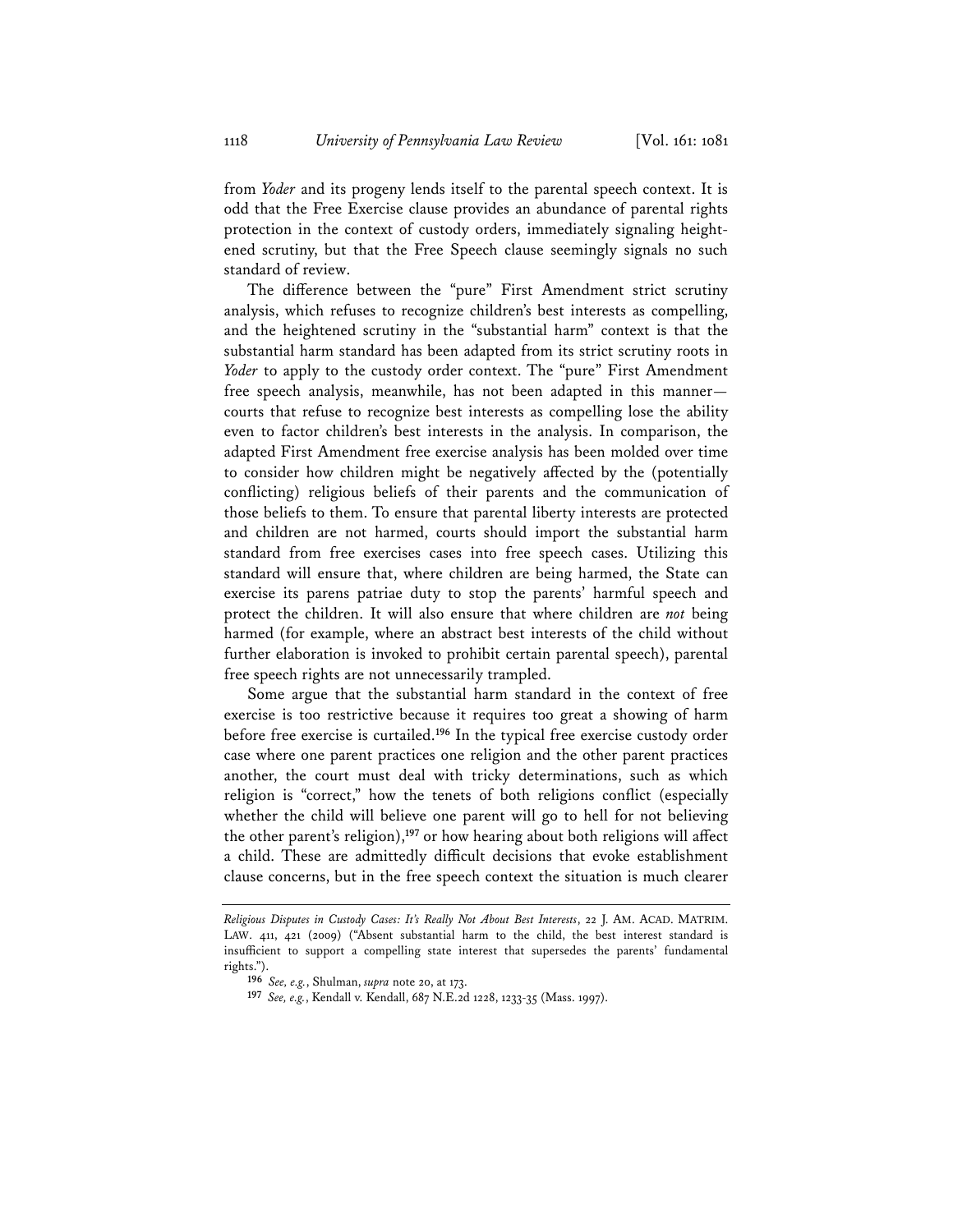from *Yoder* and its progeny lends itself to the parental speech context. It is odd that the Free Exercise clause provides an abundance of parental rights protection in the context of custody orders, immediately signaling heightened scrutiny, but that the Free Speech clause seemingly signals no such standard of review.

The difference between the "pure" First Amendment strict scrutiny analysis, which refuses to recognize children's best interests as compelling, and the heightened scrutiny in the "substantial harm" context is that the substantial harm standard has been adapted from its strict scrutiny roots in *Yoder* to apply to the custody order context. The "pure" First Amendment free speech analysis, meanwhile, has not been adapted in this manner courts that refuse to recognize best interests as compelling lose the ability even to factor children's best interests in the analysis. In comparison, the adapted First Amendment free exercise analysis has been molded over time to consider how children might be negatively affected by the (potentially conflicting) religious beliefs of their parents and the communication of those beliefs to them. To ensure that parental liberty interests are protected and children are not harmed, courts should import the substantial harm standard from free exercises cases into free speech cases. Utilizing this standard will ensure that, where children are being harmed, the State can exercise its parens patriae duty to stop the parents' harmful speech and protect the children. It will also ensure that where children are *not* being harmed (for example, where an abstract best interests of the child without further elaboration is invoked to prohibit certain parental speech), parental free speech rights are not unnecessarily trampled.

Some argue that the substantial harm standard in the context of free exercise is too restrictive because it requires too great a showing of harm before free exercise is curtailed.**<sup>196</sup>** In the typical free exercise custody order case where one parent practices one religion and the other parent practices another, the court must deal with tricky determinations, such as which religion is "correct," how the tenets of both religions conflict (especially whether the child will believe one parent will go to hell for not believing the other parent's religion),**<sup>197</sup>** or how hearing about both religions will affect a child. These are admittedly difficult decisions that evoke establishment clause concerns, but in the free speech context the situation is much clearer

*Religious Disputes in Custody Cases: It's Really Not About Best Interests*, 22 J. AM. ACAD. MATRIM. LAW. 411, 421 (2009) ("Absent substantial harm to the child, the best interest standard is insufficient to support a compelling state interest that supersedes the parents' fundamental rights.").

**<sup>196</sup>** *See, e.g.*, Shulman, *supra* note 20, at 173.

**<sup>197</sup>** *See, e.g.*, Kendall v. Kendall, 687 N.E.2d 1228, 1233-35 (Mass. 1997).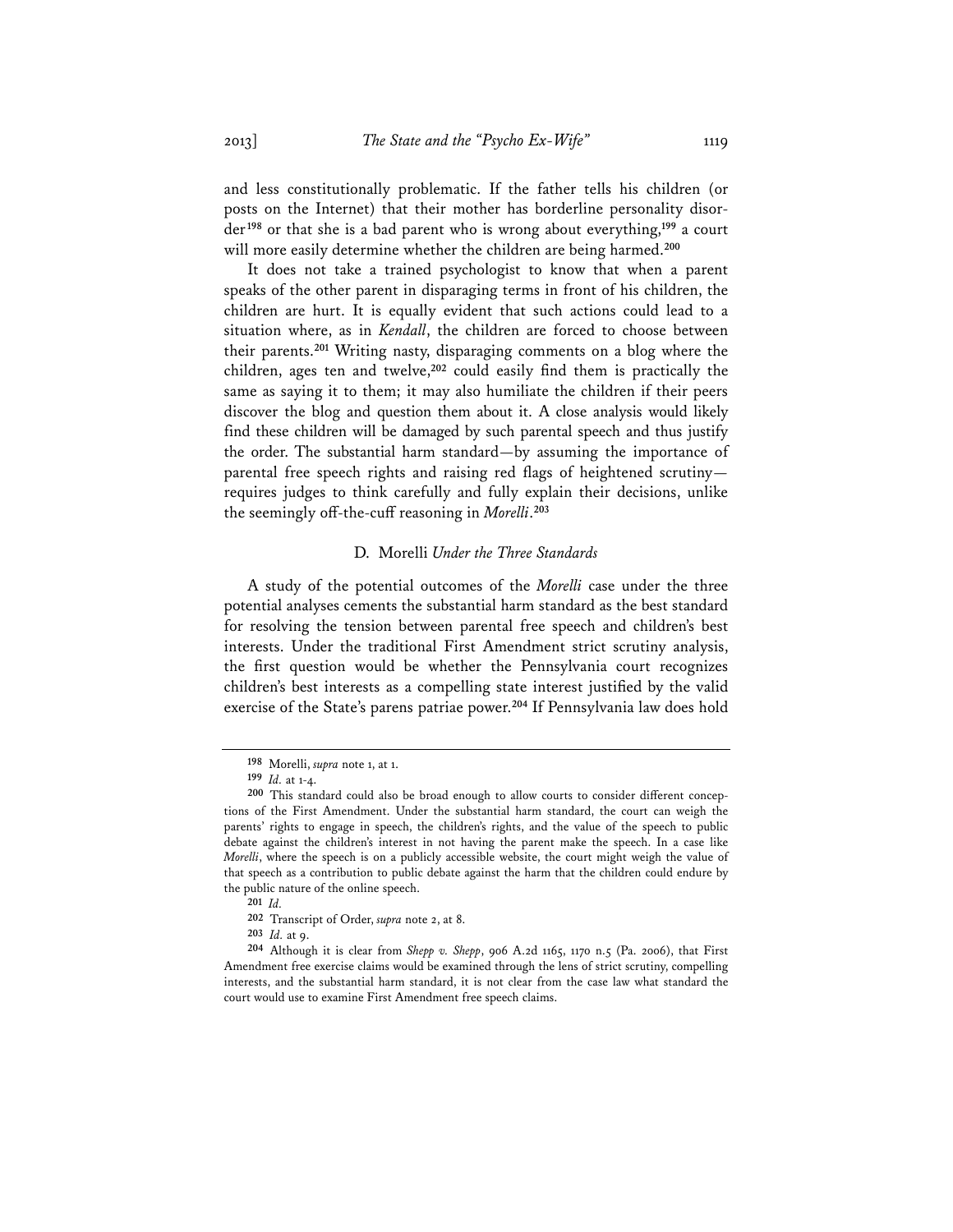and less constitutionally problematic. If the father tells his children (or posts on the Internet) that their mother has borderline personality disorder**<sup>198</sup>** or that she is a bad parent who is wrong about everything,**<sup>199</sup>** a court will more easily determine whether the children are being harmed.**<sup>200</sup>**

It does not take a trained psychologist to know that when a parent speaks of the other parent in disparaging terms in front of his children, the children are hurt. It is equally evident that such actions could lead to a situation where, as in *Kendall*, the children are forced to choose between their parents.**<sup>201</sup>** Writing nasty, disparaging comments on a blog where the children, ages ten and twelve,**<sup>202</sup>** could easily find them is practically the same as saying it to them; it may also humiliate the children if their peers discover the blog and question them about it. A close analysis would likely find these children will be damaged by such parental speech and thus justify the order. The substantial harm standard—by assuming the importance of parental free speech rights and raising red flags of heightened scrutiny requires judges to think carefully and fully explain their decisions, unlike the seemingly off-the-cuff reasoning in *Morelli*. **203**

### D. Morelli *Under the Three Standards*

A study of the potential outcomes of the *Morelli* case under the three potential analyses cements the substantial harm standard as the best standard for resolving the tension between parental free speech and children's best interests. Under the traditional First Amendment strict scrutiny analysis, the first question would be whether the Pennsylvania court recognizes children's best interests as a compelling state interest justified by the valid exercise of the State's parens patriae power.**<sup>204</sup>** If Pennsylvania law does hold

**<sup>202</sup>** Transcript of Order, *supra* note 2, at 8.

**<sup>198</sup>** Morelli, *supra* note 1, at 1.

**<sup>199</sup>** *Id.* at 1-4.

**<sup>200</sup>** This standard could also be broad enough to allow courts to consider different conceptions of the First Amendment. Under the substantial harm standard, the court can weigh the parents' rights to engage in speech, the children's rights, and the value of the speech to public debate against the children's interest in not having the parent make the speech. In a case like *Morelli*, where the speech is on a publicly accessible website, the court might weigh the value of that speech as a contribution to public debate against the harm that the children could endure by the public nature of the online speech.

**<sup>201</sup>** *Id.*

**<sup>203</sup>** *Id.* at 9.

**<sup>204</sup>** Although it is clear from *Shepp v. Shepp*, 906 A.2d 1165, 1170 n.5 (Pa. 2006), that First Amendment free exercise claims would be examined through the lens of strict scrutiny, compelling interests, and the substantial harm standard, it is not clear from the case law what standard the court would use to examine First Amendment free speech claims.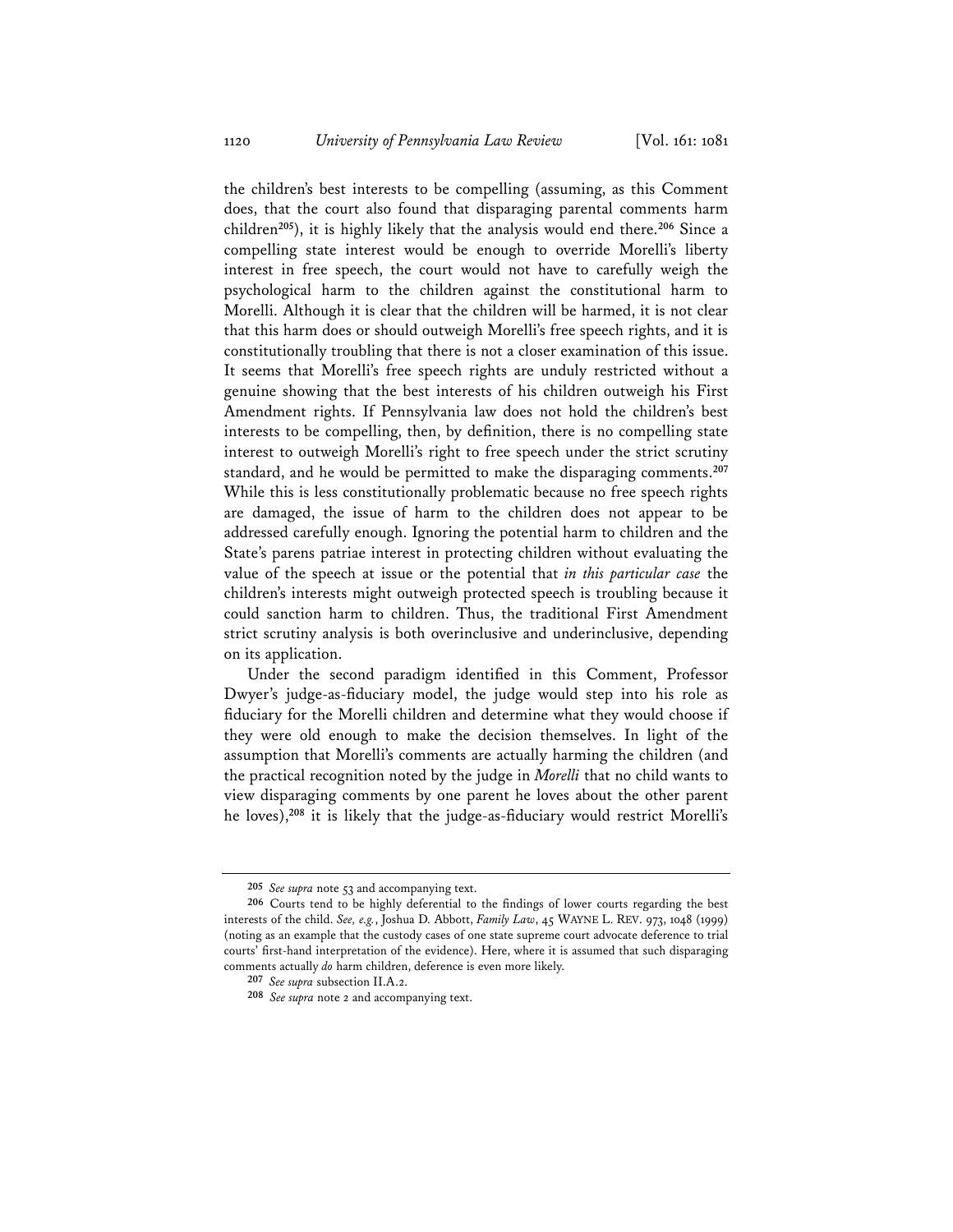the children's best interests to be compelling (assuming, as this Comment does, that the court also found that disparaging parental comments harm children**<sup>205</sup>**), it is highly likely that the analysis would end there.**<sup>206</sup>** Since a compelling state interest would be enough to override Morelli's liberty interest in free speech, the court would not have to carefully weigh the psychological harm to the children against the constitutional harm to Morelli. Although it is clear that the children will be harmed, it is not clear that this harm does or should outweigh Morelli's free speech rights, and it is constitutionally troubling that there is not a closer examination of this issue. It seems that Morelli's free speech rights are unduly restricted without a genuine showing that the best interests of his children outweigh his First Amendment rights. If Pennsylvania law does not hold the children's best interests to be compelling, then, by definition, there is no compelling state interest to outweigh Morelli's right to free speech under the strict scrutiny standard, and he would be permitted to make the disparaging comments.**<sup>207</sup>** While this is less constitutionally problematic because no free speech rights are damaged, the issue of harm to the children does not appear to be addressed carefully enough. Ignoring the potential harm to children and the State's parens patriae interest in protecting children without evaluating the value of the speech at issue or the potential that *in this particular case* the children's interests might outweigh protected speech is troubling because it could sanction harm to children. Thus, the traditional First Amendment strict scrutiny analysis is both overinclusive and underinclusive, depending on its application.

Under the second paradigm identified in this Comment, Professor Dwyer's judge-as-fiduciary model, the judge would step into his role as fiduciary for the Morelli children and determine what they would choose if they were old enough to make the decision themselves. In light of the assumption that Morelli's comments are actually harming the children (and the practical recognition noted by the judge in *Morelli* that no child wants to view disparaging comments by one parent he loves about the other parent he loves),**<sup>208</sup>** it is likely that the judge-as-fiduciary would restrict Morelli's

**<sup>205</sup>** *See supra* note 53 and accompanying text.

**<sup>206</sup>** Courts tend to be highly deferential to the findings of lower courts regarding the best interests of the child. *See, e.g.*, Joshua D. Abbott, *Family Law*, 45 WAYNE L. REV. 973, 1048 (1999) (noting as an example that the custody cases of one state supreme court advocate deference to trial courts' first-hand interpretation of the evidence). Here, where it is assumed that such disparaging comments actually *do* harm children, deference is even more likely.

**<sup>207</sup>** *See supra* subsection II.A.2.

**<sup>208</sup>** *See supra* note 2 and accompanying text.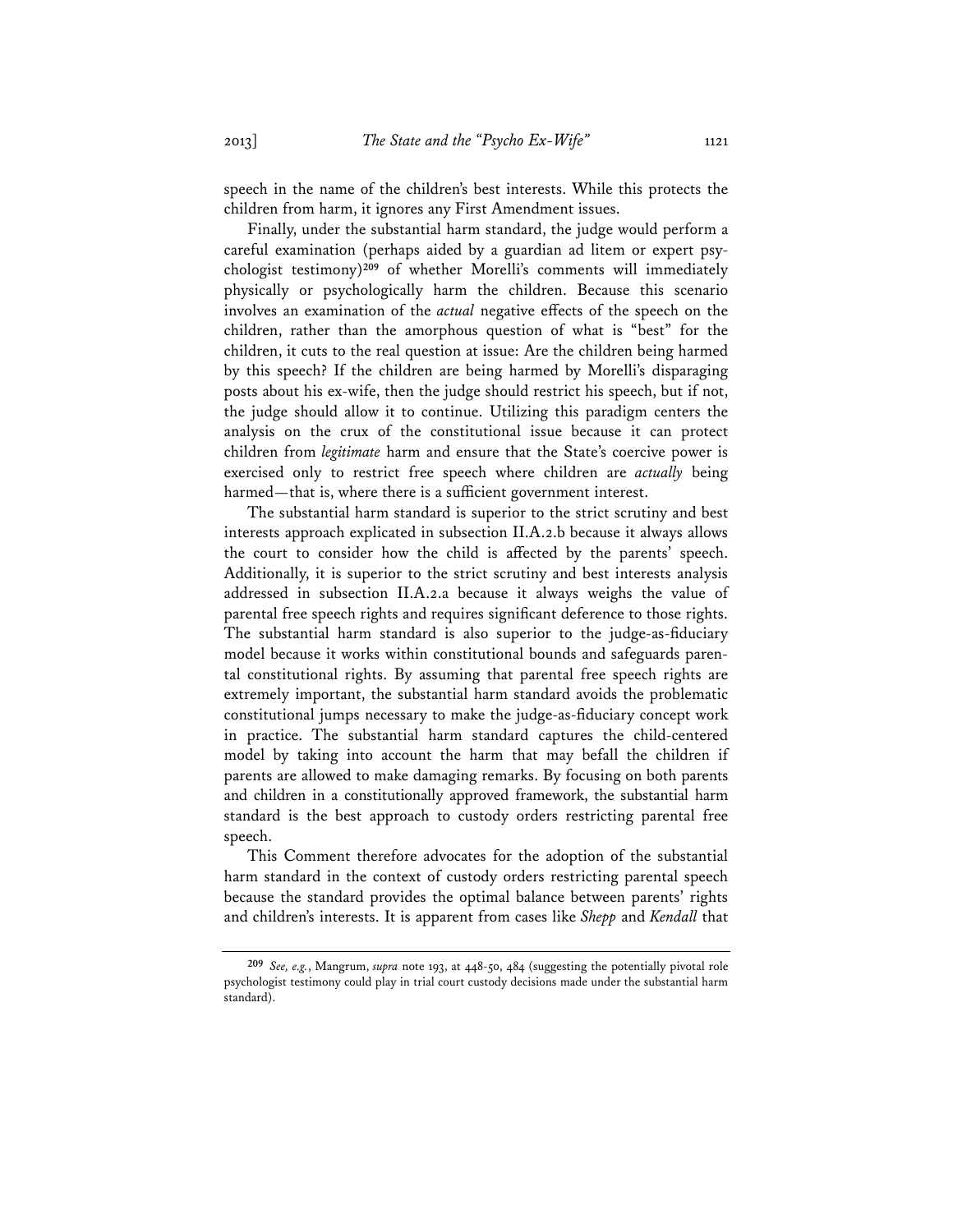speech in the name of the children's best interests. While this protects the children from harm, it ignores any First Amendment issues.

Finally, under the substantial harm standard, the judge would perform a careful examination (perhaps aided by a guardian ad litem or expert psychologist testimony)**<sup>209</sup>** of whether Morelli's comments will immediately physically or psychologically harm the children. Because this scenario involves an examination of the *actual* negative effects of the speech on the children, rather than the amorphous question of what is "best" for the children, it cuts to the real question at issue: Are the children being harmed by this speech? If the children are being harmed by Morelli's disparaging posts about his ex-wife, then the judge should restrict his speech, but if not, the judge should allow it to continue. Utilizing this paradigm centers the analysis on the crux of the constitutional issue because it can protect children from *legitimate* harm and ensure that the State's coercive power is exercised only to restrict free speech where children are *actually* being harmed—that is, where there is a sufficient government interest.

The substantial harm standard is superior to the strict scrutiny and best interests approach explicated in subsection II.A.2.b because it always allows the court to consider how the child is affected by the parents' speech. Additionally, it is superior to the strict scrutiny and best interests analysis addressed in subsection II.A.2.a because it always weighs the value of parental free speech rights and requires significant deference to those rights. The substantial harm standard is also superior to the judge-as-fiduciary model because it works within constitutional bounds and safeguards parental constitutional rights. By assuming that parental free speech rights are extremely important, the substantial harm standard avoids the problematic constitutional jumps necessary to make the judge-as-fiduciary concept work in practice. The substantial harm standard captures the child-centered model by taking into account the harm that may befall the children if parents are allowed to make damaging remarks. By focusing on both parents and children in a constitutionally approved framework, the substantial harm standard is the best approach to custody orders restricting parental free speech.

This Comment therefore advocates for the adoption of the substantial harm standard in the context of custody orders restricting parental speech because the standard provides the optimal balance between parents' rights and children's interests. It is apparent from cases like *Shepp* and *Kendall* that

**<sup>209</sup>** *See, e.g.*, Mangrum, *supra* note 193, at 448-50, 484 (suggesting the potentially pivotal role psychologist testimony could play in trial court custody decisions made under the substantial harm standard).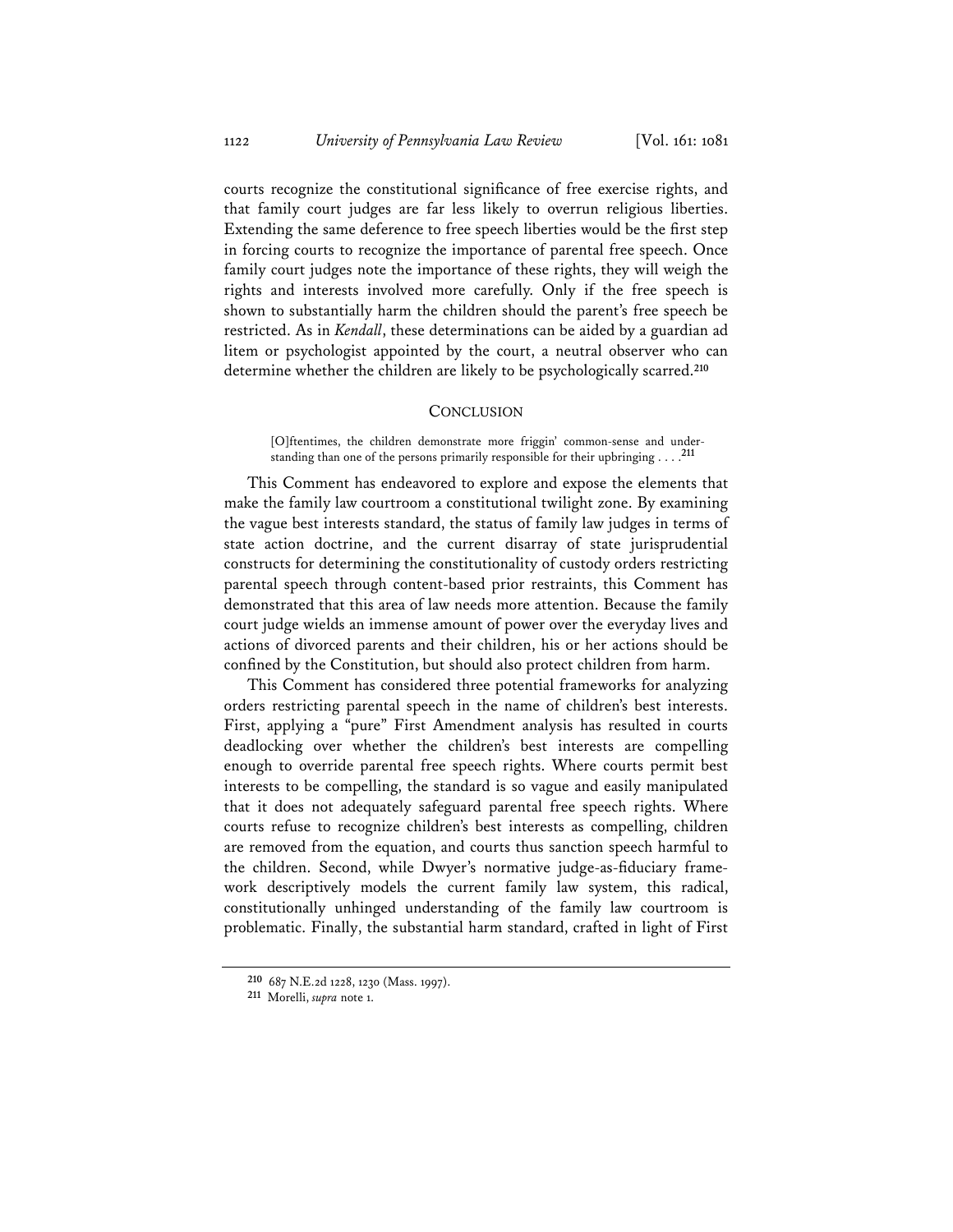courts recognize the constitutional significance of free exercise rights, and that family court judges are far less likely to overrun religious liberties. Extending the same deference to free speech liberties would be the first step in forcing courts to recognize the importance of parental free speech. Once family court judges note the importance of these rights, they will weigh the rights and interests involved more carefully. Only if the free speech is shown to substantially harm the children should the parent's free speech be restricted. As in *Kendall*, these determinations can be aided by a guardian ad litem or psychologist appointed by the court, a neutral observer who can determine whether the children are likely to be psychologically scarred.**<sup>210</sup>**

#### **CONCLUSION**

[O]ftentimes, the children demonstrate more friggin' common-sense and understanding than one of the persons primarily responsible for their upbringing . . . .**<sup>211</sup>**

This Comment has endeavored to explore and expose the elements that make the family law courtroom a constitutional twilight zone. By examining the vague best interests standard, the status of family law judges in terms of state action doctrine, and the current disarray of state jurisprudential constructs for determining the constitutionality of custody orders restricting parental speech through content-based prior restraints, this Comment has demonstrated that this area of law needs more attention. Because the family court judge wields an immense amount of power over the everyday lives and actions of divorced parents and their children, his or her actions should be confined by the Constitution, but should also protect children from harm.

This Comment has considered three potential frameworks for analyzing orders restricting parental speech in the name of children's best interests. First, applying a "pure" First Amendment analysis has resulted in courts deadlocking over whether the children's best interests are compelling enough to override parental free speech rights. Where courts permit best interests to be compelling, the standard is so vague and easily manipulated that it does not adequately safeguard parental free speech rights. Where courts refuse to recognize children's best interests as compelling, children are removed from the equation, and courts thus sanction speech harmful to the children. Second, while Dwyer's normative judge-as-fiduciary framework descriptively models the current family law system, this radical, constitutionally unhinged understanding of the family law courtroom is problematic. Finally, the substantial harm standard, crafted in light of First

**<sup>210</sup>** 687 N.E.2d 1228, 1230 (Mass. 1997).

**<sup>211</sup>** Morelli, *supra* note 1.